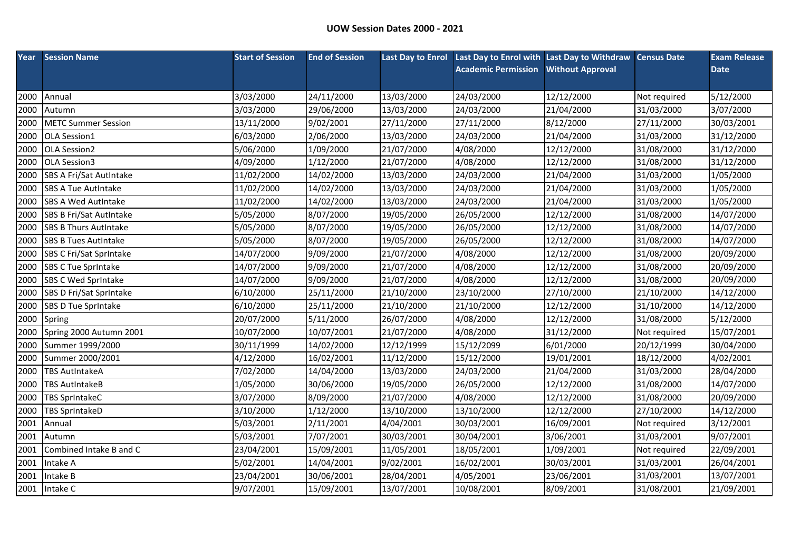| Year | <b>Session Name</b>            | <b>Start of Session</b> | <b>End of Session</b> |            | Last Day to Enrol Last Day to Enrol with Last Day to Withdraw Census Date |                         |              | <b>Exam Release</b> |
|------|--------------------------------|-------------------------|-----------------------|------------|---------------------------------------------------------------------------|-------------------------|--------------|---------------------|
|      |                                |                         |                       |            | <b>Academic Permission</b>                                                | <b>Without Approval</b> |              | <b>Date</b>         |
|      |                                |                         |                       |            |                                                                           |                         |              |                     |
| 2000 | Annual                         | 3/03/2000               | 24/11/2000            | 13/03/2000 | 24/03/2000                                                                | 12/12/2000              | Not required | 5/12/2000           |
| 2000 | Autumn                         | 3/03/2000               | 29/06/2000            | 13/03/2000 | 24/03/2000                                                                | 21/04/2000              | 31/03/2000   | 3/07/2000           |
| 2000 | <b>METC Summer Session</b>     | 13/11/2000              | 9/02/2001             | 27/11/2000 | 27/11/2000                                                                | 8/12/2000               | 27/11/2000   | 30/03/2001          |
| 2000 | <b>OLA Session1</b>            | 6/03/2000               | 2/06/2000             | 13/03/2000 | 24/03/2000                                                                | 21/04/2000              | 31/03/2000   | 31/12/2000          |
| 2000 | OLA Session2                   | 5/06/2000               | 1/09/2000             | 21/07/2000 | 4/08/2000                                                                 | 12/12/2000              | 31/08/2000   | 31/12/2000          |
| 2000 | OLA Session3                   | 4/09/2000               | 1/12/2000             | 21/07/2000 | 4/08/2000                                                                 | 12/12/2000              | 31/08/2000   | 31/12/2000          |
| 2000 | SBS A Fri/Sat AutIntake        | 11/02/2000              | 14/02/2000            | 13/03/2000 | 24/03/2000                                                                | 21/04/2000              | 31/03/2000   | 1/05/2000           |
| 2000 | <b>SBS A Tue AutIntake</b>     | 11/02/2000              | 14/02/2000            | 13/03/2000 | 24/03/2000                                                                | 21/04/2000              | 31/03/2000   | 1/05/2000           |
| 2000 | <b>SBS A Wed AutIntake</b>     | 11/02/2000              | 14/02/2000            | 13/03/2000 | 24/03/2000                                                                | 21/04/2000              | 31/03/2000   | 1/05/2000           |
| 2000 | <b>SBS B Fri/Sat AutIntake</b> | 5/05/2000               | 8/07/2000             | 19/05/2000 | 26/05/2000                                                                | 12/12/2000              | 31/08/2000   | 14/07/2000          |
| 2000 | <b>SBS B Thurs AutIntake</b>   | 5/05/2000               | 8/07/2000             | 19/05/2000 | 26/05/2000                                                                | 12/12/2000              | 31/08/2000   | 14/07/2000          |
| 2000 | <b>SBS B Tues AutIntake</b>    | 5/05/2000               | 8/07/2000             | 19/05/2000 | 26/05/2000                                                                | 12/12/2000              | 31/08/2000   | 14/07/2000          |
| 2000 | SBS C Fri/Sat SprIntake        | 14/07/2000              | 9/09/2000             | 21/07/2000 | 4/08/2000                                                                 | 12/12/2000              | 31/08/2000   | 20/09/2000          |
| 2000 | <b>SBS C Tue Sprintake</b>     | 14/07/2000              | 9/09/2000             | 21/07/2000 | 4/08/2000                                                                 | 12/12/2000              | 31/08/2000   | 20/09/2000          |
| 2000 | SBS C Wed Sprintake            | 14/07/2000              | 9/09/2000             | 21/07/2000 | 4/08/2000                                                                 | 12/12/2000              | 31/08/2000   | 20/09/2000          |
| 2000 | SBS D Fri/Sat SprIntake        | 6/10/2000               | 25/11/2000            | 21/10/2000 | 23/10/2000                                                                | 27/10/2000              | 21/10/2000   | 14/12/2000          |
| 2000 | <b>SBS D Tue Sprintake</b>     | 6/10/2000               | 25/11/2000            | 21/10/2000 | 21/10/2000                                                                | 12/12/2000              | 31/10/2000   | 14/12/2000          |
| 2000 | Spring                         | 20/07/2000              | 5/11/2000             | 26/07/2000 | 4/08/2000                                                                 | 12/12/2000              | 31/08/2000   | 5/12/2000           |
| 2000 | Spring 2000 Autumn 2001        | 10/07/2000              | 10/07/2001            | 21/07/2000 | 4/08/2000                                                                 | 31/12/2000              | Not required | 15/07/2001          |
| 2000 | Summer 1999/2000               | 30/11/1999              | 14/02/2000            | 12/12/1999 | 15/12/2099                                                                | 6/01/2000               | 20/12/1999   | 30/04/2000          |
| 2000 | Summer 2000/2001               | 4/12/2000               | 16/02/2001            | 11/12/2000 | 15/12/2000                                                                | 19/01/2001              | 18/12/2000   | 4/02/2001           |
| 2000 | <b>TBS AutIntakeA</b>          | 7/02/2000               | 14/04/2000            | 13/03/2000 | 24/03/2000                                                                | 21/04/2000              | 31/03/2000   | 28/04/2000          |
| 2000 | <b>TBS AutIntakeB</b>          | 1/05/2000               | 30/06/2000            | 19/05/2000 | 26/05/2000                                                                | 12/12/2000              | 31/08/2000   | 14/07/2000          |
| 2000 | <b>TBS SprIntakeC</b>          | 3/07/2000               | 8/09/2000             | 21/07/2000 | 4/08/2000                                                                 | 12/12/2000              | 31/08/2000   | 20/09/2000          |
| 2000 | <b>TBS SprIntakeD</b>          | 3/10/2000               | 1/12/2000             | 13/10/2000 | 13/10/2000                                                                | 12/12/2000              | 27/10/2000   | 14/12/2000          |
| 2001 | Annual                         | 5/03/2001               | 2/11/2001             | 4/04/2001  | 30/03/2001                                                                | 16/09/2001              | Not required | 3/12/2001           |
| 2001 | Autumn                         | 5/03/2001               | 7/07/2001             | 30/03/2001 | 30/04/2001                                                                | 3/06/2001               | 31/03/2001   | 9/07/2001           |
| 2001 | Combined Intake B and C        | 23/04/2001              | 15/09/2001            | 11/05/2001 | 18/05/2001                                                                | 1/09/2001               | Not required | 22/09/2001          |
| 2001 | Intake A                       | 5/02/2001               | 14/04/2001            | 9/02/2001  | 16/02/2001                                                                | 30/03/2001              | 31/03/2001   | 26/04/2001          |
| 2001 | Intake B                       | 23/04/2001              | 30/06/2001            | 28/04/2001 | 4/05/2001                                                                 | 23/06/2001              | 31/03/2001   | 13/07/2001          |
|      | 2001 Intake C                  | 9/07/2001               | 15/09/2001            | 13/07/2001 | 10/08/2001                                                                | 8/09/2001               | 31/08/2001   | 21/09/2001          |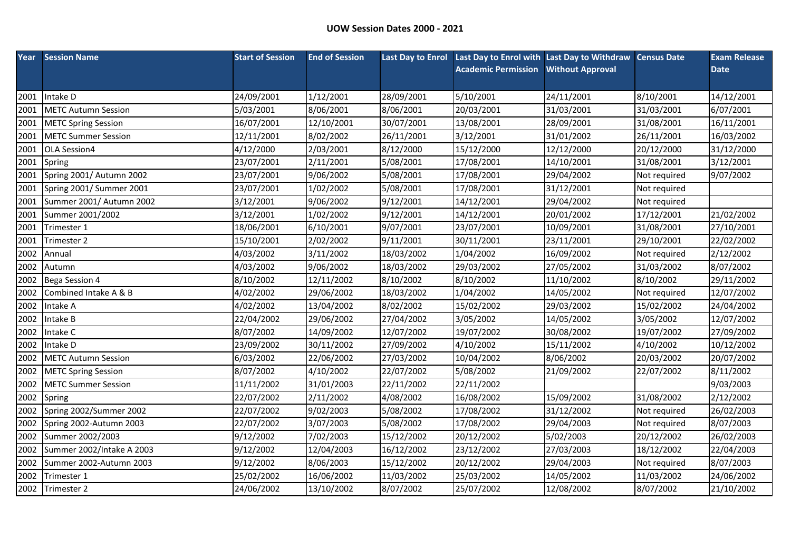| Year | <b>Session Name</b>        | <b>Start of Session</b> | <b>End of Session</b> |            | Last Day to Enrol Last Day to Enrol with Last Day to Withdraw Census Date |                         |              | <b>Exam Release</b> |
|------|----------------------------|-------------------------|-----------------------|------------|---------------------------------------------------------------------------|-------------------------|--------------|---------------------|
|      |                            |                         |                       |            | <b>Academic Permission</b>                                                | <b>Without Approval</b> |              | <b>Date</b>         |
|      |                            |                         |                       |            |                                                                           |                         |              |                     |
| 2001 | Intake D                   | 24/09/2001              | 1/12/2001             | 28/09/2001 | 5/10/2001                                                                 | 24/11/2001              | 8/10/2001    | 14/12/2001          |
| 2001 | <b>METC Autumn Session</b> | 5/03/2001               | 8/06/2001             | 8/06/2001  | 20/03/2001                                                                | 31/03/2001              | 31/03/2001   | 6/07/2001           |
| 2001 | <b>METC Spring Session</b> | 16/07/2001              | 12/10/2001            | 30/07/2001 | 13/08/2001                                                                | 28/09/2001              | 31/08/2001   | 16/11/2001          |
| 2001 | <b>METC Summer Session</b> | 12/11/2001              | 8/02/2002             | 26/11/2001 | 3/12/2001                                                                 | 31/01/2002              | 26/11/2001   | 16/03/2002          |
| 2001 | OLA Session4               | 4/12/2000               | 2/03/2001             | 8/12/2000  | 15/12/2000                                                                | 12/12/2000              | 20/12/2000   | 31/12/2000          |
| 2001 | Spring                     | 23/07/2001              | 2/11/2001             | 5/08/2001  | 17/08/2001                                                                | 14/10/2001              | 31/08/2001   | 3/12/2001           |
| 2001 | Spring 2001/ Autumn 2002   | 23/07/2001              | 9/06/2002             | 5/08/2001  | 17/08/2001                                                                | 29/04/2002              | Not required | 9/07/2002           |
| 2001 | Spring 2001/ Summer 2001   | 23/07/2001              | 1/02/2002             | 5/08/2001  | 17/08/2001                                                                | 31/12/2001              | Not required |                     |
| 2001 | Summer 2001/ Autumn 2002   | 3/12/2001               | 9/06/2002             | 9/12/2001  | 14/12/2001                                                                | 29/04/2002              | Not required |                     |
| 2001 | Summer 2001/2002           | 3/12/2001               | 1/02/2002             | 9/12/2001  | 14/12/2001                                                                | 20/01/2002              | 17/12/2001   | 21/02/2002          |
| 2001 | Trimester 1                | 18/06/2001              | 6/10/2001             | 9/07/2001  | 23/07/2001                                                                | 10/09/2001              | 31/08/2001   | 27/10/2001          |
| 2001 | Trimester 2                | 15/10/2001              | 2/02/2002             | 9/11/2001  | 30/11/2001                                                                | 23/11/2001              | 29/10/2001   | 22/02/2002          |
| 2002 | Annual                     | 4/03/2002               | 3/11/2002             | 18/03/2002 | 1/04/2002                                                                 | 16/09/2002              | Not required | 2/12/2002           |
| 2002 | Autumn                     | 4/03/2002               | 9/06/2002             | 18/03/2002 | 29/03/2002                                                                | 27/05/2002              | 31/03/2002   | 8/07/2002           |
| 2002 | Bega Session 4             | 8/10/2002               | 12/11/2002            | 8/10/2002  | 8/10/2002                                                                 | 11/10/2002              | 8/10/2002    | 29/11/2002          |
| 2002 | Combined Intake A & B      | 4/02/2002               | 29/06/2002            | 18/03/2002 | 1/04/2002                                                                 | 14/05/2002              | Not required | 12/07/2002          |
| 2002 | Intake A                   | 4/02/2002               | 13/04/2002            | 8/02/2002  | 15/02/2002                                                                | 29/03/2002              | 15/02/2002   | 24/04/2002          |
| 2002 | Intake B                   | 22/04/2002              | 29/06/2002            | 27/04/2002 | 3/05/2002                                                                 | 14/05/2002              | 3/05/2002    | 12/07/2002          |
| 2002 | Intake C                   | 8/07/2002               | 14/09/2002            | 12/07/2002 | 19/07/2002                                                                | 30/08/2002              | 19/07/2002   | 27/09/2002          |
| 2002 | Intake D                   | 23/09/2002              | 30/11/2002            | 27/09/2002 | 4/10/2002                                                                 | 15/11/2002              | 4/10/2002    | 10/12/2002          |
| 2002 | <b>METC Autumn Session</b> | 6/03/2002               | 22/06/2002            | 27/03/2002 | 10/04/2002                                                                | 8/06/2002               | 20/03/2002   | 20/07/2002          |
| 2002 | <b>METC Spring Session</b> | 8/07/2002               | 4/10/2002             | 22/07/2002 | 5/08/2002                                                                 | 21/09/2002              | 22/07/2002   | 8/11/2002           |
| 2002 | <b>METC Summer Session</b> | 11/11/2002              | 31/01/2003            | 22/11/2002 | 22/11/2002                                                                |                         |              | 9/03/2003           |
| 2002 | Spring                     | 22/07/2002              | 2/11/2002             | 4/08/2002  | 16/08/2002                                                                | 15/09/2002              | 31/08/2002   | 2/12/2002           |
| 2002 | Spring 2002/Summer 2002    | 22/07/2002              | 9/02/2003             | 5/08/2002  | 17/08/2002                                                                | 31/12/2002              | Not required | 26/02/2003          |
| 2002 | Spring 2002-Autumn 2003    | 22/07/2002              | 3/07/2003             | 5/08/2002  | 17/08/2002                                                                | 29/04/2003              | Not required | 8/07/2003           |
| 2002 | Summer 2002/2003           | 9/12/2002               | 7/02/2003             | 15/12/2002 | 20/12/2002                                                                | 5/02/2003               | 20/12/2002   | 26/02/2003          |
| 2002 | Summer 2002/Intake A 2003  | 9/12/2002               | 12/04/2003            | 16/12/2002 | 23/12/2002                                                                | 27/03/2003              | 18/12/2002   | 22/04/2003          |
| 2002 | Summer 2002-Autumn 2003    | 9/12/2002               | 8/06/2003             | 15/12/2002 | 20/12/2002                                                                | 29/04/2003              | Not required | 8/07/2003           |
| 2002 | Trimester 1                | 25/02/2002              | 16/06/2002            | 11/03/2002 | 25/03/2002                                                                | 14/05/2002              | 11/03/2002   | 24/06/2002          |
| 2002 | Trimester 2                | 24/06/2002              | 13/10/2002            | 8/07/2002  | 25/07/2002                                                                | 12/08/2002              | 8/07/2002    | 21/10/2002          |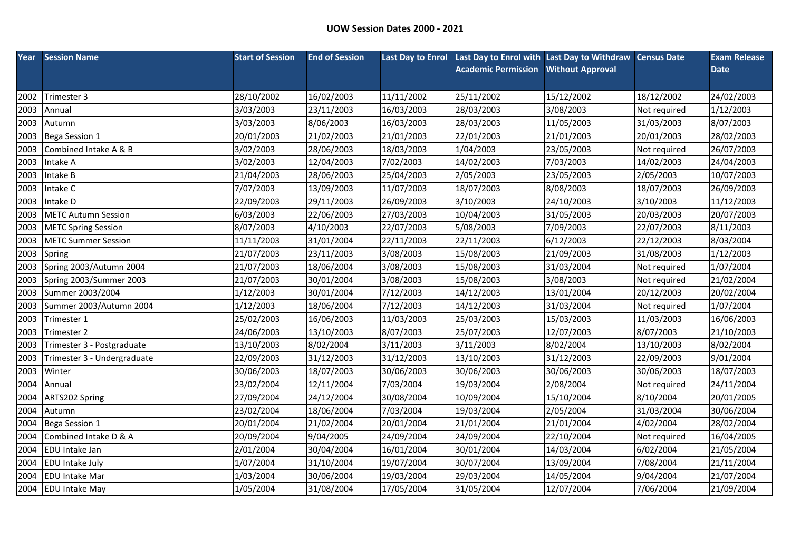| Year | <b>Session Name</b>         | <b>Start of Session</b> | <b>End of Session</b> |            | Last Day to Enrol Last Day to Enrol with Last Day to Withdraw Census Date |                         |              | <b>Exam Release</b> |
|------|-----------------------------|-------------------------|-----------------------|------------|---------------------------------------------------------------------------|-------------------------|--------------|---------------------|
|      |                             |                         |                       |            | <b>Academic Permission</b>                                                | <b>Without Approval</b> |              | <b>Date</b>         |
|      |                             |                         |                       |            |                                                                           |                         |              |                     |
| 2002 | Trimester 3                 | 28/10/2002              | 16/02/2003            | 11/11/2002 | 25/11/2002                                                                | 15/12/2002              | 18/12/2002   | 24/02/2003          |
| 2003 | Annual                      | 3/03/2003               | 23/11/2003            | 16/03/2003 | 28/03/2003                                                                | 3/08/2003               | Not required | 1/12/2003           |
| 2003 | Autumn                      | 3/03/2003               | 8/06/2003             | 16/03/2003 | 28/03/2003                                                                | 11/05/2003              | 31/03/2003   | 8/07/2003           |
| 2003 | Bega Session 1              | 20/01/2003              | 21/02/2003            | 21/01/2003 | 22/01/2003                                                                | 21/01/2003              | 20/01/2003   | 28/02/2003          |
| 2003 | Combined Intake A & B       | 3/02/2003               | 28/06/2003            | 18/03/2003 | 1/04/2003                                                                 | 23/05/2003              | Not required | 26/07/2003          |
| 2003 | Intake A                    | 3/02/2003               | 12/04/2003            | 7/02/2003  | 14/02/2003                                                                | 7/03/2003               | 14/02/2003   | 24/04/2003          |
| 2003 | Intake B                    | 21/04/2003              | 28/06/2003            | 25/04/2003 | 2/05/2003                                                                 | 23/05/2003              | 2/05/2003    | 10/07/2003          |
| 2003 | Intake C                    | 7/07/2003               | 13/09/2003            | 11/07/2003 | 18/07/2003                                                                | 8/08/2003               | 18/07/2003   | 26/09/2003          |
| 2003 | Intake D                    | 22/09/2003              | 29/11/2003            | 26/09/2003 | 3/10/2003                                                                 | 24/10/2003              | 3/10/2003    | 11/12/2003          |
| 2003 | <b>METC Autumn Session</b>  | 6/03/2003               | 22/06/2003            | 27/03/2003 | 10/04/2003                                                                | 31/05/2003              | 20/03/2003   | 20/07/2003          |
| 2003 | <b>METC Spring Session</b>  | 8/07/2003               | 4/10/2003             | 22/07/2003 | 5/08/2003                                                                 | 7/09/2003               | 22/07/2003   | 8/11/2003           |
| 2003 | <b>METC Summer Session</b>  | 11/11/2003              | 31/01/2004            | 22/11/2003 | 22/11/2003                                                                | 6/12/2003               | 22/12/2003   | 8/03/2004           |
| 2003 | Spring                      | 21/07/2003              | 23/11/2003            | 3/08/2003  | 15/08/2003                                                                | 21/09/2003              | 31/08/2003   | 1/12/2003           |
| 2003 | Spring 2003/Autumn 2004     | 21/07/2003              | 18/06/2004            | 3/08/2003  | 15/08/2003                                                                | 31/03/2004              | Not required | 1/07/2004           |
| 2003 | Spring 2003/Summer 2003     | 21/07/2003              | 30/01/2004            | 3/08/2003  | 15/08/2003                                                                | 3/08/2003               | Not required | 21/02/2004          |
| 2003 | Summer 2003/2004            | 1/12/2003               | 30/01/2004            | 7/12/2003  | 14/12/2003                                                                | 13/01/2004              | 20/12/2003   | 20/02/2004          |
| 2003 | Summer 2003/Autumn 2004     | 1/12/2003               | 18/06/2004            | 7/12/2003  | 14/12/2003                                                                | 31/03/2004              | Not required | 1/07/2004           |
| 2003 | Trimester 1                 | 25/02/2003              | 16/06/2003            | 11/03/2003 | 25/03/2003                                                                | 15/03/2003              | 11/03/2003   | 16/06/2003          |
| 2003 | Trimester 2                 | 24/06/2003              | 13/10/2003            | 8/07/2003  | 25/07/2003                                                                | 12/07/2003              | 8/07/2003    | 21/10/2003          |
| 2003 | Trimester 3 - Postgraduate  | 13/10/2003              | 8/02/2004             | 3/11/2003  | 3/11/2003                                                                 | 8/02/2004               | 13/10/2003   | 8/02/2004           |
| 2003 | Trimester 3 - Undergraduate | 22/09/2003              | 31/12/2003            | 31/12/2003 | 13/10/2003                                                                | 31/12/2003              | 22/09/2003   | 9/01/2004           |
| 2003 | Winter                      | 30/06/2003              | 18/07/2003            | 30/06/2003 | 30/06/2003                                                                | 30/06/2003              | 30/06/2003   | 18/07/2003          |
| 2004 | Annual                      | 23/02/2004              | 12/11/2004            | 7/03/2004  | 19/03/2004                                                                | 2/08/2004               | Not required | 24/11/2004          |
| 2004 | ARTS202 Spring              | 27/09/2004              | 24/12/2004            | 30/08/2004 | 10/09/2004                                                                | 15/10/2004              | 8/10/2004    | 20/01/2005          |
| 2004 | Autumn                      | 23/02/2004              | 18/06/2004            | 7/03/2004  | 19/03/2004                                                                | 2/05/2004               | 31/03/2004   | 30/06/2004          |
| 2004 | Bega Session 1              | 20/01/2004              | 21/02/2004            | 20/01/2004 | 21/01/2004                                                                | 21/01/2004              | 4/02/2004    | 28/02/2004          |
| 2004 | Combined Intake D & A       | 20/09/2004              | 9/04/2005             | 24/09/2004 | 24/09/2004                                                                | 22/10/2004              | Not required | 16/04/2005          |
| 2004 | EDU Intake Jan              | 2/01/2004               | 30/04/2004            | 16/01/2004 | 30/01/2004                                                                | 14/03/2004              | 6/02/2004    | 21/05/2004          |
| 2004 | <b>EDU Intake July</b>      | 1/07/2004               | 31/10/2004            | 19/07/2004 | 30/07/2004                                                                | 13/09/2004              | 7/08/2004    | 21/11/2004          |
| 2004 | <b>EDU Intake Mar</b>       | 1/03/2004               | 30/06/2004            | 19/03/2004 | 29/03/2004                                                                | 14/05/2004              | 9/04/2004    | 21/07/2004          |
|      | 2004 EDU Intake May         | 1/05/2004               | 31/08/2004            | 17/05/2004 | 31/05/2004                                                                | 12/07/2004              | 7/06/2004    | 21/09/2004          |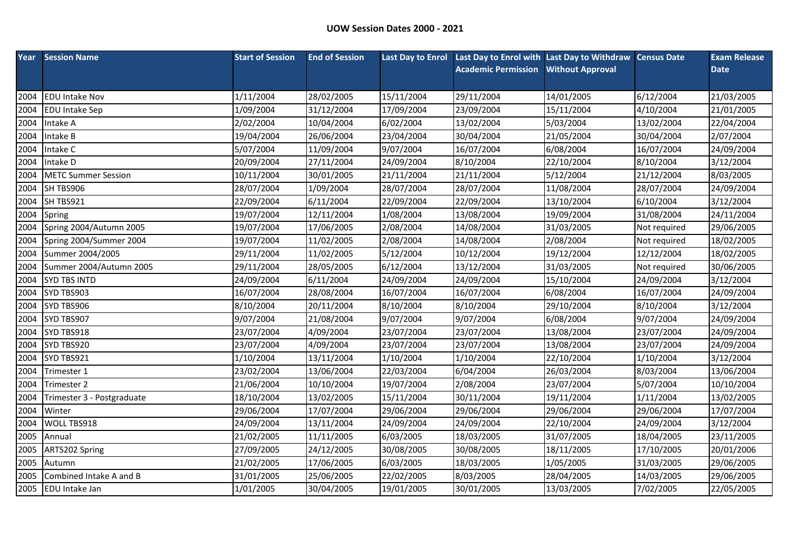| Year | <b>Session Name</b>        | <b>Start of Session</b> | <b>End of Session</b> |            | Last Day to Enrol Last Day to Enrol with Last Day to Withdraw Census Date |                         |              | <b>Exam Release</b> |
|------|----------------------------|-------------------------|-----------------------|------------|---------------------------------------------------------------------------|-------------------------|--------------|---------------------|
|      |                            |                         |                       |            | <b>Academic Permission</b>                                                | <b>Without Approval</b> |              | <b>Date</b>         |
|      |                            |                         |                       |            |                                                                           |                         |              |                     |
| 2004 | <b>EDU Intake Nov</b>      | 1/11/2004               | 28/02/2005            | 15/11/2004 | 29/11/2004                                                                | 14/01/2005              | 6/12/2004    | 21/03/2005          |
| 2004 | <b>EDU Intake Sep</b>      | 1/09/2004               | 31/12/2004            | 17/09/2004 | 23/09/2004                                                                | 15/11/2004              | 4/10/2004    | 21/01/2005          |
| 2004 | Intake A                   | 2/02/2004               | 10/04/2004            | 6/02/2004  | 13/02/2004                                                                | 5/03/2004               | 13/02/2004   | 22/04/2004          |
| 2004 | Intake B                   | 19/04/2004              | 26/06/2004            | 23/04/2004 | 30/04/2004                                                                | 21/05/2004              | 30/04/2004   | 2/07/2004           |
| 2004 | Intake C                   | 5/07/2004               | 11/09/2004            | 9/07/2004  | 16/07/2004                                                                | 6/08/2004               | 16/07/2004   | 24/09/2004          |
| 2004 | Intake D                   | 20/09/2004              | 27/11/2004            | 24/09/2004 | 8/10/2004                                                                 | 22/10/2004              | 8/10/2004    | 3/12/2004           |
| 2004 | <b>METC Summer Session</b> | 10/11/2004              | 30/01/2005            | 21/11/2004 | 21/11/2004                                                                | 5/12/2004               | 21/12/2004   | 8/03/2005           |
| 2004 | SH TBS906                  | 28/07/2004              | 1/09/2004             | 28/07/2004 | 28/07/2004                                                                | 11/08/2004              | 28/07/2004   | 24/09/2004          |
| 2004 | SH TBS921                  | 22/09/2004              | 6/11/2004             | 22/09/2004 | 22/09/2004                                                                | 13/10/2004              | 6/10/2004    | 3/12/2004           |
| 2004 | Spring                     | 19/07/2004              | 12/11/2004            | 1/08/2004  | 13/08/2004                                                                | 19/09/2004              | 31/08/2004   | 24/11/2004          |
| 2004 | Spring 2004/Autumn 2005    | 19/07/2004              | 17/06/2005            | 2/08/2004  | 14/08/2004                                                                | 31/03/2005              | Not required | 29/06/2005          |
| 2004 | Spring 2004/Summer 2004    | 19/07/2004              | 11/02/2005            | 2/08/2004  | 14/08/2004                                                                | 2/08/2004               | Not required | 18/02/2005          |
| 2004 | Summer 2004/2005           | 29/11/2004              | 11/02/2005            | 5/12/2004  | 10/12/2004                                                                | 19/12/2004              | 12/12/2004   | 18/02/2005          |
| 2004 | Summer 2004/Autumn 2005    | 29/11/2004              | 28/05/2005            | 6/12/2004  | 13/12/2004                                                                | 31/03/2005              | Not required | 30/06/2005          |
| 2004 | SYD TBS INTD               | 24/09/2004              | 6/11/2004             | 24/09/2004 | 24/09/2004                                                                | 15/10/2004              | 24/09/2004   | 3/12/2004           |
| 2004 | SYD TBS903                 | 16/07/2004              | 28/08/2004            | 16/07/2004 | 16/07/2004                                                                | 6/08/2004               | 16/07/2004   | 24/09/2004          |
| 2004 | SYD TBS906                 | 8/10/2004               | 20/11/2004            | 8/10/2004  | 8/10/2004                                                                 | 29/10/2004              | 8/10/2004    | 3/12/2004           |
| 2004 | SYD TBS907                 | 9/07/2004               | 21/08/2004            | 9/07/2004  | 9/07/2004                                                                 | 6/08/2004               | 9/07/2004    | 24/09/2004          |
| 2004 | SYD TBS918                 | 23/07/2004              | 4/09/2004             | 23/07/2004 | 23/07/2004                                                                | 13/08/2004              | 23/07/2004   | 24/09/2004          |
| 2004 | SYD TBS920                 | 23/07/2004              | 4/09/2004             | 23/07/2004 | 23/07/2004                                                                | 13/08/2004              | 23/07/2004   | 24/09/2004          |
| 2004 | SYD TBS921                 | 1/10/2004               | 13/11/2004            | 1/10/2004  | 1/10/2004                                                                 | 22/10/2004              | 1/10/2004    | 3/12/2004           |
| 2004 | Trimester 1                | 23/02/2004              | 13/06/2004            | 22/03/2004 | 6/04/2004                                                                 | 26/03/2004              | 8/03/2004    | 13/06/2004          |
| 2004 | Trimester 2                | 21/06/2004              | 10/10/2004            | 19/07/2004 | 2/08/2004                                                                 | 23/07/2004              | 5/07/2004    | 10/10/2004          |
| 2004 | Trimester 3 - Postgraduate | 18/10/2004              | 13/02/2005            | 15/11/2004 | 30/11/2004                                                                | 19/11/2004              | 1/11/2004    | 13/02/2005          |
| 2004 | Winter                     | 29/06/2004              | 17/07/2004            | 29/06/2004 | 29/06/2004                                                                | 29/06/2004              | 29/06/2004   | 17/07/2004          |
| 2004 | WOLL TBS918                | 24/09/2004              | 13/11/2004            | 24/09/2004 | 24/09/2004                                                                | 22/10/2004              | 24/09/2004   | 3/12/2004           |
| 2005 | Annual                     | 21/02/2005              | 11/11/2005            | 6/03/2005  | 18/03/2005                                                                | 31/07/2005              | 18/04/2005   | 23/11/2005          |
| 2005 | ARTS202 Spring             | 27/09/2005              | 24/12/2005            | 30/08/2005 | 30/08/2005                                                                | 18/11/2005              | 17/10/2005   | 20/01/2006          |
| 2005 | Autumn                     | 21/02/2005              | 17/06/2005            | 6/03/2005  | 18/03/2005                                                                | 1/05/2005               | 31/03/2005   | 29/06/2005          |
| 2005 | Combined Intake A and B    | 31/01/2005              | 25/06/2005            | 22/02/2005 | 8/03/2005                                                                 | 28/04/2005              | 14/03/2005   | 29/06/2005          |
|      | 2005 EDU Intake Jan        | 1/01/2005               | 30/04/2005            | 19/01/2005 | 30/01/2005                                                                | 13/03/2005              | 7/02/2005    | 22/05/2005          |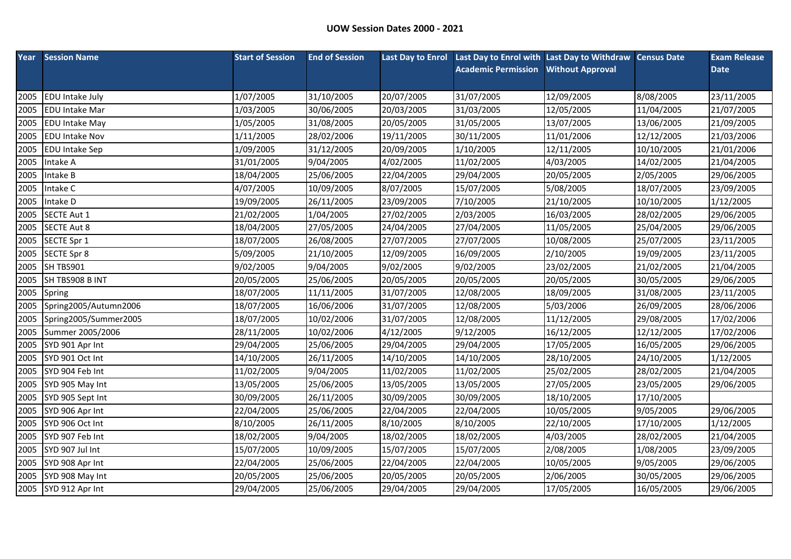|      | <b>Year</b> Session Name | <b>Start of Session</b> | <b>End of Session</b> |            | Last Day to Enrol Last Day to Enrol with Last Day to Withdraw Census Date |                         |            | <b>Exam Release</b> |
|------|--------------------------|-------------------------|-----------------------|------------|---------------------------------------------------------------------------|-------------------------|------------|---------------------|
|      |                          |                         |                       |            | <b>Academic Permission</b>                                                | <b>Without Approval</b> |            | <b>Date</b>         |
|      |                          |                         |                       |            |                                                                           |                         |            |                     |
| 2005 | <b>EDU Intake July</b>   | 1/07/2005               | 31/10/2005            | 20/07/2005 | 31/07/2005                                                                | 12/09/2005              | 8/08/2005  | 23/11/2005          |
| 2005 | <b>EDU Intake Mar</b>    | 1/03/2005               | 30/06/2005            | 20/03/2005 | 31/03/2005                                                                | 12/05/2005              | 11/04/2005 | 21/07/2005          |
| 2005 | <b>EDU Intake May</b>    | 1/05/2005               | 31/08/2005            | 20/05/2005 | 31/05/2005                                                                | 13/07/2005              | 13/06/2005 | 21/09/2005          |
| 2005 | <b>EDU Intake Nov</b>    | 1/11/2005               | 28/02/2006            | 19/11/2005 | 30/11/2005                                                                | 11/01/2006              | 12/12/2005 | 21/03/2006          |
| 2005 | <b>EDU Intake Sep</b>    | 1/09/2005               | 31/12/2005            | 20/09/2005 | 1/10/2005                                                                 | 12/11/2005              | 10/10/2005 | 21/01/2006          |
| 2005 | Intake A                 | 31/01/2005              | 9/04/2005             | 4/02/2005  | 11/02/2005                                                                | 4/03/2005               | 14/02/2005 | 21/04/2005          |
| 2005 | Intake B                 | 18/04/2005              | 25/06/2005            | 22/04/2005 | 29/04/2005                                                                | 20/05/2005              | 2/05/2005  | 29/06/2005          |
| 2005 | Intake C                 | 4/07/2005               | 10/09/2005            | 8/07/2005  | 15/07/2005                                                                | 5/08/2005               | 18/07/2005 | 23/09/2005          |
| 2005 | Intake D                 | 19/09/2005              | 26/11/2005            | 23/09/2005 | 7/10/2005                                                                 | 21/10/2005              | 10/10/2005 | 1/12/2005           |
| 2005 | SECTE Aut 1              | 21/02/2005              | 1/04/2005             | 27/02/2005 | 2/03/2005                                                                 | 16/03/2005              | 28/02/2005 | 29/06/2005          |
| 2005 | <b>SECTE Aut 8</b>       | 18/04/2005              | 27/05/2005            | 24/04/2005 | 27/04/2005                                                                | 11/05/2005              | 25/04/2005 | 29/06/2005          |
| 2005 | SECTE Spr 1              | 18/07/2005              | 26/08/2005            | 27/07/2005 | 27/07/2005                                                                | 10/08/2005              | 25/07/2005 | 23/11/2005          |
| 2005 | SECTE Spr 8              | 5/09/2005               | 21/10/2005            | 12/09/2005 | 16/09/2005                                                                | 2/10/2005               | 19/09/2005 | 23/11/2005          |
| 2005 | SH TBS901                | 9/02/2005               | 9/04/2005             | 9/02/2005  | 9/02/2005                                                                 | 23/02/2005              | 21/02/2005 | 21/04/2005          |
| 2005 | SH TBS908 B INT          | 20/05/2005              | 25/06/2005            | 20/05/2005 | 20/05/2005                                                                | 20/05/2005              | 30/05/2005 | 29/06/2005          |
| 2005 | Spring                   | 18/07/2005              | 11/11/2005            | 31/07/2005 | 12/08/2005                                                                | 18/09/2005              | 31/08/2005 | 23/11/2005          |
| 2005 | Spring2005/Autumn2006    | 18/07/2005              | 16/06/2006            | 31/07/2005 | 12/08/2005                                                                | 5/03/2006               | 26/09/2005 | 28/06/2006          |
| 2005 | Spring2005/Summer2005    | 18/07/2005              | 10/02/2006            | 31/07/2005 | 12/08/2005                                                                | 11/12/2005              | 29/08/2005 | 17/02/2006          |
| 2005 | Summer 2005/2006         | 28/11/2005              | 10/02/2006            | 4/12/2005  | 9/12/2005                                                                 | 16/12/2005              | 12/12/2005 | 17/02/2006          |
| 2005 | SYD 901 Apr Int          | 29/04/2005              | 25/06/2005            | 29/04/2005 | 29/04/2005                                                                | 17/05/2005              | 16/05/2005 | 29/06/2005          |
| 2005 | SYD 901 Oct Int          | 14/10/2005              | 26/11/2005            | 14/10/2005 | 14/10/2005                                                                | 28/10/2005              | 24/10/2005 | 1/12/2005           |
| 2005 | SYD 904 Feb Int          | 11/02/2005              | 9/04/2005             | 11/02/2005 | 11/02/2005                                                                | 25/02/2005              | 28/02/2005 | 21/04/2005          |
| 2005 | SYD 905 May Int          | 13/05/2005              | 25/06/2005            | 13/05/2005 | 13/05/2005                                                                | 27/05/2005              | 23/05/2005 | 29/06/2005          |
| 2005 | SYD 905 Sept Int         | 30/09/2005              | 26/11/2005            | 30/09/2005 | 30/09/2005                                                                | 18/10/2005              | 17/10/2005 |                     |
| 2005 | SYD 906 Apr Int          | 22/04/2005              | 25/06/2005            | 22/04/2005 | 22/04/2005                                                                | 10/05/2005              | 9/05/2005  | 29/06/2005          |
| 2005 | SYD 906 Oct Int          | 8/10/2005               | 26/11/2005            | 8/10/2005  | 8/10/2005                                                                 | 22/10/2005              | 17/10/2005 | 1/12/2005           |
| 2005 | SYD 907 Feb Int          | 18/02/2005              | 9/04/2005             | 18/02/2005 | 18/02/2005                                                                | 4/03/2005               | 28/02/2005 | 21/04/2005          |
| 2005 | SYD 907 Jul Int          | 15/07/2005              | 10/09/2005            | 15/07/2005 | 15/07/2005                                                                | 2/08/2005               | 1/08/2005  | 23/09/2005          |
| 2005 | SYD 908 Apr Int          | 22/04/2005              | 25/06/2005            | 22/04/2005 | 22/04/2005                                                                | 10/05/2005              | 9/05/2005  | 29/06/2005          |
| 2005 | SYD 908 May Int          | 20/05/2005              | 25/06/2005            | 20/05/2005 | 20/05/2005                                                                | 2/06/2005               | 30/05/2005 | 29/06/2005          |
|      | 2005 SYD 912 Apr Int     | 29/04/2005              | 25/06/2005            | 29/04/2005 | 29/04/2005                                                                | 17/05/2005              | 16/05/2005 | 29/06/2005          |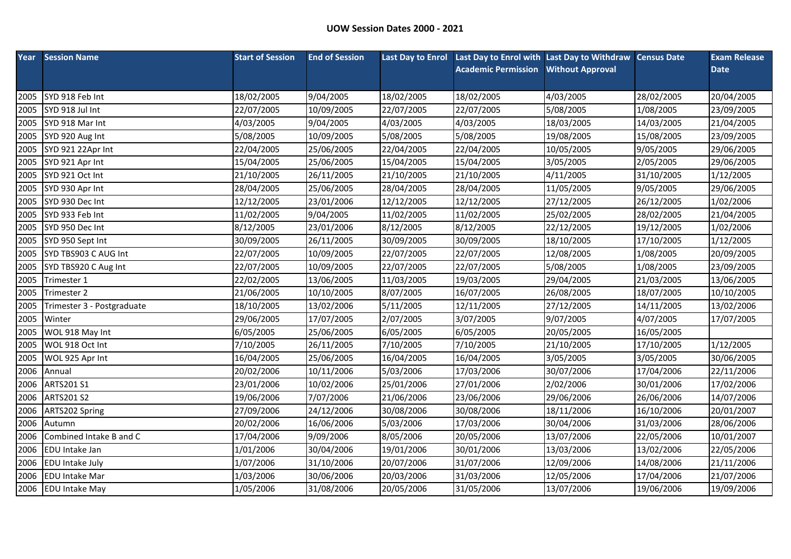| Year | <b>Session Name</b>        | <b>Start of Session</b> | <b>End of Session</b> | <b>Last Day to Enrol</b> | Last Day to Enrol with Last Day to Withdraw Census Date |                         |            | <b>Exam Release</b> |
|------|----------------------------|-------------------------|-----------------------|--------------------------|---------------------------------------------------------|-------------------------|------------|---------------------|
|      |                            |                         |                       |                          | <b>Academic Permission</b>                              | <b>Without Approval</b> |            | <b>Date</b>         |
|      |                            |                         |                       |                          |                                                         |                         |            |                     |
| 2005 | SYD 918 Feb Int            | 18/02/2005              | 9/04/2005             | 18/02/2005               | 18/02/2005                                              | 4/03/2005               | 28/02/2005 | 20/04/2005          |
| 2005 | SYD 918 Jul Int            | 22/07/2005              | 10/09/2005            | 22/07/2005               | 22/07/2005                                              | 5/08/2005               | 1/08/2005  | 23/09/2005          |
| 2005 | SYD 918 Mar Int            | 4/03/2005               | 9/04/2005             | 4/03/2005                | 4/03/2005                                               | 18/03/2005              | 14/03/2005 | 21/04/2005          |
| 2005 | SYD 920 Aug Int            | 5/08/2005               | 10/09/2005            | 5/08/2005                | 5/08/2005                                               | 19/08/2005              | 15/08/2005 | 23/09/2005          |
| 2005 | SYD 921 22Apr Int          | 22/04/2005              | 25/06/2005            | 22/04/2005               | 22/04/2005                                              | 10/05/2005              | 9/05/2005  | 29/06/2005          |
| 2005 | SYD 921 Apr Int            | 15/04/2005              | 25/06/2005            | 15/04/2005               | 15/04/2005                                              | 3/05/2005               | 2/05/2005  | 29/06/2005          |
| 2005 | SYD 921 Oct Int            | 21/10/2005              | 26/11/2005            | 21/10/2005               | 21/10/2005                                              | 4/11/2005               | 31/10/2005 | 1/12/2005           |
| 2005 | SYD 930 Apr Int            | 28/04/2005              | 25/06/2005            | 28/04/2005               | 28/04/2005                                              | 11/05/2005              | 9/05/2005  | 29/06/2005          |
| 2005 | SYD 930 Dec Int            | 12/12/2005              | 23/01/2006            | 12/12/2005               | 12/12/2005                                              | 27/12/2005              | 26/12/2005 | 1/02/2006           |
| 2005 | SYD 933 Feb Int            | 11/02/2005              | 9/04/2005             | 11/02/2005               | 11/02/2005                                              | 25/02/2005              | 28/02/2005 | 21/04/2005          |
| 2005 | SYD 950 Dec Int            | 8/12/2005               | 23/01/2006            | 8/12/2005                | 8/12/2005                                               | 22/12/2005              | 19/12/2005 | 1/02/2006           |
| 2005 | SYD 950 Sept Int           | 30/09/2005              | 26/11/2005            | 30/09/2005               | 30/09/2005                                              | 18/10/2005              | 17/10/2005 | 1/12/2005           |
| 2005 | SYD TBS903 C AUG Int       | 22/07/2005              | 10/09/2005            | 22/07/2005               | 22/07/2005                                              | 12/08/2005              | 1/08/2005  | 20/09/2005          |
| 2005 | SYD TBS920 C Aug Int       | 22/07/2005              | 10/09/2005            | 22/07/2005               | 22/07/2005                                              | 5/08/2005               | 1/08/2005  | 23/09/2005          |
| 2005 | Trimester 1                | 22/02/2005              | 13/06/2005            | 11/03/2005               | 19/03/2005                                              | 29/04/2005              | 21/03/2005 | 13/06/2005          |
| 2005 | Trimester 2                | 21/06/2005              | 10/10/2005            | 8/07/2005                | 16/07/2005                                              | 26/08/2005              | 18/07/2005 | 10/10/2005          |
| 2005 | Trimester 3 - Postgraduate | 18/10/2005              | 13/02/2006            | 5/11/2005                | 12/11/2005                                              | 27/12/2005              | 14/11/2005 | 13/02/2006          |
| 2005 | Winter                     | 29/06/2005              | 17/07/2005            | 2/07/2005                | 3/07/2005                                               | 9/07/2005               | 4/07/2005  | 17/07/2005          |
| 2005 | WOL 918 May Int            | 6/05/2005               | 25/06/2005            | 6/05/2005                | 6/05/2005                                               | 20/05/2005              | 16/05/2005 |                     |
| 2005 | WOL 918 Oct Int            | 7/10/2005               | 26/11/2005            | 7/10/2005                | 7/10/2005                                               | 21/10/2005              | 17/10/2005 | 1/12/2005           |
| 2005 | WOL 925 Apr Int            | 16/04/2005              | 25/06/2005            | 16/04/2005               | 16/04/2005                                              | 3/05/2005               | 3/05/2005  | 30/06/2005          |
| 2006 | Annual                     | 20/02/2006              | 10/11/2006            | 5/03/2006                | 17/03/2006                                              | 30/07/2006              | 17/04/2006 | 22/11/2006          |
| 2006 | <b>ARTS201 S1</b>          | 23/01/2006              | 10/02/2006            | 25/01/2006               | 27/01/2006                                              | 2/02/2006               | 30/01/2006 | 17/02/2006          |
| 2006 | <b>ARTS201 S2</b>          | 19/06/2006              | 7/07/2006             | 21/06/2006               | 23/06/2006                                              | 29/06/2006              | 26/06/2006 | 14/07/2006          |
| 2006 | ARTS202 Spring             | 27/09/2006              | 24/12/2006            | 30/08/2006               | 30/08/2006                                              | 18/11/2006              | 16/10/2006 | 20/01/2007          |
| 2006 | Autumn                     | 20/02/2006              | 16/06/2006            | 5/03/2006                | 17/03/2006                                              | 30/04/2006              | 31/03/2006 | 28/06/2006          |
| 2006 | Combined Intake B and C    | 17/04/2006              | 9/09/2006             | 8/05/2006                | 20/05/2006                                              | 13/07/2006              | 22/05/2006 | 10/01/2007          |
| 2006 | EDU Intake Jan             | 1/01/2006               | 30/04/2006            | 19/01/2006               | 30/01/2006                                              | 13/03/2006              | 13/02/2006 | 22/05/2006          |
| 2006 | EDU Intake July            | 1/07/2006               | 31/10/2006            | 20/07/2006               | 31/07/2006                                              | 12/09/2006              | 14/08/2006 | 21/11/2006          |
| 2006 | <b>EDU Intake Mar</b>      | 1/03/2006               | 30/06/2006            | 20/03/2006               | 31/03/2006                                              | 12/05/2006              | 17/04/2006 | 21/07/2006          |
| 2006 | <b>EDU Intake May</b>      | 1/05/2006               | 31/08/2006            | 20/05/2006               | 31/05/2006                                              | 13/07/2006              | 19/06/2006 | 19/09/2006          |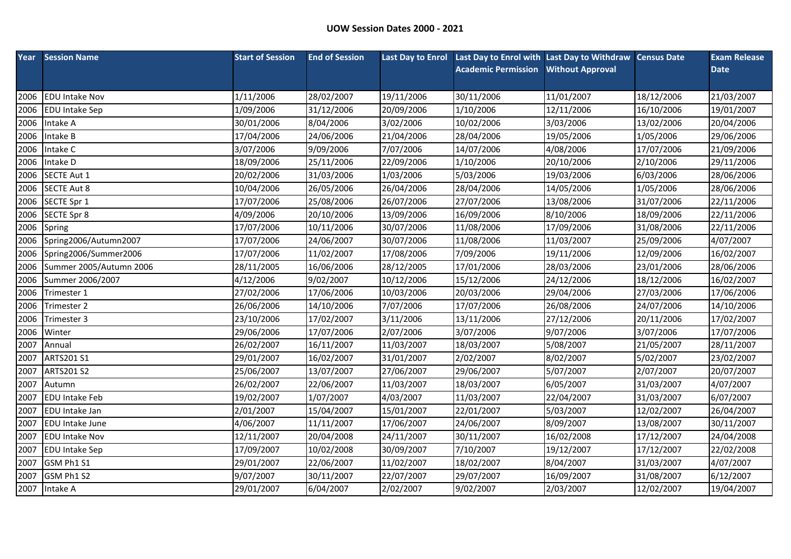| Year | <b>Session Name</b>     | <b>Start of Session</b> | <b>End of Session</b> | <b>Last Day to Enrol</b> | Last Day to Enrol with Last Day to Withdraw Census Date |                         |            | <b>Exam Release</b> |
|------|-------------------------|-------------------------|-----------------------|--------------------------|---------------------------------------------------------|-------------------------|------------|---------------------|
|      |                         |                         |                       |                          | <b>Academic Permission</b>                              | <b>Without Approval</b> |            | <b>Date</b>         |
|      |                         |                         |                       |                          |                                                         |                         |            |                     |
| 2006 | <b>EDU Intake Nov</b>   | 1/11/2006               | 28/02/2007            | 19/11/2006               | 30/11/2006                                              | 11/01/2007              | 18/12/2006 | 21/03/2007          |
| 2006 | <b>EDU Intake Sep</b>   | 1/09/2006               | 31/12/2006            | 20/09/2006               | 1/10/2006                                               | 12/11/2006              | 16/10/2006 | 19/01/2007          |
| 2006 | Intake A                | 30/01/2006              | 8/04/2006             | 3/02/2006                | 10/02/2006                                              | 3/03/2006               | 13/02/2006 | 20/04/2006          |
| 2006 | Intake B                | 17/04/2006              | 24/06/2006            | 21/04/2006               | 28/04/2006                                              | 19/05/2006              | 1/05/2006  | 29/06/2006          |
| 2006 | Intake C                | 3/07/2006               | 9/09/2006             | 7/07/2006                | 14/07/2006                                              | 4/08/2006               | 17/07/2006 | 21/09/2006          |
| 2006 | Intake D                | 18/09/2006              | 25/11/2006            | 22/09/2006               | 1/10/2006                                               | 20/10/2006              | 2/10/2006  | 29/11/2006          |
| 2006 | <b>SECTE Aut 1</b>      | 20/02/2006              | 31/03/2006            | 1/03/2006                | 5/03/2006                                               | 19/03/2006              | 6/03/2006  | 28/06/2006          |
| 2006 | <b>SECTE Aut 8</b>      | 10/04/2006              | 26/05/2006            | 26/04/2006               | 28/04/2006                                              | 14/05/2006              | 1/05/2006  | 28/06/2006          |
| 2006 | SECTE Spr 1             | 17/07/2006              | 25/08/2006            | 26/07/2006               | 27/07/2006                                              | 13/08/2006              | 31/07/2006 | 22/11/2006          |
| 2006 | SECTE Spr 8             | 4/09/2006               | 20/10/2006            | 13/09/2006               | 16/09/2006                                              | 8/10/2006               | 18/09/2006 | 22/11/2006          |
| 2006 | Spring                  | 17/07/2006              | 10/11/2006            | 30/07/2006               | 11/08/2006                                              | 17/09/2006              | 31/08/2006 | 22/11/2006          |
| 2006 | Spring2006/Autumn2007   | 17/07/2006              | 24/06/2007            | 30/07/2006               | 11/08/2006                                              | 11/03/2007              | 25/09/2006 | 4/07/2007           |
| 2006 | Spring2006/Summer2006   | 17/07/2006              | 11/02/2007            | 17/08/2006               | 7/09/2006                                               | 19/11/2006              | 12/09/2006 | 16/02/2007          |
| 2006 | Summer 2005/Autumn 2006 | 28/11/2005              | 16/06/2006            | 28/12/2005               | 17/01/2006                                              | 28/03/2006              | 23/01/2006 | 28/06/2006          |
| 2006 | Summer 2006/2007        | 4/12/2006               | 9/02/2007             | 10/12/2006               | 15/12/2006                                              | 24/12/2006              | 18/12/2006 | 16/02/2007          |
| 2006 | Trimester 1             | 27/02/2006              | 17/06/2006            | 10/03/2006               | 20/03/2006                                              | 29/04/2006              | 27/03/2006 | 17/06/2006          |
| 2006 | Trimester 2             | 26/06/2006              | 14/10/2006            | 7/07/2006                | 17/07/2006                                              | 26/08/2006              | 24/07/2006 | 14/10/2006          |
| 2006 | Trimester 3             | 23/10/2006              | 17/02/2007            | 3/11/2006                | 13/11/2006                                              | 27/12/2006              | 20/11/2006 | 17/02/2007          |
| 2006 | Winter                  | 29/06/2006              | 17/07/2006            | 2/07/2006                | 3/07/2006                                               | 9/07/2006               | 3/07/2006  | 17/07/2006          |
| 2007 | Annual                  | 26/02/2007              | 16/11/2007            | 11/03/2007               | 18/03/2007                                              | 5/08/2007               | 21/05/2007 | 28/11/2007          |
| 2007 | ARTS201 S1              | 29/01/2007              | 16/02/2007            | 31/01/2007               | 2/02/2007                                               | 8/02/2007               | 5/02/2007  | 23/02/2007          |
| 2007 | <b>ARTS201 S2</b>       | 25/06/2007              | 13/07/2007            | 27/06/2007               | 29/06/2007                                              | 5/07/2007               | 2/07/2007  | 20/07/2007          |
| 2007 | Autumn                  | 26/02/2007              | 22/06/2007            | 11/03/2007               | 18/03/2007                                              | 6/05/2007               | 31/03/2007 | 4/07/2007           |
| 2007 | <b>EDU Intake Feb</b>   | 19/02/2007              | 1/07/2007             | 4/03/2007                | 11/03/2007                                              | 22/04/2007              | 31/03/2007 | 6/07/2007           |
| 2007 | EDU Intake Jan          | 2/01/2007               | 15/04/2007            | 15/01/2007               | 22/01/2007                                              | 5/03/2007               | 12/02/2007 | 26/04/2007          |
| 2007 | EDU Intake June         | 4/06/2007               | 11/11/2007            | 17/06/2007               | 24/06/2007                                              | 8/09/2007               | 13/08/2007 | 30/11/2007          |
| 2007 | <b>EDU Intake Nov</b>   | 12/11/2007              | 20/04/2008            | 24/11/2007               | 30/11/2007                                              | 16/02/2008              | 17/12/2007 | 24/04/2008          |
| 2007 | <b>EDU Intake Sep</b>   | 17/09/2007              | 10/02/2008            | 30/09/2007               | 7/10/2007                                               | 19/12/2007              | 17/12/2007 | 22/02/2008          |
| 2007 | GSM Ph1 S1              | 29/01/2007              | 22/06/2007            | 11/02/2007               | 18/02/2007                                              | 8/04/2007               | 31/03/2007 | 4/07/2007           |
| 2007 | GSM Ph1 S2              | 9/07/2007               | 30/11/2007            | 22/07/2007               | 29/07/2007                                              | 16/09/2007              | 31/08/2007 | 6/12/2007           |
|      | 2007 Intake A           | 29/01/2007              | 6/04/2007             | 2/02/2007                | 9/02/2007                                               | 2/03/2007               | 12/02/2007 | 19/04/2007          |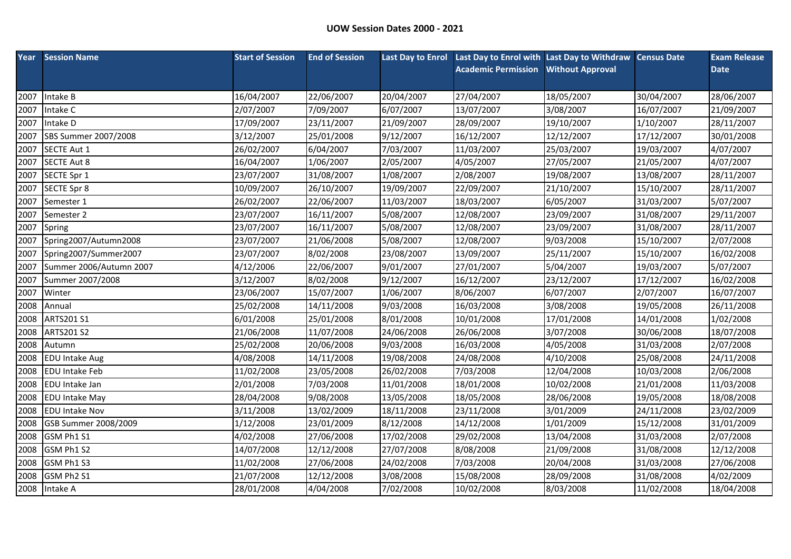|      | <b>Year Session Name</b> | <b>Start of Session</b> | <b>End of Session</b> |            | Last Day to Enrol Last Day to Enrol with Last Day to Withdraw Census Date |                         |            | <b>Exam Release</b> |
|------|--------------------------|-------------------------|-----------------------|------------|---------------------------------------------------------------------------|-------------------------|------------|---------------------|
|      |                          |                         |                       |            | <b>Academic Permission</b>                                                | <b>Without Approval</b> |            | <b>Date</b>         |
|      |                          |                         |                       |            |                                                                           |                         |            |                     |
| 2007 | Intake B                 | 16/04/2007              | 22/06/2007            | 20/04/2007 | 27/04/2007                                                                | 18/05/2007              | 30/04/2007 | 28/06/2007          |
| 2007 | Intake C                 | 2/07/2007               | 7/09/2007             | 6/07/2007  | 13/07/2007                                                                | 3/08/2007               | 16/07/2007 | 21/09/2007          |
| 2007 | Intake D                 | 17/09/2007              | 23/11/2007            | 21/09/2007 | 28/09/2007                                                                | 19/10/2007              | 1/10/2007  | 28/11/2007          |
| 2007 | SBS Summer 2007/2008     | 3/12/2007               | 25/01/2008            | 9/12/2007  | 16/12/2007                                                                | 12/12/2007              | 17/12/2007 | 30/01/2008          |
| 2007 | SECTE Aut 1              | 26/02/2007              | 6/04/2007             | 7/03/2007  | 11/03/2007                                                                | 25/03/2007              | 19/03/2007 | 4/07/2007           |
| 2007 | <b>SECTE Aut 8</b>       | 16/04/2007              | 1/06/2007             | 2/05/2007  | 4/05/2007                                                                 | 27/05/2007              | 21/05/2007 | 4/07/2007           |
| 2007 | SECTE Spr 1              | 23/07/2007              | 31/08/2007            | 1/08/2007  | 2/08/2007                                                                 | 19/08/2007              | 13/08/2007 | 28/11/2007          |
| 2007 | <b>SECTE Spr 8</b>       | 10/09/2007              | 26/10/2007            | 19/09/2007 | 22/09/2007                                                                | 21/10/2007              | 15/10/2007 | 28/11/2007          |
| 2007 | Semester 1               | 26/02/2007              | 22/06/2007            | 11/03/2007 | 18/03/2007                                                                | 6/05/2007               | 31/03/2007 | 5/07/2007           |
| 2007 | Semester 2               | 23/07/2007              | 16/11/2007            | 5/08/2007  | 12/08/2007                                                                | 23/09/2007              | 31/08/2007 | 29/11/2007          |
| 2007 | Spring                   | 23/07/2007              | 16/11/2007            | 5/08/2007  | 12/08/2007                                                                | 23/09/2007              | 31/08/2007 | 28/11/2007          |
| 2007 | Spring2007/Autumn2008    | 23/07/2007              | 21/06/2008            | 5/08/2007  | 12/08/2007                                                                | 9/03/2008               | 15/10/2007 | 2/07/2008           |
| 2007 | Spring2007/Summer2007    | 23/07/2007              | 8/02/2008             | 23/08/2007 | 13/09/2007                                                                | 25/11/2007              | 15/10/2007 | 16/02/2008          |
| 2007 | Summer 2006/Autumn 2007  | 4/12/2006               | 22/06/2007            | 9/01/2007  | 27/01/2007                                                                | 5/04/2007               | 19/03/2007 | 5/07/2007           |
| 2007 | Summer 2007/2008         | 3/12/2007               | 8/02/2008             | 9/12/2007  | 16/12/2007                                                                | 23/12/2007              | 17/12/2007 | 16/02/2008          |
| 2007 | Winter                   | 23/06/2007              | 15/07/2007            | 1/06/2007  | 8/06/2007                                                                 | 6/07/2007               | 2/07/2007  | 16/07/2007          |
| 2008 | Annual                   | 25/02/2008              | 14/11/2008            | 9/03/2008  | 16/03/2008                                                                | 3/08/2008               | 19/05/2008 | 26/11/2008          |
| 2008 | ARTS201 S1               | 6/01/2008               | 25/01/2008            | 8/01/2008  | 10/01/2008                                                                | 17/01/2008              | 14/01/2008 | 1/02/2008           |
| 2008 | <b>ARTS201 S2</b>        | 21/06/2008              | 11/07/2008            | 24/06/2008 | 26/06/2008                                                                | 3/07/2008               | 30/06/2008 | 18/07/2008          |
| 2008 | Autumn                   | 25/02/2008              | 20/06/2008            | 9/03/2008  | 16/03/2008                                                                | 4/05/2008               | 31/03/2008 | 2/07/2008           |
| 2008 | <b>EDU Intake Aug</b>    | 4/08/2008               | 14/11/2008            | 19/08/2008 | 24/08/2008                                                                | 4/10/2008               | 25/08/2008 | 24/11/2008          |
| 2008 | <b>EDU Intake Feb</b>    | 11/02/2008              | 23/05/2008            | 26/02/2008 | 7/03/2008                                                                 | 12/04/2008              | 10/03/2008 | 2/06/2008           |
| 2008 | <b>EDU</b> Intake Jan    | 2/01/2008               | 7/03/2008             | 11/01/2008 | 18/01/2008                                                                | 10/02/2008              | 21/01/2008 | 11/03/2008          |
| 2008 | <b>EDU Intake May</b>    | 28/04/2008              | 9/08/2008             | 13/05/2008 | 18/05/2008                                                                | 28/06/2008              | 19/05/2008 | 18/08/2008          |
| 2008 | <b>EDU Intake Nov</b>    | 3/11/2008               | 13/02/2009            | 18/11/2008 | 23/11/2008                                                                | 3/01/2009               | 24/11/2008 | 23/02/2009          |
| 2008 | GSB Summer 2008/2009     | 1/12/2008               | 23/01/2009            | 8/12/2008  | 14/12/2008                                                                | 1/01/2009               | 15/12/2008 | 31/01/2009          |
| 2008 | GSM Ph1 S1               | 4/02/2008               | 27/06/2008            | 17/02/2008 | 29/02/2008                                                                | 13/04/2008              | 31/03/2008 | 2/07/2008           |
| 2008 | GSM Ph1 S2               | 14/07/2008              | 12/12/2008            | 27/07/2008 | 8/08/2008                                                                 | 21/09/2008              | 31/08/2008 | 12/12/2008          |
| 2008 | GSM Ph1 S3               | 11/02/2008              | 27/06/2008            | 24/02/2008 | 7/03/2008                                                                 | 20/04/2008              | 31/03/2008 | 27/06/2008          |
| 2008 | GSM Ph2 S1               | 21/07/2008              | 12/12/2008            | 3/08/2008  | 15/08/2008                                                                | 28/09/2008              | 31/08/2008 | 4/02/2009           |
|      | 2008 Intake A            | 28/01/2008              | 4/04/2008             | 7/02/2008  | 10/02/2008                                                                | 8/03/2008               | 11/02/2008 | 18/04/2008          |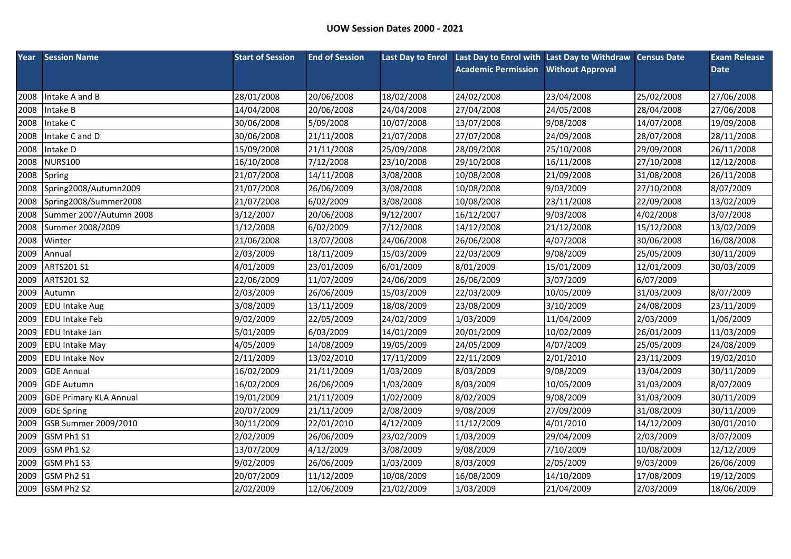| Year | <b>Session Name</b>           | <b>Start of Session</b> | <b>End of Session</b> |            | Last Day to Enrol Last Day to Enrol with Last Day to Withdraw Census Date |                         |            | <b>Exam Release</b> |
|------|-------------------------------|-------------------------|-----------------------|------------|---------------------------------------------------------------------------|-------------------------|------------|---------------------|
|      |                               |                         |                       |            | <b>Academic Permission</b>                                                | <b>Without Approval</b> |            | <b>Date</b>         |
|      |                               |                         |                       |            |                                                                           |                         |            |                     |
| 2008 | Intake A and B                | 28/01/2008              | 20/06/2008            | 18/02/2008 | 24/02/2008                                                                | 23/04/2008              | 25/02/2008 | 27/06/2008          |
| 2008 | Intake B                      | 14/04/2008              | 20/06/2008            | 24/04/2008 | 27/04/2008                                                                | 24/05/2008              | 28/04/2008 | 27/06/2008          |
| 2008 | Intake C                      | 30/06/2008              | 5/09/2008             | 10/07/2008 | 13/07/2008                                                                | 9/08/2008               | 14/07/2008 | 19/09/2008          |
| 2008 | Intake C and D                | 30/06/2008              | 21/11/2008            | 21/07/2008 | 27/07/2008                                                                | 24/09/2008              | 28/07/2008 | 28/11/2008          |
| 2008 | Intake D                      | 15/09/2008              | 21/11/2008            | 25/09/2008 | 28/09/2008                                                                | 25/10/2008              | 29/09/2008 | 26/11/2008          |
| 2008 | <b>NURS100</b>                | 16/10/2008              | 7/12/2008             | 23/10/2008 | 29/10/2008                                                                | 16/11/2008              | 27/10/2008 | 12/12/2008          |
| 2008 | Spring                        | 21/07/2008              | 14/11/2008            | 3/08/2008  | 10/08/2008                                                                | 21/09/2008              | 31/08/2008 | 26/11/2008          |
| 2008 | Spring2008/Autumn2009         | 21/07/2008              | 26/06/2009            | 3/08/2008  | 10/08/2008                                                                | 9/03/2009               | 27/10/2008 | 8/07/2009           |
| 2008 | Spring2008/Summer2008         | 21/07/2008              | 6/02/2009             | 3/08/2008  | 10/08/2008                                                                | 23/11/2008              | 22/09/2008 | 13/02/2009          |
| 2008 | Summer 2007/Autumn 2008       | 3/12/2007               | 20/06/2008            | 9/12/2007  | 16/12/2007                                                                | 9/03/2008               | 4/02/2008  | 3/07/2008           |
| 2008 | Summer 2008/2009              | 1/12/2008               | 6/02/2009             | 7/12/2008  | 14/12/2008                                                                | 21/12/2008              | 15/12/2008 | 13/02/2009          |
| 2008 | Winter                        | 21/06/2008              | 13/07/2008            | 24/06/2008 | 26/06/2008                                                                | 4/07/2008               | 30/06/2008 | 16/08/2008          |
| 2009 | Annual                        | 2/03/2009               | 18/11/2009            | 15/03/2009 | 22/03/2009                                                                | 9/08/2009               | 25/05/2009 | 30/11/2009          |
| 2009 | ARTS201 S1                    | 4/01/2009               | 23/01/2009            | 6/01/2009  | 8/01/2009                                                                 | 15/01/2009              | 12/01/2009 | 30/03/2009          |
| 2009 | <b>ARTS201 S2</b>             | 22/06/2009              | 11/07/2009            | 24/06/2009 | 26/06/2009                                                                | 3/07/2009               | 6/07/2009  |                     |
| 2009 | Autumn                        | 2/03/2009               | 26/06/2009            | 15/03/2009 | 22/03/2009                                                                | 10/05/2009              | 31/03/2009 | 8/07/2009           |
| 2009 | <b>EDU Intake Aug</b>         | 3/08/2009               | 13/11/2009            | 18/08/2009 | 23/08/2009                                                                | 3/10/2009               | 24/08/2009 | 23/11/2009          |
| 2009 | <b>EDU Intake Feb</b>         | 9/02/2009               | 22/05/2009            | 24/02/2009 | 1/03/2009                                                                 | 11/04/2009              | 2/03/2009  | 1/06/2009           |
| 2009 | EDU Intake Jan                | 5/01/2009               | 6/03/2009             | 14/01/2009 | 20/01/2009                                                                | 10/02/2009              | 26/01/2009 | 11/03/2009          |
| 2009 | <b>EDU Intake May</b>         | 4/05/2009               | 14/08/2009            | 19/05/2009 | 24/05/2009                                                                | 4/07/2009               | 25/05/2009 | 24/08/2009          |
| 2009 | <b>EDU Intake Nov</b>         | 2/11/2009               | 13/02/2010            | 17/11/2009 | 22/11/2009                                                                | 2/01/2010               | 23/11/2009 | 19/02/2010          |
| 2009 | <b>GDE Annual</b>             | 16/02/2009              | 21/11/2009            | 1/03/2009  | 8/03/2009                                                                 | 9/08/2009               | 13/04/2009 | 30/11/2009          |
| 2009 | <b>GDE Autumn</b>             | 16/02/2009              | 26/06/2009            | 1/03/2009  | 8/03/2009                                                                 | 10/05/2009              | 31/03/2009 | 8/07/2009           |
| 2009 | <b>GDE Primary KLA Annual</b> | 19/01/2009              | 21/11/2009            | 1/02/2009  | 8/02/2009                                                                 | 9/08/2009               | 31/03/2009 | 30/11/2009          |
| 2009 | <b>GDE Spring</b>             | 20/07/2009              | 21/11/2009            | 2/08/2009  | 9/08/2009                                                                 | 27/09/2009              | 31/08/2009 | 30/11/2009          |
| 2009 | GSB Summer 2009/2010          | 30/11/2009              | 22/01/2010            | 4/12/2009  | 11/12/2009                                                                | 4/01/2010               | 14/12/2009 | 30/01/2010          |
| 2009 | GSM Ph1 S1                    | 2/02/2009               | 26/06/2009            | 23/02/2009 | 1/03/2009                                                                 | 29/04/2009              | 2/03/2009  | 3/07/2009           |
| 2009 | GSM Ph1 S2                    | 13/07/2009              | 4/12/2009             | 3/08/2009  | 9/08/2009                                                                 | 7/10/2009               | 10/08/2009 | 12/12/2009          |
| 2009 | GSM Ph1 S3                    | 9/02/2009               | 26/06/2009            | 1/03/2009  | 8/03/2009                                                                 | 2/05/2009               | 9/03/2009  | 26/06/2009          |
| 2009 | GSM Ph2 S1                    | 20/07/2009              | 11/12/2009            | 10/08/2009 | 16/08/2009                                                                | 14/10/2009              | 17/08/2009 | 19/12/2009          |
| 2009 | GSM Ph2 S2                    | 2/02/2009               | 12/06/2009            | 21/02/2009 | 1/03/2009                                                                 | 21/04/2009              | 2/03/2009  | 18/06/2009          |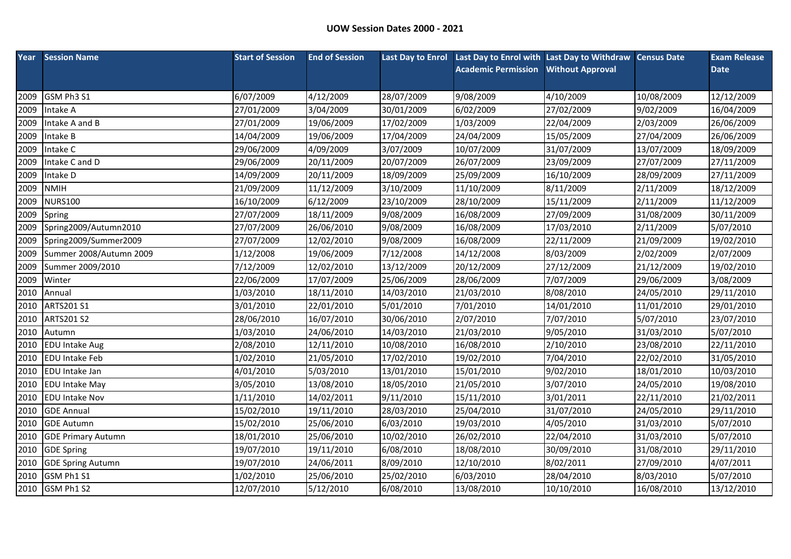|      | <b>Year</b> Session Name  | <b>Start of Session</b> | <b>End of Session</b> |            | Last Day to Enrol Last Day to Enrol with Last Day to Withdraw Census Date |                         |            | <b>Exam Release</b> |
|------|---------------------------|-------------------------|-----------------------|------------|---------------------------------------------------------------------------|-------------------------|------------|---------------------|
|      |                           |                         |                       |            | <b>Academic Permission</b>                                                | <b>Without Approval</b> |            | <b>Date</b>         |
|      |                           |                         |                       |            |                                                                           |                         |            |                     |
| 2009 | GSM Ph3 S1                | 6/07/2009               | 4/12/2009             | 28/07/2009 | 9/08/2009                                                                 | 4/10/2009               | 10/08/2009 | 12/12/2009          |
| 2009 | Intake A                  | 27/01/2009              | 3/04/2009             | 30/01/2009 | 6/02/2009                                                                 | 27/02/2009              | 9/02/2009  | 16/04/2009          |
| 2009 | Intake A and B            | 27/01/2009              | 19/06/2009            | 17/02/2009 | 1/03/2009                                                                 | 22/04/2009              | 2/03/2009  | 26/06/2009          |
| 2009 | Intake B                  | 14/04/2009              | 19/06/2009            | 17/04/2009 | 24/04/2009                                                                | 15/05/2009              | 27/04/2009 | 26/06/2009          |
| 2009 | Intake C                  | 29/06/2009              | 4/09/2009             | 3/07/2009  | 10/07/2009                                                                | 31/07/2009              | 13/07/2009 | 18/09/2009          |
| 2009 | Intake C and D            | 29/06/2009              | 20/11/2009            | 20/07/2009 | 26/07/2009                                                                | 23/09/2009              | 27/07/2009 | 27/11/2009          |
| 2009 | Intake D                  | 14/09/2009              | 20/11/2009            | 18/09/2009 | 25/09/2009                                                                | 16/10/2009              | 28/09/2009 | 27/11/2009          |
| 2009 | <b>NMIH</b>               | 21/09/2009              | 11/12/2009            | 3/10/2009  | 11/10/2009                                                                | 8/11/2009               | 2/11/2009  | 18/12/2009          |
| 2009 | <b>NURS100</b>            | 16/10/2009              | 6/12/2009             | 23/10/2009 | 28/10/2009                                                                | 15/11/2009              | 2/11/2009  | 11/12/2009          |
| 2009 | Spring                    | 27/07/2009              | 18/11/2009            | 9/08/2009  | 16/08/2009                                                                | 27/09/2009              | 31/08/2009 | 30/11/2009          |
| 2009 | Spring2009/Autumn2010     | 27/07/2009              | 26/06/2010            | 9/08/2009  | 16/08/2009                                                                | 17/03/2010              | 2/11/2009  | 5/07/2010           |
| 2009 | Spring2009/Summer2009     | 27/07/2009              | 12/02/2010            | 9/08/2009  | 16/08/2009                                                                | 22/11/2009              | 21/09/2009 | 19/02/2010          |
| 2009 | Summer 2008/Autumn 2009   | 1/12/2008               | 19/06/2009            | 7/12/2008  | 14/12/2008                                                                | 8/03/2009               | 2/02/2009  | 2/07/2009           |
| 2009 | Summer 2009/2010          | 7/12/2009               | 12/02/2010            | 13/12/2009 | 20/12/2009                                                                | 27/12/2009              | 21/12/2009 | 19/02/2010          |
| 2009 | Winter                    | 22/06/2009              | 17/07/2009            | 25/06/2009 | 28/06/2009                                                                | 7/07/2009               | 29/06/2009 | 3/08/2009           |
| 2010 | Annual                    | 1/03/2010               | 18/11/2010            | 14/03/2010 | 21/03/2010                                                                | 8/08/2010               | 24/05/2010 | 29/11/2010          |
| 2010 | ARTS201 S1                | 3/01/2010               | 22/01/2010            | 5/01/2010  | 7/01/2010                                                                 | 14/01/2010              | 11/01/2010 | 29/01/2010          |
| 2010 | <b>ARTS201 S2</b>         | 28/06/2010              | 16/07/2010            | 30/06/2010 | 2/07/2010                                                                 | 7/07/2010               | 5/07/2010  | 23/07/2010          |
| 2010 | Autumn                    | 1/03/2010               | 24/06/2010            | 14/03/2010 | 21/03/2010                                                                | 9/05/2010               | 31/03/2010 | 5/07/2010           |
| 2010 | <b>EDU Intake Aug</b>     | 2/08/2010               | 12/11/2010            | 10/08/2010 | 16/08/2010                                                                | 2/10/2010               | 23/08/2010 | 22/11/2010          |
| 2010 | <b>EDU Intake Feb</b>     | 1/02/2010               | 21/05/2010            | 17/02/2010 | 19/02/2010                                                                | 7/04/2010               | 22/02/2010 | 31/05/2010          |
| 2010 | <b>EDU</b> Intake Jan     | 4/01/2010               | 5/03/2010             | 13/01/2010 | 15/01/2010                                                                | 9/02/2010               | 18/01/2010 | 10/03/2010          |
| 2010 | <b>EDU Intake May</b>     | 3/05/2010               | 13/08/2010            | 18/05/2010 | 21/05/2010                                                                | 3/07/2010               | 24/05/2010 | 19/08/2010          |
| 2010 | <b>EDU Intake Nov</b>     | 1/11/2010               | 14/02/2011            | 9/11/2010  | 15/11/2010                                                                | 3/01/2011               | 22/11/2010 | 21/02/2011          |
| 2010 | <b>GDE Annual</b>         | 15/02/2010              | 19/11/2010            | 28/03/2010 | 25/04/2010                                                                | 31/07/2010              | 24/05/2010 | 29/11/2010          |
| 2010 | <b>GDE Autumn</b>         | 15/02/2010              | 25/06/2010            | 6/03/2010  | 19/03/2010                                                                | 4/05/2010               | 31/03/2010 | 5/07/2010           |
| 2010 | <b>GDE Primary Autumn</b> | 18/01/2010              | 25/06/2010            | 10/02/2010 | 26/02/2010                                                                | 22/04/2010              | 31/03/2010 | 5/07/2010           |
| 2010 | <b>GDE Spring</b>         | 19/07/2010              | 19/11/2010            | 6/08/2010  | 18/08/2010                                                                | 30/09/2010              | 31/08/2010 | 29/11/2010          |
| 2010 | <b>GDE Spring Autumn</b>  | 19/07/2010              | 24/06/2011            | 8/09/2010  | 12/10/2010                                                                | 8/02/2011               | 27/09/2010 | 4/07/2011           |
| 2010 | GSM Ph1 S1                | 1/02/2010               | 25/06/2010            | 25/02/2010 | 6/03/2010                                                                 | 28/04/2010              | 8/03/2010  | 5/07/2010           |
|      | 2010 GSM Ph1 S2           | 12/07/2010              | 5/12/2010             | 6/08/2010  | 13/08/2010                                                                | 10/10/2010              | 16/08/2010 | 13/12/2010          |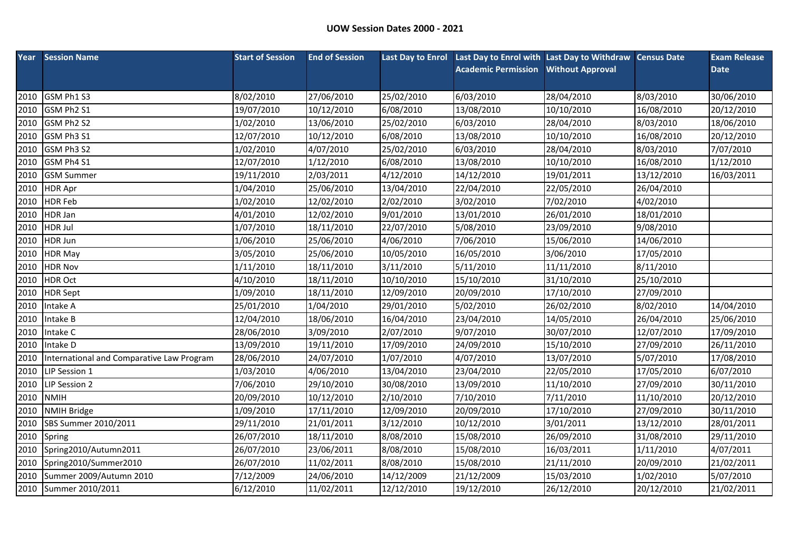| Year | <b>Session Name</b>                       | <b>Start of Session</b> | <b>End of Session</b> |            | Last Day to Enrol Last Day to Enrol with Last Day to Withdraw Census Date |                         |            | <b>Exam Release</b> |
|------|-------------------------------------------|-------------------------|-----------------------|------------|---------------------------------------------------------------------------|-------------------------|------------|---------------------|
|      |                                           |                         |                       |            | <b>Academic Permission</b>                                                | <b>Without Approval</b> |            | <b>Date</b>         |
|      |                                           |                         |                       |            |                                                                           |                         |            |                     |
| 2010 | GSM Ph1 S3                                | 8/02/2010               | 27/06/2010            | 25/02/2010 | 6/03/2010                                                                 | 28/04/2010              | 8/03/2010  | 30/06/2010          |
| 2010 | GSM Ph2 S1                                | 19/07/2010              | 10/12/2010            | 6/08/2010  | 13/08/2010                                                                | 10/10/2010              | 16/08/2010 | 20/12/2010          |
| 2010 | GSM Ph2 S2                                | 1/02/2010               | 13/06/2010            | 25/02/2010 | 6/03/2010                                                                 | 28/04/2010              | 8/03/2010  | 18/06/2010          |
| 2010 | GSM Ph3 S1                                | 12/07/2010              | 10/12/2010            | 6/08/2010  | 13/08/2010                                                                | 10/10/2010              | 16/08/2010 | 20/12/2010          |
| 2010 | GSM Ph3 S2                                | 1/02/2010               | 4/07/2010             | 25/02/2010 | 6/03/2010                                                                 | 28/04/2010              | 8/03/2010  | 7/07/2010           |
| 2010 | GSM Ph4 S1                                | 12/07/2010              | 1/12/2010             | 6/08/2010  | 13/08/2010                                                                | 10/10/2010              | 16/08/2010 | 1/12/2010           |
| 2010 | <b>GSM Summer</b>                         | 19/11/2010              | 2/03/2011             | 4/12/2010  | 14/12/2010                                                                | 19/01/2011              | 13/12/2010 | 16/03/2011          |
| 2010 | <b>HDR Apr</b>                            | 1/04/2010               | 25/06/2010            | 13/04/2010 | 22/04/2010                                                                | 22/05/2010              | 26/04/2010 |                     |
| 2010 | <b>HDR Feb</b>                            | 1/02/2010               | 12/02/2010            | 2/02/2010  | 3/02/2010                                                                 | 7/02/2010               | 4/02/2010  |                     |
| 2010 | <b>HDR Jan</b>                            | 4/01/2010               | 12/02/2010            | 9/01/2010  | 13/01/2010                                                                | 26/01/2010              | 18/01/2010 |                     |
| 2010 | <b>HDR Jul</b>                            | 1/07/2010               | 18/11/2010            | 22/07/2010 | 5/08/2010                                                                 | 23/09/2010              | 9/08/2010  |                     |
| 2010 | HDR Jun                                   | 1/06/2010               | 25/06/2010            | 4/06/2010  | 7/06/2010                                                                 | 15/06/2010              | 14/06/2010 |                     |
| 2010 | <b>HDR May</b>                            | 3/05/2010               | 25/06/2010            | 10/05/2010 | 16/05/2010                                                                | 3/06/2010               | 17/05/2010 |                     |
| 2010 | <b>HDR Nov</b>                            | 1/11/2010               | 18/11/2010            | 3/11/2010  | 5/11/2010                                                                 | 11/11/2010              | 8/11/2010  |                     |
| 2010 | <b>HDR Oct</b>                            | 4/10/2010               | 18/11/2010            | 10/10/2010 | 15/10/2010                                                                | 31/10/2010              | 25/10/2010 |                     |
| 2010 | <b>HDR</b> Sept                           | 1/09/2010               | 18/11/2010            | 12/09/2010 | 20/09/2010                                                                | 17/10/2010              | 27/09/2010 |                     |
| 2010 | Intake A                                  | 25/01/2010              | 1/04/2010             | 29/01/2010 | 5/02/2010                                                                 | 26/02/2010              | 8/02/2010  | 14/04/2010          |
| 2010 | Intake B                                  | 12/04/2010              | 18/06/2010            | 16/04/2010 | 23/04/2010                                                                | 14/05/2010              | 26/04/2010 | 25/06/2010          |
| 2010 | Intake C                                  | 28/06/2010              | 3/09/2010             | 2/07/2010  | 9/07/2010                                                                 | 30/07/2010              | 12/07/2010 | 17/09/2010          |
| 2010 | Intake D                                  | 13/09/2010              | 19/11/2010            | 17/09/2010 | 24/09/2010                                                                | 15/10/2010              | 27/09/2010 | 26/11/2010          |
| 2010 | International and Comparative Law Program | 28/06/2010              | 24/07/2010            | 1/07/2010  | 4/07/2010                                                                 | 13/07/2010              | 5/07/2010  | 17/08/2010          |
| 2010 | LIP Session 1                             | 1/03/2010               | 4/06/2010             | 13/04/2010 | 23/04/2010                                                                | 22/05/2010              | 17/05/2010 | 6/07/2010           |
| 2010 | LIP Session 2                             | 7/06/2010               | 29/10/2010            | 30/08/2010 | 13/09/2010                                                                | 11/10/2010              | 27/09/2010 | 30/11/2010          |
| 2010 | <b>NMIH</b>                               | 20/09/2010              | 10/12/2010            | 2/10/2010  | 7/10/2010                                                                 | 7/11/2010               | 11/10/2010 | 20/12/2010          |
| 2010 | <b>NMIH Bridge</b>                        | 1/09/2010               | 17/11/2010            | 12/09/2010 | 20/09/2010                                                                | 17/10/2010              | 27/09/2010 | 30/11/2010          |
| 2010 | SBS Summer 2010/2011                      | 29/11/2010              | 21/01/2011            | 3/12/2010  | 10/12/2010                                                                | 3/01/2011               | 13/12/2010 | 28/01/2011          |
| 2010 | Spring                                    | 26/07/2010              | 18/11/2010            | 8/08/2010  | 15/08/2010                                                                | 26/09/2010              | 31/08/2010 | 29/11/2010          |
| 2010 | Spring2010/Autumn2011                     | 26/07/2010              | 23/06/2011            | 8/08/2010  | 15/08/2010                                                                | 16/03/2011              | 1/11/2010  | 4/07/2011           |
| 2010 | Spring2010/Summer2010                     | 26/07/2010              | 11/02/2011            | 8/08/2010  | 15/08/2010                                                                | 21/11/2010              | 20/09/2010 | 21/02/2011          |
| 2010 | Summer 2009/Autumn 2010                   | 7/12/2009               | 24/06/2010            | 14/12/2009 | 21/12/2009                                                                | 15/03/2010              | 1/02/2010  | 5/07/2010           |
|      | 2010 Summer 2010/2011                     | 6/12/2010               | 11/02/2011            | 12/12/2010 | 19/12/2010                                                                | 26/12/2010              | 20/12/2010 | 21/02/2011          |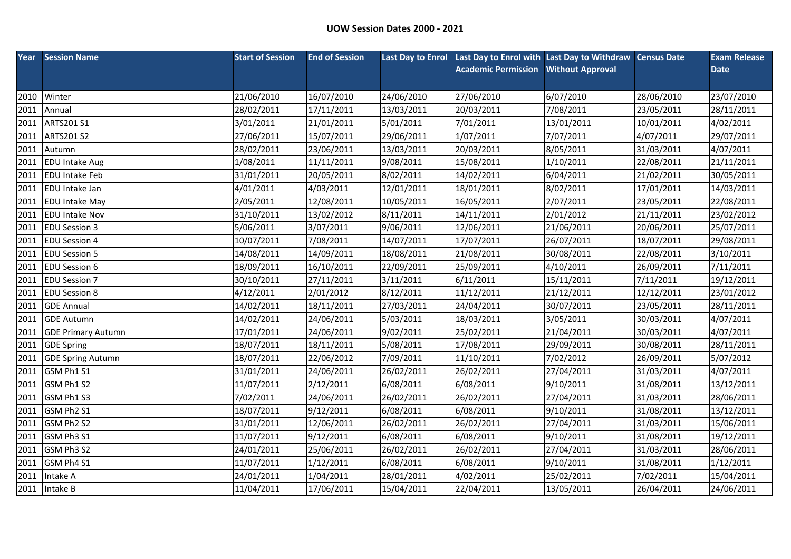|      | <b>Year</b> Session Name  | <b>Start of Session</b> | <b>End of Session</b> |            | Last Day to Enrol Last Day to Enrol with Last Day to Withdraw Census Date |                         |            | <b>Exam Release</b> |
|------|---------------------------|-------------------------|-----------------------|------------|---------------------------------------------------------------------------|-------------------------|------------|---------------------|
|      |                           |                         |                       |            | <b>Academic Permission</b>                                                | <b>Without Approval</b> |            | <b>Date</b>         |
|      |                           |                         |                       |            |                                                                           |                         |            |                     |
| 2010 | Winter                    | 21/06/2010              | 16/07/2010            | 24/06/2010 | 27/06/2010                                                                | 6/07/2010               | 28/06/2010 | 23/07/2010          |
| 2011 | Annual                    | 28/02/2011              | 17/11/2011            | 13/03/2011 | 20/03/2011                                                                | 7/08/2011               | 23/05/2011 | 28/11/2011          |
| 2011 | ARTS201 S1                | 3/01/2011               | 21/01/2011            | 5/01/2011  | 7/01/2011                                                                 | 13/01/2011              | 10/01/2011 | 4/02/2011           |
| 2011 | <b>ARTS201 S2</b>         | 27/06/2011              | 15/07/2011            | 29/06/2011 | 1/07/2011                                                                 | 7/07/2011               | 4/07/2011  | 29/07/2011          |
| 2011 | Autumn                    | 28/02/2011              | 23/06/2011            | 13/03/2011 | 20/03/2011                                                                | 8/05/2011               | 31/03/2011 | 4/07/2011           |
| 2011 | <b>EDU Intake Aug</b>     | 1/08/2011               | 11/11/2011            | 9/08/2011  | 15/08/2011                                                                | 1/10/2011               | 22/08/2011 | 21/11/2011          |
| 2011 | <b>EDU Intake Feb</b>     | 31/01/2011              | 20/05/2011            | 8/02/2011  | 14/02/2011                                                                | 6/04/2011               | 21/02/2011 | 30/05/2011          |
| 2011 | <b>EDU</b> Intake Jan     | 4/01/2011               | 4/03/2011             | 12/01/2011 | 18/01/2011                                                                | 8/02/2011               | 17/01/2011 | 14/03/2011          |
| 2011 | <b>EDU Intake May</b>     | 2/05/2011               | 12/08/2011            | 10/05/2011 | 16/05/2011                                                                | 2/07/2011               | 23/05/2011 | 22/08/2011          |
| 2011 | <b>EDU Intake Nov</b>     | 31/10/2011              | 13/02/2012            | 8/11/2011  | 14/11/2011                                                                | 2/01/2012               | 21/11/2011 | 23/02/2012          |
| 2011 | <b>EDU Session 3</b>      | 5/06/2011               | 3/07/2011             | 9/06/2011  | 12/06/2011                                                                | 21/06/2011              | 20/06/2011 | 25/07/2011          |
| 2011 | <b>EDU Session 4</b>      | 10/07/2011              | 7/08/2011             | 14/07/2011 | 17/07/2011                                                                | 26/07/2011              | 18/07/2011 | 29/08/2011          |
| 2011 | <b>EDU Session 5</b>      | 14/08/2011              | 14/09/2011            | 18/08/2011 | 21/08/2011                                                                | 30/08/2011              | 22/08/2011 | 3/10/2011           |
| 2011 | <b>EDU Session 6</b>      | 18/09/2011              | 16/10/2011            | 22/09/2011 | 25/09/2011                                                                | 4/10/2011               | 26/09/2011 | 7/11/2011           |
| 2011 | <b>EDU Session 7</b>      | 30/10/2011              | 27/11/2011            | 3/11/2011  | 6/11/2011                                                                 | 15/11/2011              | 7/11/2011  | 19/12/2011          |
| 2011 | <b>EDU Session 8</b>      | 4/12/2011               | 2/01/2012             | 8/12/2011  | 11/12/2011                                                                | 21/12/2011              | 12/12/2011 | 23/01/2012          |
| 2011 | <b>GDE Annual</b>         | 14/02/2011              | 18/11/2011            | 27/03/2011 | 24/04/2011                                                                | 30/07/2011              | 23/05/2011 | 28/11/2011          |
| 2011 | <b>GDE Autumn</b>         | 14/02/2011              | 24/06/2011            | 5/03/2011  | 18/03/2011                                                                | 3/05/2011               | 30/03/2011 | 4/07/2011           |
| 2011 | <b>GDE Primary Autumn</b> | 17/01/2011              | 24/06/2011            | 9/02/2011  | 25/02/2011                                                                | 21/04/2011              | 30/03/2011 | 4/07/2011           |
| 2011 | <b>GDE Spring</b>         | 18/07/2011              | 18/11/2011            | 5/08/2011  | 17/08/2011                                                                | 29/09/2011              | 30/08/2011 | 28/11/2011          |
| 2011 | <b>GDE Spring Autumn</b>  | 18/07/2011              | 22/06/2012            | 7/09/2011  | 11/10/2011                                                                | 7/02/2012               | 26/09/2011 | 5/07/2012           |
| 2011 | GSM Ph1 S1                | 31/01/2011              | 24/06/2011            | 26/02/2011 | 26/02/2011                                                                | 27/04/2011              | 31/03/2011 | 4/07/2011           |
| 2011 | GSM Ph1 S2                | 11/07/2011              | 2/12/2011             | 6/08/2011  | 6/08/2011                                                                 | 9/10/2011               | 31/08/2011 | 13/12/2011          |
| 2011 | GSM Ph1 S3                | 7/02/2011               | 24/06/2011            | 26/02/2011 | 26/02/2011                                                                | 27/04/2011              | 31/03/2011 | 28/06/2011          |
| 2011 | GSM Ph2 S1                | 18/07/2011              | 9/12/2011             | 6/08/2011  | 6/08/2011                                                                 | 9/10/2011               | 31/08/2011 | 13/12/2011          |
| 2011 | GSM Ph2 S2                | 31/01/2011              | 12/06/2011            | 26/02/2011 | 26/02/2011                                                                | 27/04/2011              | 31/03/2011 | 15/06/2011          |
| 2011 | GSM Ph3 S1                | 11/07/2011              | 9/12/2011             | 6/08/2011  | 6/08/2011                                                                 | 9/10/2011               | 31/08/2011 | 19/12/2011          |
| 2011 | GSM Ph3 S2                | 24/01/2011              | 25/06/2011            | 26/02/2011 | 26/02/2011                                                                | 27/04/2011              | 31/03/2011 | 28/06/2011          |
| 2011 | GSM Ph4 S1                | 11/07/2011              | 1/12/2011             | 6/08/2011  | 6/08/2011                                                                 | 9/10/2011               | 31/08/2011 | 1/12/2011           |
| 2011 | Intake A                  | 24/01/2011              | 1/04/2011             | 28/01/2011 | 4/02/2011                                                                 | 25/02/2011              | 7/02/2011  | 15/04/2011          |
|      | 2011 Intake B             | 11/04/2011              | 17/06/2011            | 15/04/2011 | 22/04/2011                                                                | 13/05/2011              | 26/04/2011 | 24/06/2011          |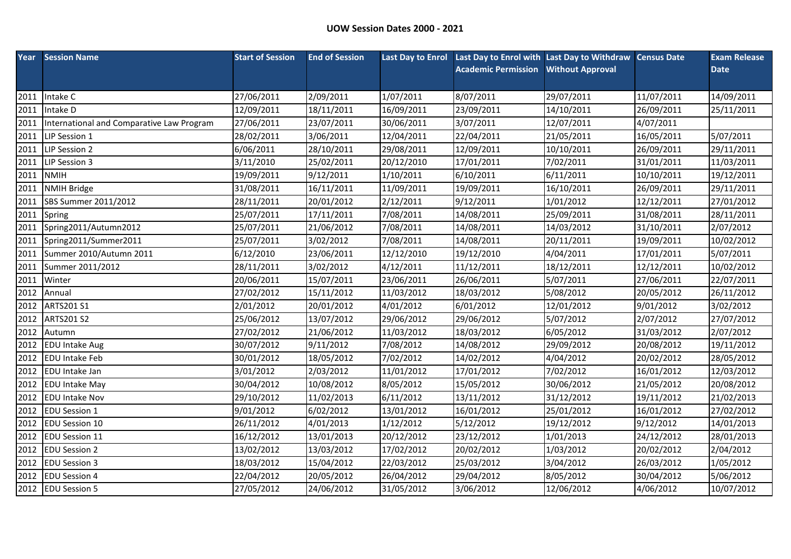| Year | <b>Session Name</b>                       | <b>Start of Session</b> | <b>End of Session</b> | <b>Last Day to Enrol</b> | Last Day to Enrol with Last Day to Withdraw Census Date |                         |            | <b>Exam Release</b> |
|------|-------------------------------------------|-------------------------|-----------------------|--------------------------|---------------------------------------------------------|-------------------------|------------|---------------------|
|      |                                           |                         |                       |                          | <b>Academic Permission</b>                              | <b>Without Approval</b> |            | <b>Date</b>         |
|      |                                           |                         |                       |                          |                                                         |                         |            |                     |
| 2011 | Intake C                                  | 27/06/2011              | 2/09/2011             | 1/07/2011                | 8/07/2011                                               | 29/07/2011              | 11/07/2011 | 14/09/2011          |
| 2011 | Intake D                                  | 12/09/2011              | 18/11/2011            | 16/09/2011               | 23/09/2011                                              | 14/10/2011              | 26/09/2011 | 25/11/2011          |
| 2011 | International and Comparative Law Program | 27/06/2011              | 23/07/2011            | 30/06/2011               | 3/07/2011                                               | 12/07/2011              | 4/07/2011  |                     |
| 2011 | LIP Session 1                             | 28/02/2011              | 3/06/2011             | 12/04/2011               | 22/04/2011                                              | 21/05/2011              | 16/05/2011 | 5/07/2011           |
| 2011 | LIP Session 2                             | 6/06/2011               | 28/10/2011            | 29/08/2011               | 12/09/2011                                              | 10/10/2011              | 26/09/2011 | 29/11/2011          |
| 2011 | LIP Session 3                             | 3/11/2010               | 25/02/2011            | 20/12/2010               | 17/01/2011                                              | 7/02/2011               | 31/01/2011 | 11/03/2011          |
| 2011 | <b>NMIH</b>                               | 19/09/2011              | 9/12/2011             | 1/10/2011                | 6/10/2011                                               | 6/11/2011               | 10/10/2011 | 19/12/2011          |
| 2011 | <b>NMIH Bridge</b>                        | 31/08/2011              | 16/11/2011            | 11/09/2011               | 19/09/2011                                              | 16/10/2011              | 26/09/2011 | 29/11/2011          |
| 2011 | SBS Summer 2011/2012                      | 28/11/2011              | 20/01/2012            | 2/12/2011                | 9/12/2011                                               | 1/01/2012               | 12/12/2011 | 27/01/2012          |
| 2011 | Spring                                    | 25/07/2011              | 17/11/2011            | 7/08/2011                | 14/08/2011                                              | 25/09/2011              | 31/08/2011 | 28/11/2011          |
| 2011 | Spring2011/Autumn2012                     | 25/07/2011              | 21/06/2012            | 7/08/2011                | 14/08/2011                                              | 14/03/2012              | 31/10/2011 | 2/07/2012           |
| 2011 | Spring2011/Summer2011                     | 25/07/2011              | 3/02/2012             | 7/08/2011                | 14/08/2011                                              | 20/11/2011              | 19/09/2011 | 10/02/2012          |
| 2011 | Summer 2010/Autumn 2011                   | 6/12/2010               | 23/06/2011            | 12/12/2010               | 19/12/2010                                              | 4/04/2011               | 17/01/2011 | 5/07/2011           |
| 2011 | Summer 2011/2012                          | 28/11/2011              | 3/02/2012             | 4/12/2011                | 11/12/2011                                              | 18/12/2011              | 12/12/2011 | 10/02/2012          |
| 2011 | Winter                                    | 20/06/2011              | 15/07/2011            | 23/06/2011               | 26/06/2011                                              | 5/07/2011               | 27/06/2011 | 22/07/2011          |
| 2012 | Annual                                    | 27/02/2012              | 15/11/2012            | 11/03/2012               | 18/03/2012                                              | 5/08/2012               | 20/05/2012 | 26/11/2012          |
| 2012 | <b>ARTS201 S1</b>                         | 2/01/2012               | 20/01/2012            | 4/01/2012                | 6/01/2012                                               | 12/01/2012              | 9/01/2012  | 3/02/2012           |
| 2012 | <b>ARTS201 S2</b>                         | 25/06/2012              | 13/07/2012            | 29/06/2012               | 29/06/2012                                              | 5/07/2012               | 2/07/2012  | 27/07/2012          |
| 2012 | Autumn                                    | 27/02/2012              | 21/06/2012            | 11/03/2012               | 18/03/2012                                              | 6/05/2012               | 31/03/2012 | 2/07/2012           |
| 2012 | <b>EDU Intake Aug</b>                     | 30/07/2012              | 9/11/2012             | 7/08/2012                | 14/08/2012                                              | 29/09/2012              | 20/08/2012 | 19/11/2012          |
| 2012 | <b>EDU Intake Feb</b>                     | 30/01/2012              | 18/05/2012            | 7/02/2012                | 14/02/2012                                              | 4/04/2012               | 20/02/2012 | 28/05/2012          |
| 2012 | <b>EDU</b> Intake Jan                     | 3/01/2012               | 2/03/2012             | 11/01/2012               | 17/01/2012                                              | 7/02/2012               | 16/01/2012 | 12/03/2012          |
| 2012 | <b>EDU Intake May</b>                     | 30/04/2012              | 10/08/2012            | 8/05/2012                | 15/05/2012                                              | 30/06/2012              | 21/05/2012 | 20/08/2012          |
| 2012 | <b>EDU Intake Nov</b>                     | 29/10/2012              | 11/02/2013            | 6/11/2012                | 13/11/2012                                              | 31/12/2012              | 19/11/2012 | 21/02/2013          |
| 2012 | <b>EDU Session 1</b>                      | 9/01/2012               | 6/02/2012             | 13/01/2012               | 16/01/2012                                              | 25/01/2012              | 16/01/2012 | 27/02/2012          |
| 2012 | <b>EDU Session 10</b>                     | 26/11/2012              | 4/01/2013             | 1/12/2012                | 5/12/2012                                               | 19/12/2012              | 9/12/2012  | 14/01/2013          |
| 2012 | <b>EDU Session 11</b>                     | 16/12/2012              | 13/01/2013            | 20/12/2012               | 23/12/2012                                              | 1/01/2013               | 24/12/2012 | 28/01/2013          |
| 2012 | <b>EDU Session 2</b>                      | 13/02/2012              | 13/03/2012            | 17/02/2012               | 20/02/2012                                              | 1/03/2012               | 20/02/2012 | 2/04/2012           |
| 2012 | <b>EDU Session 3</b>                      | 18/03/2012              | 15/04/2012            | 22/03/2012               | 25/03/2012                                              | 3/04/2012               | 26/03/2012 | 1/05/2012           |
| 2012 | <b>EDU Session 4</b>                      | 22/04/2012              | 20/05/2012            | 26/04/2012               | 29/04/2012                                              | 8/05/2012               | 30/04/2012 | 5/06/2012           |
|      | 2012 EDU Session 5                        | 27/05/2012              | 24/06/2012            | 31/05/2012               | 3/06/2012                                               | 12/06/2012              | 4/06/2012  | 10/07/2012          |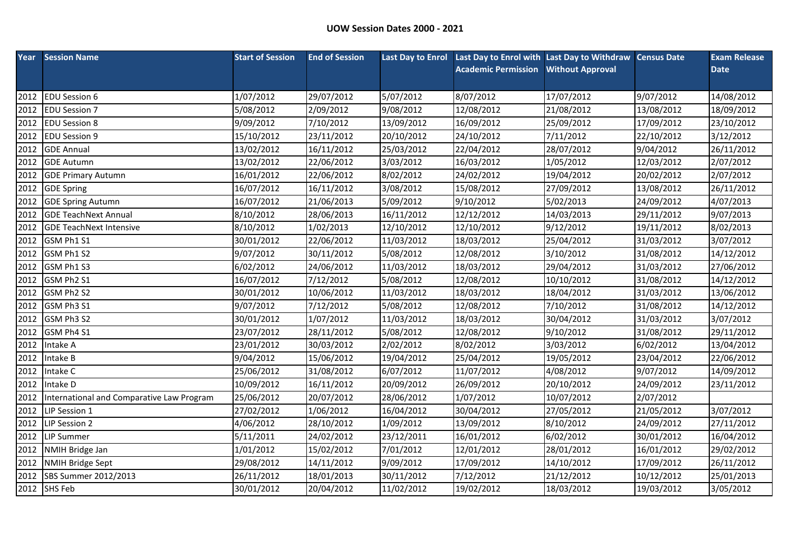| Year | <b>Session Name</b>                       | <b>Start of Session</b> | <b>End of Session</b> |            | Last Day to Enrol Last Day to Enrol with Last Day to Withdraw Census Date |                         |            | <b>Exam Release</b> |
|------|-------------------------------------------|-------------------------|-----------------------|------------|---------------------------------------------------------------------------|-------------------------|------------|---------------------|
|      |                                           |                         |                       |            | <b>Academic Permission</b>                                                | <b>Without Approval</b> |            | <b>Date</b>         |
|      |                                           |                         |                       |            |                                                                           |                         |            |                     |
| 2012 | <b>EDU Session 6</b>                      | 1/07/2012               | 29/07/2012            | 5/07/2012  | 8/07/2012                                                                 | 17/07/2012              | 9/07/2012  | 14/08/2012          |
| 2012 | <b>EDU Session 7</b>                      | 5/08/2012               | 2/09/2012             | 9/08/2012  | 12/08/2012                                                                | 21/08/2012              | 13/08/2012 | 18/09/2012          |
| 2012 | <b>EDU Session 8</b>                      | 9/09/2012               | 7/10/2012             | 13/09/2012 | 16/09/2012                                                                | 25/09/2012              | 17/09/2012 | 23/10/2012          |
| 2012 | <b>EDU Session 9</b>                      | 15/10/2012              | 23/11/2012            | 20/10/2012 | 24/10/2012                                                                | 7/11/2012               | 22/10/2012 | 3/12/2012           |
| 2012 | <b>GDE Annual</b>                         | 13/02/2012              | 16/11/2012            | 25/03/2012 | 22/04/2012                                                                | 28/07/2012              | 9/04/2012  | 26/11/2012          |
| 2012 | <b>GDE Autumn</b>                         | 13/02/2012              | 22/06/2012            | 3/03/2012  | 16/03/2012                                                                | 1/05/2012               | 12/03/2012 | 2/07/2012           |
| 2012 | <b>GDE Primary Autumn</b>                 | 16/01/2012              | 22/06/2012            | 8/02/2012  | 24/02/2012                                                                | 19/04/2012              | 20/02/2012 | 2/07/2012           |
| 2012 | <b>GDE Spring</b>                         | 16/07/2012              | 16/11/2012            | 3/08/2012  | 15/08/2012                                                                | 27/09/2012              | 13/08/2012 | 26/11/2012          |
| 2012 | <b>GDE Spring Autumn</b>                  | 16/07/2012              | 21/06/2013            | 5/09/2012  | 9/10/2012                                                                 | 5/02/2013               | 24/09/2012 | 4/07/2013           |
| 2012 | <b>GDE TeachNext Annual</b>               | 8/10/2012               | 28/06/2013            | 16/11/2012 | 12/12/2012                                                                | 14/03/2013              | 29/11/2012 | 9/07/2013           |
| 2012 | <b>GDE TeachNext Intensive</b>            | 8/10/2012               | 1/02/2013             | 12/10/2012 | 12/10/2012                                                                | 9/12/2012               | 19/11/2012 | 8/02/2013           |
| 2012 | GSM Ph1 S1                                | 30/01/2012              | 22/06/2012            | 11/03/2012 | 18/03/2012                                                                | 25/04/2012              | 31/03/2012 | 3/07/2012           |
| 2012 | GSM Ph1 S2                                | 9/07/2012               | 30/11/2012            | 5/08/2012  | 12/08/2012                                                                | 3/10/2012               | 31/08/2012 | 14/12/2012          |
| 2012 | GSM Ph1 S3                                | 6/02/2012               | 24/06/2012            | 11/03/2012 | 18/03/2012                                                                | 29/04/2012              | 31/03/2012 | 27/06/2012          |
| 2012 | GSM Ph2 S1                                | 16/07/2012              | 7/12/2012             | 5/08/2012  | 12/08/2012                                                                | 10/10/2012              | 31/08/2012 | 14/12/2012          |
| 2012 | GSM Ph2 S2                                | 30/01/2012              | 10/06/2012            | 11/03/2012 | 18/03/2012                                                                | 18/04/2012              | 31/03/2012 | 13/06/2012          |
| 2012 | GSM Ph3 S1                                | 9/07/2012               | 7/12/2012             | 5/08/2012  | 12/08/2012                                                                | 7/10/2012               | 31/08/2012 | 14/12/2012          |
| 2012 | GSM Ph3 S2                                | 30/01/2012              | 1/07/2012             | 11/03/2012 | 18/03/2012                                                                | 30/04/2012              | 31/03/2012 | 3/07/2012           |
| 2012 | GSM Ph4 S1                                | 23/07/2012              | 28/11/2012            | 5/08/2012  | 12/08/2012                                                                | 9/10/2012               | 31/08/2012 | 29/11/2012          |
| 2012 | Intake A                                  | 23/01/2012              | 30/03/2012            | 2/02/2012  | 8/02/2012                                                                 | 3/03/2012               | 6/02/2012  | 13/04/2012          |
| 2012 | Intake B                                  | 9/04/2012               | 15/06/2012            | 19/04/2012 | 25/04/2012                                                                | 19/05/2012              | 23/04/2012 | 22/06/2012          |
| 2012 | Intake C                                  | 25/06/2012              | 31/08/2012            | 6/07/2012  | 11/07/2012                                                                | 4/08/2012               | 9/07/2012  | 14/09/2012          |
| 2012 | Intake D                                  | 10/09/2012              | 16/11/2012            | 20/09/2012 | 26/09/2012                                                                | 20/10/2012              | 24/09/2012 | 23/11/2012          |
| 2012 | International and Comparative Law Program | 25/06/2012              | 20/07/2012            | 28/06/2012 | 1/07/2012                                                                 | 10/07/2012              | 2/07/2012  |                     |
| 2012 | LIP Session 1                             | 27/02/2012              | 1/06/2012             | 16/04/2012 | 30/04/2012                                                                | 27/05/2012              | 21/05/2012 | 3/07/2012           |
| 2012 | LIP Session 2                             | 4/06/2012               | 28/10/2012            | 1/09/2012  | 13/09/2012                                                                | 8/10/2012               | 24/09/2012 | 27/11/2012          |
| 2012 | <b>LIP Summer</b>                         | 5/11/2011               | 24/02/2012            | 23/12/2011 | 16/01/2012                                                                | 6/02/2012               | 30/01/2012 | 16/04/2012          |
| 2012 | <b>NMIH Bridge Jan</b>                    | 1/01/2012               | 15/02/2012            | 7/01/2012  | 12/01/2012                                                                | 28/01/2012              | 16/01/2012 | 29/02/2012          |
| 2012 | <b>NMIH Bridge Sept</b>                   | 29/08/2012              | 14/11/2012            | 9/09/2012  | 17/09/2012                                                                | 14/10/2012              | 17/09/2012 | 26/11/2012          |
| 2012 | SBS Summer 2012/2013                      | 26/11/2012              | 18/01/2013            | 30/11/2012 | 7/12/2012                                                                 | 21/12/2012              | 10/12/2012 | 25/01/2013          |
|      | 2012 SHS Feb                              | 30/01/2012              | 20/04/2012            | 11/02/2012 | 19/02/2012                                                                | 18/03/2012              | 19/03/2012 | 3/05/2012           |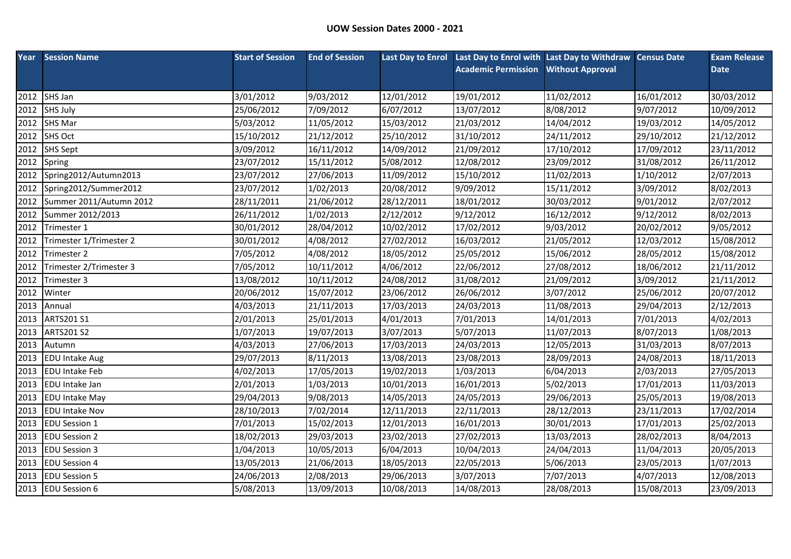| Year | <b>Session Name</b>     | <b>Start of Session</b> | <b>End of Session</b> |            | Last Day to Enrol Last Day to Enrol with Last Day to Withdraw Census Date |                         |            | <b>Exam Release</b> |
|------|-------------------------|-------------------------|-----------------------|------------|---------------------------------------------------------------------------|-------------------------|------------|---------------------|
|      |                         |                         |                       |            | <b>Academic Permission</b>                                                | <b>Without Approval</b> |            | <b>Date</b>         |
|      |                         |                         |                       |            |                                                                           |                         |            |                     |
| 2012 | SHS Jan                 | 3/01/2012               | 9/03/2012             | 12/01/2012 | 19/01/2012                                                                | 11/02/2012              | 16/01/2012 | 30/03/2012          |
| 2012 | <b>SHS July</b>         | 25/06/2012              | 7/09/2012             | 6/07/2012  | 13/07/2012                                                                | 8/08/2012               | 9/07/2012  | 10/09/2012          |
| 2012 | SHS Mar                 | 5/03/2012               | 11/05/2012            | 15/03/2012 | 21/03/2012                                                                | 14/04/2012              | 19/03/2012 | 14/05/2012          |
| 2012 | <b>SHS Oct</b>          | 15/10/2012              | 21/12/2012            | 25/10/2012 | 31/10/2012                                                                | 24/11/2012              | 29/10/2012 | 21/12/2012          |
| 2012 | <b>SHS Sept</b>         | 3/09/2012               | 16/11/2012            | 14/09/2012 | 21/09/2012                                                                | 17/10/2012              | 17/09/2012 | 23/11/2012          |
| 2012 | Spring                  | 23/07/2012              | 15/11/2012            | 5/08/2012  | 12/08/2012                                                                | 23/09/2012              | 31/08/2012 | 26/11/2012          |
| 2012 | Spring2012/Autumn2013   | 23/07/2012              | 27/06/2013            | 11/09/2012 | 15/10/2012                                                                | 11/02/2013              | 1/10/2012  | 2/07/2013           |
| 2012 | Spring2012/Summer2012   | 23/07/2012              | 1/02/2013             | 20/08/2012 | 9/09/2012                                                                 | 15/11/2012              | 3/09/2012  | 8/02/2013           |
| 2012 | Summer 2011/Autumn 2012 | 28/11/2011              | 21/06/2012            | 28/12/2011 | 18/01/2012                                                                | 30/03/2012              | 9/01/2012  | 2/07/2012           |
| 2012 | Summer 2012/2013        | 26/11/2012              | 1/02/2013             | 2/12/2012  | 9/12/2012                                                                 | 16/12/2012              | 9/12/2012  | 8/02/2013           |
| 2012 | Trimester 1             | 30/01/2012              | 28/04/2012            | 10/02/2012 | 17/02/2012                                                                | 9/03/2012               | 20/02/2012 | 9/05/2012           |
| 2012 | Trimester 1/Trimester 2 | 30/01/2012              | 4/08/2012             | 27/02/2012 | 16/03/2012                                                                | 21/05/2012              | 12/03/2012 | 15/08/2012          |
| 2012 | Trimester 2             | 7/05/2012               | 4/08/2012             | 18/05/2012 | 25/05/2012                                                                | 15/06/2012              | 28/05/2012 | 15/08/2012          |
| 2012 | Trimester 2/Trimester 3 | 7/05/2012               | 10/11/2012            | 4/06/2012  | 22/06/2012                                                                | 27/08/2012              | 18/06/2012 | 21/11/2012          |
| 2012 | Trimester 3             | 13/08/2012              | 10/11/2012            | 24/08/2012 | 31/08/2012                                                                | 21/09/2012              | 3/09/2012  | 21/11/2012          |
| 2012 | Winter                  | 20/06/2012              | 15/07/2012            | 23/06/2012 | 26/06/2012                                                                | 3/07/2012               | 25/06/2012 | 20/07/2012          |
| 2013 | Annual                  | 4/03/2013               | 21/11/2013            | 17/03/2013 | 24/03/2013                                                                | 11/08/2013              | 29/04/2013 | 2/12/2013           |
| 2013 | ARTS201 S1              | 2/01/2013               | 25/01/2013            | 4/01/2013  | 7/01/2013                                                                 | 14/01/2013              | 7/01/2013  | 4/02/2013           |
| 2013 | <b>ARTS201 S2</b>       | 1/07/2013               | 19/07/2013            | 3/07/2013  | 5/07/2013                                                                 | 11/07/2013              | 8/07/2013  | 1/08/2013           |
| 2013 | Autumn                  | 4/03/2013               | 27/06/2013            | 17/03/2013 | 24/03/2013                                                                | 12/05/2013              | 31/03/2013 | 8/07/2013           |
| 2013 | <b>EDU Intake Aug</b>   | 29/07/2013              | 8/11/2013             | 13/08/2013 | 23/08/2013                                                                | 28/09/2013              | 24/08/2013 | 18/11/2013          |
| 2013 | <b>EDU Intake Feb</b>   | 4/02/2013               | 17/05/2013            | 19/02/2013 | 1/03/2013                                                                 | 6/04/2013               | 2/03/2013  | 27/05/2013          |
| 2013 | <b>EDU</b> Intake Jan   | 2/01/2013               | 1/03/2013             | 10/01/2013 | 16/01/2013                                                                | 5/02/2013               | 17/01/2013 | 11/03/2013          |
| 2013 | <b>EDU Intake May</b>   | 29/04/2013              | 9/08/2013             | 14/05/2013 | 24/05/2013                                                                | 29/06/2013              | 25/05/2013 | 19/08/2013          |
| 2013 | <b>EDU Intake Nov</b>   | 28/10/2013              | 7/02/2014             | 12/11/2013 | 22/11/2013                                                                | 28/12/2013              | 23/11/2013 | 17/02/2014          |
| 2013 | <b>EDU Session 1</b>    | 7/01/2013               | 15/02/2013            | 12/01/2013 | 16/01/2013                                                                | 30/01/2013              | 17/01/2013 | 25/02/2013          |
| 2013 | <b>EDU Session 2</b>    | 18/02/2013              | 29/03/2013            | 23/02/2013 | 27/02/2013                                                                | 13/03/2013              | 28/02/2013 | 8/04/2013           |
| 2013 | <b>EDU Session 3</b>    | 1/04/2013               | 10/05/2013            | 6/04/2013  | 10/04/2013                                                                | 24/04/2013              | 11/04/2013 | 20/05/2013          |
| 2013 | <b>EDU Session 4</b>    | 13/05/2013              | 21/06/2013            | 18/05/2013 | 22/05/2013                                                                | 5/06/2013               | 23/05/2013 | 1/07/2013           |
| 2013 | <b>EDU Session 5</b>    | 24/06/2013              | 2/08/2013             | 29/06/2013 | 3/07/2013                                                                 | 7/07/2013               | 4/07/2013  | 12/08/2013          |
|      | 2013 EDU Session 6      | 5/08/2013               | 13/09/2013            | 10/08/2013 | 14/08/2013                                                                | 28/08/2013              | 15/08/2013 | 23/09/2013          |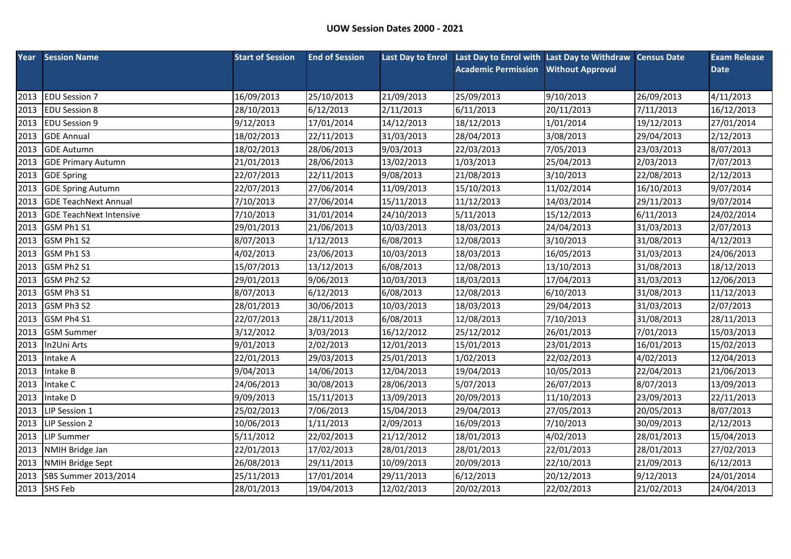|      | <b>Year</b> Session Name       | <b>Start of Session</b> | <b>End of Session</b> |            | Last Day to Enrol Last Day to Enrol with Last Day to Withdraw Census Date |                         |            | <b>Exam Release</b> |
|------|--------------------------------|-------------------------|-----------------------|------------|---------------------------------------------------------------------------|-------------------------|------------|---------------------|
|      |                                |                         |                       |            | <b>Academic Permission</b>                                                | <b>Without Approval</b> |            | <b>Date</b>         |
|      |                                |                         |                       |            |                                                                           |                         |            |                     |
| 2013 | <b>EDU Session 7</b>           | 16/09/2013              | 25/10/2013            | 21/09/2013 | 25/09/2013                                                                | 9/10/2013               | 26/09/2013 | 4/11/2013           |
| 2013 | <b>EDU Session 8</b>           | 28/10/2013              | 6/12/2013             | 2/11/2013  | 6/11/2013                                                                 | 20/11/2013              | 7/11/2013  | 16/12/2013          |
| 2013 | <b>EDU Session 9</b>           | 9/12/2013               | 17/01/2014            | 14/12/2013 | 18/12/2013                                                                | 1/01/2014               | 19/12/2013 | 27/01/2014          |
| 2013 | <b>GDE Annual</b>              | 18/02/2013              | 22/11/2013            | 31/03/2013 | 28/04/2013                                                                | 3/08/2013               | 29/04/2013 | 2/12/2013           |
| 2013 | <b>GDE Autumn</b>              | 18/02/2013              | 28/06/2013            | 9/03/2013  | 22/03/2013                                                                | 7/05/2013               | 23/03/2013 | 8/07/2013           |
| 2013 | <b>GDE Primary Autumn</b>      | 21/01/2013              | 28/06/2013            | 13/02/2013 | 1/03/2013                                                                 | 25/04/2013              | 2/03/2013  | 7/07/2013           |
| 2013 | <b>GDE Spring</b>              | 22/07/2013              | 22/11/2013            | 9/08/2013  | 21/08/2013                                                                | 3/10/2013               | 22/08/2013 | 2/12/2013           |
| 2013 | <b>GDE Spring Autumn</b>       | 22/07/2013              | 27/06/2014            | 11/09/2013 | 15/10/2013                                                                | 11/02/2014              | 16/10/2013 | 9/07/2014           |
| 2013 | <b>GDE TeachNext Annual</b>    | 7/10/2013               | 27/06/2014            | 15/11/2013 | 11/12/2013                                                                | 14/03/2014              | 29/11/2013 | 9/07/2014           |
| 2013 | <b>GDE TeachNext Intensive</b> | 7/10/2013               | 31/01/2014            | 24/10/2013 | 5/11/2013                                                                 | 15/12/2013              | 6/11/2013  | 24/02/2014          |
| 2013 | GSM Ph1 S1                     | 29/01/2013              | 21/06/2013            | 10/03/2013 | 18/03/2013                                                                | 24/04/2013              | 31/03/2013 | 2/07/2013           |
| 2013 | GSM Ph1 S2                     | 8/07/2013               | 1/12/2013             | 6/08/2013  | 12/08/2013                                                                | 3/10/2013               | 31/08/2013 | 4/12/2013           |
|      | 2013 GSM Ph1 S3                | 4/02/2013               | 23/06/2013            | 10/03/2013 | 18/03/2013                                                                | 16/05/2013              | 31/03/2013 | 24/06/2013          |
| 2013 | GSM Ph2 S1                     | 15/07/2013              | 13/12/2013            | 6/08/2013  | 12/08/2013                                                                | 13/10/2013              | 31/08/2013 | 18/12/2013          |
| 2013 | GSM Ph2 S2                     | 29/01/2013              | 9/06/2013             | 10/03/2013 | 18/03/2013                                                                | 17/04/2013              | 31/03/2013 | 12/06/2013          |
| 2013 | GSM Ph3 S1                     | 8/07/2013               | 6/12/2013             | 6/08/2013  | 12/08/2013                                                                | 6/10/2013               | 31/08/2013 | 11/12/2013          |
| 2013 | GSM Ph3 S2                     | 28/01/2013              | 30/06/2013            | 10/03/2013 | 18/03/2013                                                                | 29/04/2013              | 31/03/2013 | 2/07/2013           |
| 2013 | GSM Ph4 S1                     | 22/07/2013              | 28/11/2013            | 6/08/2013  | 12/08/2013                                                                | 7/10/2013               | 31/08/2013 | 28/11/2013          |
| 2013 | <b>GSM Summer</b>              | 3/12/2012               | 3/03/2013             | 16/12/2012 | 25/12/2012                                                                | 26/01/2013              | 7/01/2013  | 15/03/2013          |
| 2013 | In2Uni Arts                    | 9/01/2013               | 2/02/2013             | 12/01/2013 | 15/01/2013                                                                | 23/01/2013              | 16/01/2013 | 15/02/2013          |
| 2013 | Intake A                       | 22/01/2013              | 29/03/2013            | 25/01/2013 | 1/02/2013                                                                 | 22/02/2013              | 4/02/2013  | 12/04/2013          |
| 2013 | Intake B                       | 9/04/2013               | 14/06/2013            | 12/04/2013 | 19/04/2013                                                                | 10/05/2013              | 22/04/2013 | 21/06/2013          |
| 2013 | Intake C                       | 24/06/2013              | 30/08/2013            | 28/06/2013 | 5/07/2013                                                                 | 26/07/2013              | 8/07/2013  | 13/09/2013          |
| 2013 | Intake D                       | 9/09/2013               | 15/11/2013            | 13/09/2013 | 20/09/2013                                                                | 11/10/2013              | 23/09/2013 | 22/11/2013          |
| 2013 | LIP Session 1                  | 25/02/2013              | 7/06/2013             | 15/04/2013 | 29/04/2013                                                                | 27/05/2013              | 20/05/2013 | 8/07/2013           |
| 2013 | LIP Session 2                  | 10/06/2013              | 1/11/2013             | 2/09/2013  | 16/09/2013                                                                | 7/10/2013               | 30/09/2013 | 2/12/2013           |
| 2013 | <b>LIP Summer</b>              | 5/11/2012               | 22/02/2013            | 21/12/2012 | 18/01/2013                                                                | 4/02/2013               | 28/01/2013 | 15/04/2013          |
| 2013 | <b>NMIH Bridge Jan</b>         | 22/01/2013              | 17/02/2013            | 28/01/2013 | 28/01/2013                                                                | 22/01/2013              | 28/01/2013 | 27/02/2013          |
| 2013 | <b>NMIH Bridge Sept</b>        | 26/08/2013              | 29/11/2013            | 10/09/2013 | 20/09/2013                                                                | 22/10/2013              | 21/09/2013 | 6/12/2013           |
| 2013 | SBS Summer 2013/2014           | 25/11/2013              | 17/01/2014            | 29/11/2013 | 6/12/2013                                                                 | 20/12/2013              | 9/12/2013  | 24/01/2014          |
|      | 2013 SHS Feb                   | 28/01/2013              | 19/04/2013            | 12/02/2013 | 20/02/2013                                                                | 22/02/2013              | 21/02/2013 | 24/04/2013          |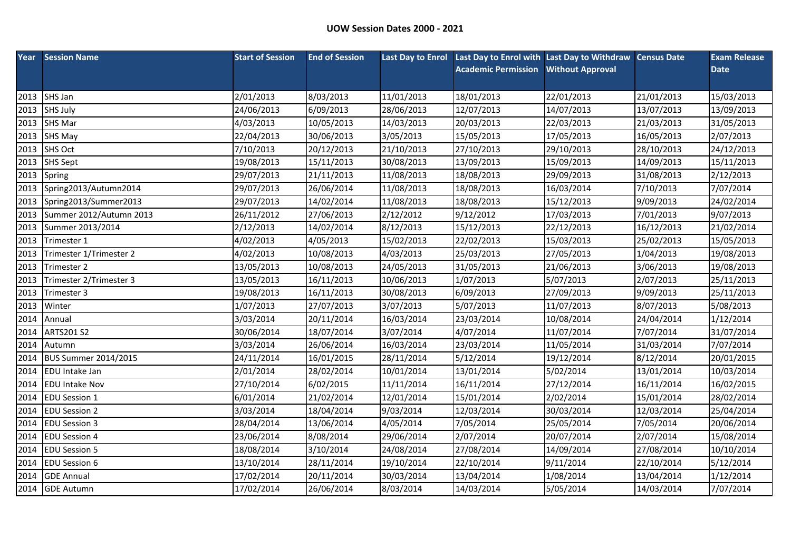|      | <b>Year</b> Session Name    | <b>Start of Session</b> | <b>End of Session</b> |            | Last Day to Enrol Last Day to Enrol with Last Day to Withdraw Census Date |                         |            | <b>Exam Release</b> |
|------|-----------------------------|-------------------------|-----------------------|------------|---------------------------------------------------------------------------|-------------------------|------------|---------------------|
|      |                             |                         |                       |            | <b>Academic Permission</b>                                                | <b>Without Approval</b> |            | <b>Date</b>         |
|      |                             |                         |                       |            |                                                                           |                         |            |                     |
| 2013 | SHS Jan                     | 2/01/2013               | 8/03/2013             | 11/01/2013 | 18/01/2013                                                                | 22/01/2013              | 21/01/2013 | 15/03/2013          |
| 2013 | SHS July                    | 24/06/2013              | 6/09/2013             | 28/06/2013 | 12/07/2013                                                                | 14/07/2013              | 13/07/2013 | 13/09/2013          |
|      | 2013 SHS Mar                | 4/03/2013               | 10/05/2013            | 14/03/2013 | 20/03/2013                                                                | 22/03/2013              | 21/03/2013 | 31/05/2013          |
| 2013 | SHS May                     | 22/04/2013              | 30/06/2013            | 3/05/2013  | 15/05/2013                                                                | 17/05/2013              | 16/05/2013 | 2/07/2013           |
| 2013 | <b>SHS Oct</b>              | 7/10/2013               | 20/12/2013            | 21/10/2013 | 27/10/2013                                                                | 29/10/2013              | 28/10/2013 | 24/12/2013          |
| 2013 | <b>SHS Sept</b>             | 19/08/2013              | 15/11/2013            | 30/08/2013 | 13/09/2013                                                                | 15/09/2013              | 14/09/2013 | 15/11/2013          |
| 2013 | Spring                      | 29/07/2013              | 21/11/2013            | 11/08/2013 | 18/08/2013                                                                | 29/09/2013              | 31/08/2013 | 2/12/2013           |
| 2013 | Spring2013/Autumn2014       | 29/07/2013              | 26/06/2014            | 11/08/2013 | 18/08/2013                                                                | 16/03/2014              | 7/10/2013  | 7/07/2014           |
| 2013 | Spring2013/Summer2013       | 29/07/2013              | 14/02/2014            | 11/08/2013 | 18/08/2013                                                                | 15/12/2013              | 9/09/2013  | 24/02/2014          |
| 2013 | Summer 2012/Autumn 2013     | 26/11/2012              | 27/06/2013            | 2/12/2012  | 9/12/2012                                                                 | 17/03/2013              | 7/01/2013  | 9/07/2013           |
| 2013 | Summer 2013/2014            | 2/12/2013               | 14/02/2014            | 8/12/2013  | 15/12/2013                                                                | 22/12/2013              | 16/12/2013 | 21/02/2014          |
| 2013 | Trimester 1                 | 4/02/2013               | 4/05/2013             | 15/02/2013 | 22/02/2013                                                                | 15/03/2013              | 25/02/2013 | 15/05/2013          |
| 2013 | Trimester 1/Trimester 2     | 4/02/2013               | 10/08/2013            | 4/03/2013  | 25/03/2013                                                                | 27/05/2013              | 1/04/2013  | 19/08/2013          |
| 2013 | Trimester 2                 | 13/05/2013              | 10/08/2013            | 24/05/2013 | 31/05/2013                                                                | 21/06/2013              | 3/06/2013  | 19/08/2013          |
| 2013 | Trimester 2/Trimester 3     | 13/05/2013              | 16/11/2013            | 10/06/2013 | 1/07/2013                                                                 | 5/07/2013               | 2/07/2013  | 25/11/2013          |
| 2013 | Trimester 3                 | 19/08/2013              | 16/11/2013            | 30/08/2013 | 6/09/2013                                                                 | 27/09/2013              | 9/09/2013  | 25/11/2013          |
| 2013 | Winter                      | 1/07/2013               | 27/07/2013            | 3/07/2013  | 5/07/2013                                                                 | 11/07/2013              | 8/07/2013  | 5/08/2013           |
| 2014 | Annual                      | 3/03/2014               | 20/11/2014            | 16/03/2014 | 23/03/2014                                                                | 10/08/2014              | 24/04/2014 | 1/12/2014           |
| 2014 | <b>ARTS201 S2</b>           | 30/06/2014              | 18/07/2014            | 3/07/2014  | 4/07/2014                                                                 | 11/07/2014              | 7/07/2014  | 31/07/2014          |
| 2014 | Autumn                      | 3/03/2014               | 26/06/2014            | 16/03/2014 | 23/03/2014                                                                | 11/05/2014              | 31/03/2014 | 7/07/2014           |
| 2014 | <b>BUS Summer 2014/2015</b> | 24/11/2014              | 16/01/2015            | 28/11/2014 | 5/12/2014                                                                 | 19/12/2014              | 8/12/2014  | 20/01/2015          |
| 2014 | <b>EDU</b> Intake Jan       | 2/01/2014               | 28/02/2014            | 10/01/2014 | 13/01/2014                                                                | 5/02/2014               | 13/01/2014 | 10/03/2014          |
| 2014 | <b>EDU Intake Nov</b>       | 27/10/2014              | 6/02/2015             | 11/11/2014 | 16/11/2014                                                                | 27/12/2014              | 16/11/2014 | 16/02/2015          |
| 2014 | <b>EDU Session 1</b>        | 6/01/2014               | 21/02/2014            | 12/01/2014 | 15/01/2014                                                                | 2/02/2014               | 15/01/2014 | 28/02/2014          |
| 2014 | <b>EDU Session 2</b>        | 3/03/2014               | 18/04/2014            | 9/03/2014  | 12/03/2014                                                                | 30/03/2014              | 12/03/2014 | 25/04/2014          |
| 2014 | <b>EDU Session 3</b>        | 28/04/2014              | 13/06/2014            | 4/05/2014  | 7/05/2014                                                                 | 25/05/2014              | 7/05/2014  | 20/06/2014          |
| 2014 | <b>EDU Session 4</b>        | 23/06/2014              | 8/08/2014             | 29/06/2014 | 2/07/2014                                                                 | 20/07/2014              | 2/07/2014  | 15/08/2014          |
| 2014 | <b>EDU Session 5</b>        | 18/08/2014              | 3/10/2014             | 24/08/2014 | 27/08/2014                                                                | 14/09/2014              | 27/08/2014 | 10/10/2014          |
| 2014 | <b>EDU Session 6</b>        | 13/10/2014              | 28/11/2014            | 19/10/2014 | 22/10/2014                                                                | 9/11/2014               | 22/10/2014 | 5/12/2014           |
| 2014 | <b>GDE Annual</b>           | 17/02/2014              | 20/11/2014            | 30/03/2014 | 13/04/2014                                                                | 1/08/2014               | 13/04/2014 | 1/12/2014           |
|      | 2014 GDE Autumn             | 17/02/2014              | 26/06/2014            | 8/03/2014  | 14/03/2014                                                                | 5/05/2014               | 14/03/2014 | 7/07/2014           |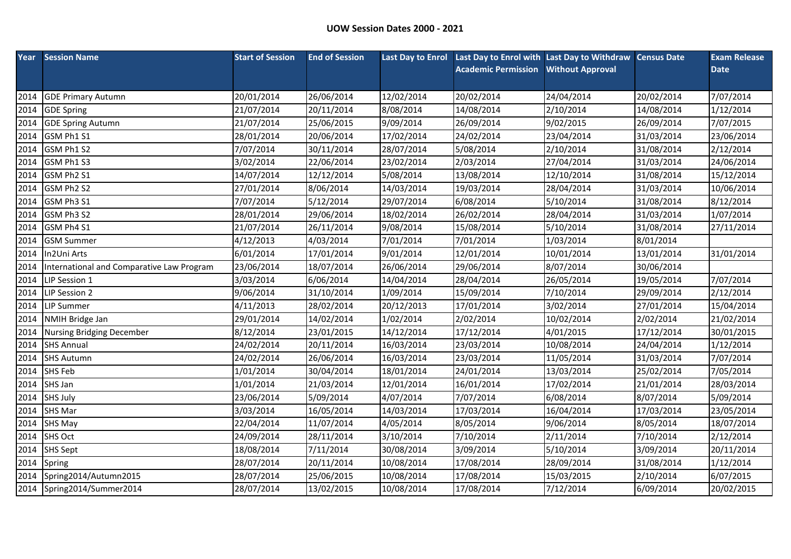| Year | <b>Session Name</b>                       | <b>Start of Session</b> | <b>End of Session</b> | <b>Last Day to Enrol</b> | Last Day to Enrol with Last Day to Withdraw Census Date |                         |            | <b>Exam Release</b> |
|------|-------------------------------------------|-------------------------|-----------------------|--------------------------|---------------------------------------------------------|-------------------------|------------|---------------------|
|      |                                           |                         |                       |                          | <b>Academic Permission</b>                              | <b>Without Approval</b> |            | <b>Date</b>         |
|      |                                           |                         |                       |                          |                                                         |                         |            |                     |
| 2014 | <b>GDE Primary Autumn</b>                 | 20/01/2014              | 26/06/2014            | 12/02/2014               | 20/02/2014                                              | 24/04/2014              | 20/02/2014 | 7/07/2014           |
| 2014 | <b>GDE Spring</b>                         | 21/07/2014              | 20/11/2014            | 8/08/2014                | 14/08/2014                                              | 2/10/2014               | 14/08/2014 | 1/12/2014           |
| 2014 | <b>GDE Spring Autumn</b>                  | 21/07/2014              | 25/06/2015            | 9/09/2014                | 26/09/2014                                              | 9/02/2015               | 26/09/2014 | 7/07/2015           |
| 2014 | GSM Ph1 S1                                | 28/01/2014              | 20/06/2014            | 17/02/2014               | 24/02/2014                                              | 23/04/2014              | 31/03/2014 | 23/06/2014          |
| 2014 | GSM Ph1 S2                                | 7/07/2014               | 30/11/2014            | 28/07/2014               | 5/08/2014                                               | 2/10/2014               | 31/08/2014 | 2/12/2014           |
| 2014 | GSM Ph1 S3                                | 3/02/2014               | 22/06/2014            | 23/02/2014               | 2/03/2014                                               | 27/04/2014              | 31/03/2014 | 24/06/2014          |
| 2014 | GSM Ph2 S1                                | 14/07/2014              | 12/12/2014            | 5/08/2014                | 13/08/2014                                              | 12/10/2014              | 31/08/2014 | 15/12/2014          |
| 2014 | GSM Ph2 S2                                | 27/01/2014              | 8/06/2014             | 14/03/2014               | 19/03/2014                                              | 28/04/2014              | 31/03/2014 | 10/06/2014          |
| 2014 | GSM Ph3 S1                                | 7/07/2014               | 5/12/2014             | 29/07/2014               | 6/08/2014                                               | 5/10/2014               | 31/08/2014 | 8/12/2014           |
| 2014 | GSM Ph3 S2                                | 28/01/2014              | 29/06/2014            | 18/02/2014               | 26/02/2014                                              | 28/04/2014              | 31/03/2014 | 1/07/2014           |
| 2014 | GSM Ph4 S1                                | 21/07/2014              | 26/11/2014            | 9/08/2014                | 15/08/2014                                              | 5/10/2014               | 31/08/2014 | 27/11/2014          |
| 2014 | <b>GSM Summer</b>                         | 4/12/2013               | 4/03/2014             | 7/01/2014                | 7/01/2014                                               | 1/03/2014               | 8/01/2014  |                     |
| 2014 | In2Uni Arts                               | 6/01/2014               | 17/01/2014            | 9/01/2014                | 12/01/2014                                              | 10/01/2014              | 13/01/2014 | 31/01/2014          |
| 2014 | International and Comparative Law Program | 23/06/2014              | 18/07/2014            | 26/06/2014               | 29/06/2014                                              | 8/07/2014               | 30/06/2014 |                     |
| 2014 | LIP Session 1                             | 3/03/2014               | 6/06/2014             | 14/04/2014               | 28/04/2014                                              | 26/05/2014              | 19/05/2014 | 7/07/2014           |
| 2014 | LIP Session 2                             | 9/06/2014               | 31/10/2014            | 1/09/2014                | 15/09/2014                                              | 7/10/2014               | 29/09/2014 | 2/12/2014           |
| 2014 | <b>LIP Summer</b>                         | 4/11/2013               | 28/02/2014            | 20/12/2013               | 17/01/2014                                              | 3/02/2014               | 27/01/2014 | 15/04/2014          |
| 2014 | <b>NMIH Bridge Jan</b>                    | 29/01/2014              | 14/02/2014            | 1/02/2014                | 2/02/2014                                               | 10/02/2014              | 2/02/2014  | 21/02/2014          |
| 2014 | <b>Nursing Bridging December</b>          | 8/12/2014               | 23/01/2015            | 14/12/2014               | 17/12/2014                                              | 4/01/2015               | 17/12/2014 | 30/01/2015          |
| 2014 | <b>SHS Annual</b>                         | 24/02/2014              | 20/11/2014            | 16/03/2014               | 23/03/2014                                              | 10/08/2014              | 24/04/2014 | 1/12/2014           |
| 2014 | <b>SHS Autumn</b>                         | 24/02/2014              | 26/06/2014            | 16/03/2014               | 23/03/2014                                              | 11/05/2014              | 31/03/2014 | 7/07/2014           |
| 2014 | <b>SHS Feb</b>                            | 1/01/2014               | 30/04/2014            | 18/01/2014               | 24/01/2014                                              | 13/03/2014              | 25/02/2014 | 7/05/2014           |
| 2014 | SHS Jan                                   | 1/01/2014               | 21/03/2014            | 12/01/2014               | 16/01/2014                                              | 17/02/2014              | 21/01/2014 | 28/03/2014          |
| 2014 | <b>SHS July</b>                           | 23/06/2014              | 5/09/2014             | 4/07/2014                | 7/07/2014                                               | 6/08/2014               | 8/07/2014  | 5/09/2014           |
| 2014 | <b>SHS Mar</b>                            | 3/03/2014               | 16/05/2014            | 14/03/2014               | 17/03/2014                                              | 16/04/2014              | 17/03/2014 | 23/05/2014          |
| 2014 | SHS May                                   | 22/04/2014              | 11/07/2014            | 4/05/2014                | 8/05/2014                                               | 9/06/2014               | 8/05/2014  | 18/07/2014          |
| 2014 | <b>SHS Oct</b>                            | 24/09/2014              | 28/11/2014            | 3/10/2014                | 7/10/2014                                               | 2/11/2014               | 7/10/2014  | 2/12/2014           |
| 2014 | <b>SHS Sept</b>                           | 18/08/2014              | 7/11/2014             | 30/08/2014               | 3/09/2014                                               | 5/10/2014               | 3/09/2014  | 20/11/2014          |
| 2014 | Spring                                    | 28/07/2014              | 20/11/2014            | 10/08/2014               | 17/08/2014                                              | 28/09/2014              | 31/08/2014 | 1/12/2014           |
| 2014 | Spring2014/Autumn2015                     | 28/07/2014              | 25/06/2015            | 10/08/2014               | 17/08/2014                                              | 15/03/2015              | 2/10/2014  | 6/07/2015           |
|      | 2014 Spring2014/Summer2014                | 28/07/2014              | 13/02/2015            | 10/08/2014               | 17/08/2014                                              | 7/12/2014               | 6/09/2014  | 20/02/2015          |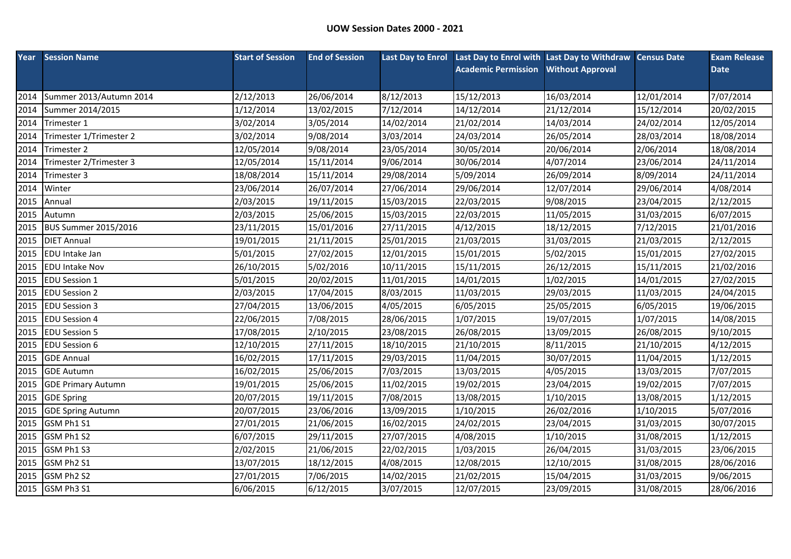|      | <b>Year</b> Session Name    | <b>Start of Session</b> | <b>End of Session</b> |            | Last Day to Enrol Last Day to Enrol with Last Day to Withdraw Census Date |                         |            | <b>Exam Release</b> |
|------|-----------------------------|-------------------------|-----------------------|------------|---------------------------------------------------------------------------|-------------------------|------------|---------------------|
|      |                             |                         |                       |            | <b>Academic Permission</b>                                                | <b>Without Approval</b> |            | <b>Date</b>         |
|      |                             |                         |                       |            |                                                                           |                         |            |                     |
| 2014 | Summer 2013/Autumn 2014     | 2/12/2013               | 26/06/2014            | 8/12/2013  | 15/12/2013                                                                | 16/03/2014              | 12/01/2014 | 7/07/2014           |
| 2014 | Summer 2014/2015            | 1/12/2014               | 13/02/2015            | 7/12/2014  | 14/12/2014                                                                | 21/12/2014              | 15/12/2014 | 20/02/2015          |
| 2014 | Trimester 1                 | 3/02/2014               | 3/05/2014             | 14/02/2014 | 21/02/2014                                                                | 14/03/2014              | 24/02/2014 | 12/05/2014          |
| 2014 | Trimester 1/Trimester 2     | 3/02/2014               | 9/08/2014             | 3/03/2014  | 24/03/2014                                                                | 26/05/2014              | 28/03/2014 | 18/08/2014          |
| 2014 | Trimester 2                 | 12/05/2014              | 9/08/2014             | 23/05/2014 | 30/05/2014                                                                | 20/06/2014              | 2/06/2014  | 18/08/2014          |
| 2014 | Trimester 2/Trimester 3     | 12/05/2014              | 15/11/2014            | 9/06/2014  | 30/06/2014                                                                | 4/07/2014               | 23/06/2014 | 24/11/2014          |
| 2014 | Trimester 3                 | 18/08/2014              | 15/11/2014            | 29/08/2014 | 5/09/2014                                                                 | 26/09/2014              | 8/09/2014  | 24/11/2014          |
| 2014 | Winter                      | 23/06/2014              | 26/07/2014            | 27/06/2014 | 29/06/2014                                                                | 12/07/2014              | 29/06/2014 | 4/08/2014           |
| 2015 | Annual                      | 2/03/2015               | 19/11/2015            | 15/03/2015 | 22/03/2015                                                                | 9/08/2015               | 23/04/2015 | 2/12/2015           |
| 2015 | Autumn                      | 2/03/2015               | 25/06/2015            | 15/03/2015 | 22/03/2015                                                                | 11/05/2015              | 31/03/2015 | 6/07/2015           |
| 2015 | <b>BUS Summer 2015/2016</b> | 23/11/2015              | 15/01/2016            | 27/11/2015 | 4/12/2015                                                                 | 18/12/2015              | 7/12/2015  | 21/01/2016          |
| 2015 | <b>DIET Annual</b>          | 19/01/2015              | 21/11/2015            | 25/01/2015 | 21/03/2015                                                                | 31/03/2015              | 21/03/2015 | 2/12/2015           |
| 2015 | <b>EDU</b> Intake Jan       | 5/01/2015               | 27/02/2015            | 12/01/2015 | 15/01/2015                                                                | 5/02/2015               | 15/01/2015 | 27/02/2015          |
| 2015 | <b>EDU Intake Nov</b>       | 26/10/2015              | 5/02/2016             | 10/11/2015 | 15/11/2015                                                                | 26/12/2015              | 15/11/2015 | 21/02/2016          |
| 2015 | <b>EDU Session 1</b>        | 5/01/2015               | 20/02/2015            | 11/01/2015 | 14/01/2015                                                                | 1/02/2015               | 14/01/2015 | 27/02/2015          |
| 2015 | <b>EDU Session 2</b>        | 2/03/2015               | 17/04/2015            | 8/03/2015  | 11/03/2015                                                                | 29/03/2015              | 11/03/2015 | 24/04/2015          |
| 2015 | <b>EDU Session 3</b>        | 27/04/2015              | 13/06/2015            | 4/05/2015  | 6/05/2015                                                                 | 25/05/2015              | 6/05/2015  | 19/06/2015          |
| 2015 | <b>EDU Session 4</b>        | 22/06/2015              | 7/08/2015             | 28/06/2015 | 1/07/2015                                                                 | 19/07/2015              | 1/07/2015  | 14/08/2015          |
| 2015 | <b>EDU Session 5</b>        | 17/08/2015              | 2/10/2015             | 23/08/2015 | 26/08/2015                                                                | 13/09/2015              | 26/08/2015 | 9/10/2015           |
| 2015 | <b>EDU Session 6</b>        | 12/10/2015              | 27/11/2015            | 18/10/2015 | 21/10/2015                                                                | 8/11/2015               | 21/10/2015 | 4/12/2015           |
| 2015 | <b>GDE Annual</b>           | 16/02/2015              | 17/11/2015            | 29/03/2015 | 11/04/2015                                                                | 30/07/2015              | 11/04/2015 | 1/12/2015           |
| 2015 | <b>GDE Autumn</b>           | 16/02/2015              | 25/06/2015            | 7/03/2015  | 13/03/2015                                                                | 4/05/2015               | 13/03/2015 | 7/07/2015           |
| 2015 | <b>GDE Primary Autumn</b>   | 19/01/2015              | 25/06/2015            | 11/02/2015 | 19/02/2015                                                                | 23/04/2015              | 19/02/2015 | 7/07/2015           |
| 2015 | <b>GDE Spring</b>           | 20/07/2015              | 19/11/2015            | 7/08/2015  | 13/08/2015                                                                | 1/10/2015               | 13/08/2015 | 1/12/2015           |
| 2015 | <b>GDE Spring Autumn</b>    | 20/07/2015              | 23/06/2016            | 13/09/2015 | 1/10/2015                                                                 | 26/02/2016              | 1/10/2015  | 5/07/2016           |
| 2015 | GSM Ph1 S1                  | 27/01/2015              | 21/06/2015            | 16/02/2015 | 24/02/2015                                                                | 23/04/2015              | 31/03/2015 | 30/07/2015          |
| 2015 | GSM Ph1 S2                  | 6/07/2015               | 29/11/2015            | 27/07/2015 | 4/08/2015                                                                 | 1/10/2015               | 31/08/2015 | 1/12/2015           |
| 2015 | GSM Ph1 S3                  | 2/02/2015               | 21/06/2015            | 22/02/2015 | 1/03/2015                                                                 | 26/04/2015              | 31/03/2015 | 23/06/2015          |
| 2015 | GSM Ph2 S1                  | 13/07/2015              | 18/12/2015            | 4/08/2015  | 12/08/2015                                                                | 12/10/2015              | 31/08/2015 | 28/06/2016          |
| 2015 | GSM Ph2 S2                  | 27/01/2015              | 7/06/2015             | 14/02/2015 | 21/02/2015                                                                | 15/04/2015              | 31/03/2015 | 9/06/2015           |
|      | 2015 GSM Ph3 S1             | 6/06/2015               | 6/12/2015             | 3/07/2015  | 12/07/2015                                                                | 23/09/2015              | 31/08/2015 | 28/06/2016          |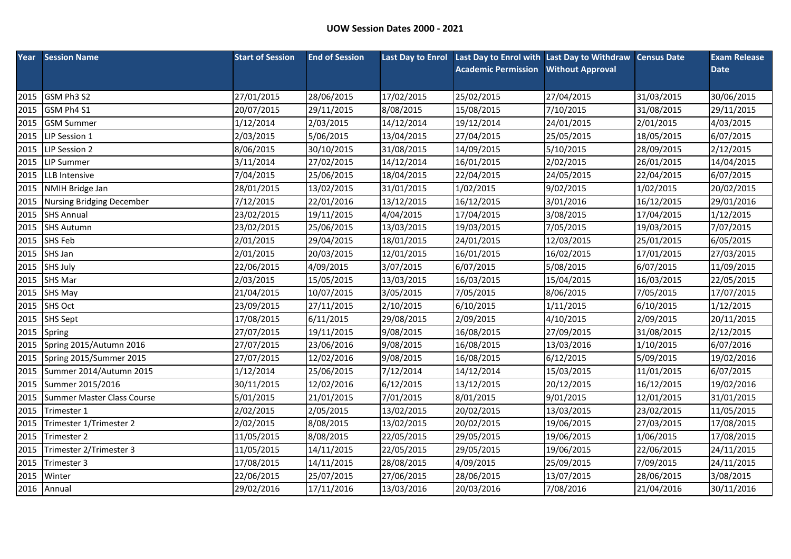|      | <b>Year</b> Session Name         | <b>Start of Session</b> | <b>End of Session</b> |            | Last Day to Enrol Last Day to Enrol with Last Day to Withdraw Census Date |                         |            | <b>Exam Release</b> |
|------|----------------------------------|-------------------------|-----------------------|------------|---------------------------------------------------------------------------|-------------------------|------------|---------------------|
|      |                                  |                         |                       |            | <b>Academic Permission</b>                                                | <b>Without Approval</b> |            | <b>Date</b>         |
|      |                                  |                         |                       |            |                                                                           |                         |            |                     |
| 2015 | GSM Ph3 S2                       | 27/01/2015              | 28/06/2015            | 17/02/2015 | 25/02/2015                                                                | 27/04/2015              | 31/03/2015 | 30/06/2015          |
| 2015 | GSM Ph4 S1                       | 20/07/2015              | 29/11/2015            | 8/08/2015  | 15/08/2015                                                                | 7/10/2015               | 31/08/2015 | 29/11/2015          |
| 2015 | <b>GSM Summer</b>                | 1/12/2014               | 2/03/2015             | 14/12/2014 | 19/12/2014                                                                | 24/01/2015              | 2/01/2015  | 4/03/2015           |
| 2015 | LIP Session 1                    | 2/03/2015               | 5/06/2015             | 13/04/2015 | 27/04/2015                                                                | 25/05/2015              | 18/05/2015 | 6/07/2015           |
| 2015 | LIP Session 2                    | 8/06/2015               | 30/10/2015            | 31/08/2015 | 14/09/2015                                                                | 5/10/2015               | 28/09/2015 | 2/12/2015           |
| 2015 | <b>LIP Summer</b>                | 3/11/2014               | 27/02/2015            | 14/12/2014 | 16/01/2015                                                                | 2/02/2015               | 26/01/2015 | 14/04/2015          |
| 2015 | <b>LLB</b> Intensive             | 7/04/2015               | 25/06/2015            | 18/04/2015 | 22/04/2015                                                                | 24/05/2015              | 22/04/2015 | 6/07/2015           |
| 2015 | <b>NMIH Bridge Jan</b>           | 28/01/2015              | 13/02/2015            | 31/01/2015 | 1/02/2015                                                                 | 9/02/2015               | 1/02/2015  | 20/02/2015          |
| 2015 | <b>Nursing Bridging December</b> | 7/12/2015               | 22/01/2016            | 13/12/2015 | 16/12/2015                                                                | 3/01/2016               | 16/12/2015 | 29/01/2016          |
| 2015 | <b>SHS Annual</b>                | 23/02/2015              | 19/11/2015            | 4/04/2015  | 17/04/2015                                                                | 3/08/2015               | 17/04/2015 | 1/12/2015           |
| 2015 | <b>SHS Autumn</b>                | 23/02/2015              | 25/06/2015            | 13/03/2015 | 19/03/2015                                                                | 7/05/2015               | 19/03/2015 | 7/07/2015           |
| 2015 | <b>SHS Feb</b>                   | 2/01/2015               | 29/04/2015            | 18/01/2015 | 24/01/2015                                                                | 12/03/2015              | 25/01/2015 | 6/05/2015           |
| 2015 | SHS Jan                          | 2/01/2015               | 20/03/2015            | 12/01/2015 | 16/01/2015                                                                | 16/02/2015              | 17/01/2015 | 27/03/2015          |
| 2015 | <b>SHS July</b>                  | 22/06/2015              | 4/09/2015             | 3/07/2015  | 6/07/2015                                                                 | 5/08/2015               | 6/07/2015  | 11/09/2015          |
| 2015 | <b>SHS Mar</b>                   | 2/03/2015               | 15/05/2015            | 13/03/2015 | 16/03/2015                                                                | 15/04/2015              | 16/03/2015 | 22/05/2015          |
| 2015 | <b>SHS May</b>                   | 21/04/2015              | 10/07/2015            | 3/05/2015  | 7/05/2015                                                                 | 8/06/2015               | 7/05/2015  | 17/07/2015          |
| 2015 | <b>SHS Oct</b>                   | 23/09/2015              | 27/11/2015            | 2/10/2015  | 6/10/2015                                                                 | 1/11/2015               | 6/10/2015  | 1/12/2015           |
| 2015 | <b>SHS Sept</b>                  | 17/08/2015              | 6/11/2015             | 29/08/2015 | 2/09/2015                                                                 | 4/10/2015               | 2/09/2015  | 20/11/2015          |
| 2015 | Spring                           | 27/07/2015              | 19/11/2015            | 9/08/2015  | 16/08/2015                                                                | 27/09/2015              | 31/08/2015 | 2/12/2015           |
| 2015 | Spring 2015/Autumn 2016          | 27/07/2015              | 23/06/2016            | 9/08/2015  | 16/08/2015                                                                | 13/03/2016              | 1/10/2015  | 6/07/2016           |
| 2015 | Spring 2015/Summer 2015          | 27/07/2015              | 12/02/2016            | 9/08/2015  | 16/08/2015                                                                | 6/12/2015               | 5/09/2015  | 19/02/2016          |
| 2015 | Summer 2014/Autumn 2015          | 1/12/2014               | 25/06/2015            | 7/12/2014  | 14/12/2014                                                                | 15/03/2015              | 11/01/2015 | 6/07/2015           |
| 2015 | Summer 2015/2016                 | 30/11/2015              | 12/02/2016            | 6/12/2015  | 13/12/2015                                                                | 20/12/2015              | 16/12/2015 | 19/02/2016          |
| 2015 | Summer Master Class Course       | 5/01/2015               | 21/01/2015            | 7/01/2015  | 8/01/2015                                                                 | 9/01/2015               | 12/01/2015 | 31/01/2015          |
| 2015 | Trimester 1                      | 2/02/2015               | 2/05/2015             | 13/02/2015 | 20/02/2015                                                                | 13/03/2015              | 23/02/2015 | 11/05/2015          |
| 2015 | Trimester 1/Trimester 2          | 2/02/2015               | 8/08/2015             | 13/02/2015 | 20/02/2015                                                                | 19/06/2015              | 27/03/2015 | 17/08/2015          |
| 2015 | Trimester 2                      | 11/05/2015              | 8/08/2015             | 22/05/2015 | 29/05/2015                                                                | 19/06/2015              | 1/06/2015  | 17/08/2015          |
| 2015 | Trimester 2/Trimester 3          | 11/05/2015              | 14/11/2015            | 22/05/2015 | 29/05/2015                                                                | 19/06/2015              | 22/06/2015 | 24/11/2015          |
| 2015 | Trimester 3                      | 17/08/2015              | 14/11/2015            | 28/08/2015 | 4/09/2015                                                                 | 25/09/2015              | 7/09/2015  | 24/11/2015          |
| 2015 | Winter                           | 22/06/2015              | 25/07/2015            | 27/06/2015 | 28/06/2015                                                                | 13/07/2015              | 28/06/2015 | 3/08/2015           |
|      | 2016 Annual                      | 29/02/2016              | 17/11/2016            | 13/03/2016 | 20/03/2016                                                                | 7/08/2016               | 21/04/2016 | 30/11/2016          |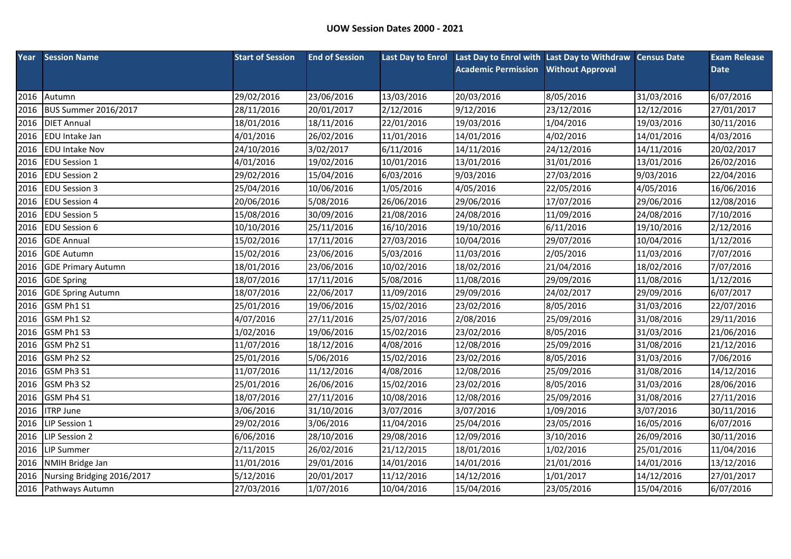|      | <b>Year</b> Session Name           | <b>Start of Session</b> | <b>End of Session</b> |            | Last Day to Enrol Last Day to Enrol with Last Day to Withdraw Census Date |                         |            | <b>Exam Release</b> |
|------|------------------------------------|-------------------------|-----------------------|------------|---------------------------------------------------------------------------|-------------------------|------------|---------------------|
|      |                                    |                         |                       |            | <b>Academic Permission</b>                                                | <b>Without Approval</b> |            | <b>Date</b>         |
|      |                                    |                         |                       |            |                                                                           |                         |            |                     |
| 2016 | Autumn                             | 29/02/2016              | 23/06/2016            | 13/03/2016 | 20/03/2016                                                                | 8/05/2016               | 31/03/2016 | 6/07/2016           |
| 2016 | <b>BUS Summer 2016/2017</b>        | 28/11/2016              | 20/01/2017            | 2/12/2016  | 9/12/2016                                                                 | 23/12/2016              | 12/12/2016 | 27/01/2017          |
| 2016 | <b>DIET Annual</b>                 | 18/01/2016              | 18/11/2016            | 22/01/2016 | 19/03/2016                                                                | 1/04/2016               | 19/03/2016 | 30/11/2016          |
| 2016 | <b>EDU</b> Intake Jan              | 4/01/2016               | 26/02/2016            | 11/01/2016 | 14/01/2016                                                                | 4/02/2016               | 14/01/2016 | 4/03/2016           |
| 2016 | <b>EDU Intake Nov</b>              | 24/10/2016              | 3/02/2017             | 6/11/2016  | 14/11/2016                                                                | 24/12/2016              | 14/11/2016 | 20/02/2017          |
| 2016 | <b>EDU Session 1</b>               | 4/01/2016               | 19/02/2016            | 10/01/2016 | 13/01/2016                                                                | 31/01/2016              | 13/01/2016 | 26/02/2016          |
| 2016 | <b>EDU Session 2</b>               | 29/02/2016              | 15/04/2016            | 6/03/2016  | 9/03/2016                                                                 | 27/03/2016              | 9/03/2016  | 22/04/2016          |
| 2016 | <b>EDU Session 3</b>               | 25/04/2016              | 10/06/2016            | 1/05/2016  | 4/05/2016                                                                 | 22/05/2016              | 4/05/2016  | 16/06/2016          |
| 2016 | <b>EDU Session 4</b>               | 20/06/2016              | 5/08/2016             | 26/06/2016 | 29/06/2016                                                                | 17/07/2016              | 29/06/2016 | 12/08/2016          |
| 2016 | <b>EDU Session 5</b>               | 15/08/2016              | 30/09/2016            | 21/08/2016 | 24/08/2016                                                                | 11/09/2016              | 24/08/2016 | 7/10/2016           |
| 2016 | <b>EDU Session 6</b>               | 10/10/2016              | 25/11/2016            | 16/10/2016 | 19/10/2016                                                                | 6/11/2016               | 19/10/2016 | 2/12/2016           |
| 2016 | <b>GDE Annual</b>                  | 15/02/2016              | 17/11/2016            | 27/03/2016 | 10/04/2016                                                                | 29/07/2016              | 10/04/2016 | 1/12/2016           |
| 2016 | <b>GDE Autumn</b>                  | 15/02/2016              | 23/06/2016            | 5/03/2016  | 11/03/2016                                                                | 2/05/2016               | 11/03/2016 | 7/07/2016           |
| 2016 | <b>GDE Primary Autumn</b>          | 18/01/2016              | 23/06/2016            | 10/02/2016 | 18/02/2016                                                                | 21/04/2016              | 18/02/2016 | 7/07/2016           |
| 2016 | <b>GDE Spring</b>                  | 18/07/2016              | 17/11/2016            | 5/08/2016  | 11/08/2016                                                                | 29/09/2016              | 11/08/2016 | 1/12/2016           |
| 2016 | <b>GDE Spring Autumn</b>           | 18/07/2016              | 22/06/2017            | 11/09/2016 | 29/09/2016                                                                | 24/02/2017              | 29/09/2016 | 6/07/2017           |
| 2016 | GSM Ph1 S1                         | 25/01/2016              | 19/06/2016            | 15/02/2016 | 23/02/2016                                                                | 8/05/2016               | 31/03/2016 | 22/07/2016          |
| 2016 | GSM Ph1 S2                         | 4/07/2016               | 27/11/2016            | 25/07/2016 | 2/08/2016                                                                 | 25/09/2016              | 31/08/2016 | 29/11/2016          |
| 2016 | GSM Ph1 S3                         | 1/02/2016               | 19/06/2016            | 15/02/2016 | 23/02/2016                                                                | 8/05/2016               | 31/03/2016 | 21/06/2016          |
| 2016 | GSM Ph2 S1                         | 11/07/2016              | 18/12/2016            | 4/08/2016  | 12/08/2016                                                                | 25/09/2016              | 31/08/2016 | 21/12/2016          |
| 2016 | GSM Ph <sub>2</sub> S <sub>2</sub> | 25/01/2016              | 5/06/2016             | 15/02/2016 | 23/02/2016                                                                | 8/05/2016               | 31/03/2016 | 7/06/2016           |
| 2016 | GSM Ph3 S1                         | 11/07/2016              | 11/12/2016            | 4/08/2016  | 12/08/2016                                                                | 25/09/2016              | 31/08/2016 | 14/12/2016          |
| 2016 | GSM Ph3 S2                         | 25/01/2016              | 26/06/2016            | 15/02/2016 | 23/02/2016                                                                | 8/05/2016               | 31/03/2016 | 28/06/2016          |
| 2016 | GSM Ph4 S1                         | 18/07/2016              | 27/11/2016            | 10/08/2016 | 12/08/2016                                                                | 25/09/2016              | 31/08/2016 | 27/11/2016          |
| 2016 | <b>ITRP June</b>                   | 3/06/2016               | 31/10/2016            | 3/07/2016  | 3/07/2016                                                                 | 1/09/2016               | 3/07/2016  | 30/11/2016          |
| 2016 | LIP Session 1                      | 29/02/2016              | 3/06/2016             | 11/04/2016 | 25/04/2016                                                                | 23/05/2016              | 16/05/2016 | 6/07/2016           |
| 2016 | <b>LIP Session 2</b>               | 6/06/2016               | 28/10/2016            | 29/08/2016 | 12/09/2016                                                                | 3/10/2016               | 26/09/2016 | 30/11/2016          |
| 2016 | <b>LIP Summer</b>                  | 2/11/2015               | 26/02/2016            | 21/12/2015 | 18/01/2016                                                                | 1/02/2016               | 25/01/2016 | 11/04/2016          |
| 2016 | NMIH Bridge Jan                    | 11/01/2016              | 29/01/2016            | 14/01/2016 | 14/01/2016                                                                | 21/01/2016              | 14/01/2016 | 13/12/2016          |
| 2016 | Nursing Bridging 2016/2017         | 5/12/2016               | 20/01/2017            | 11/12/2016 | 14/12/2016                                                                | 1/01/2017               | 14/12/2016 | 27/01/2017          |
|      | 2016 Pathways Autumn               | 27/03/2016              | 1/07/2016             | 10/04/2016 | 15/04/2016                                                                | 23/05/2016              | 15/04/2016 | 6/07/2016           |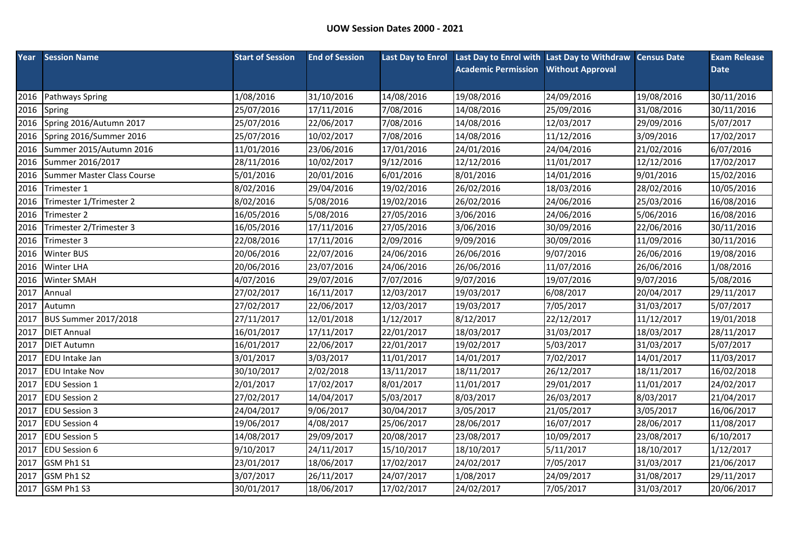| Year | <b>Session Name</b>         | <b>Start of Session</b> | <b>End of Session</b> |            | Last Day to Enrol Last Day to Enrol with Last Day to Withdraw Census Date |                         |            | <b>Exam Release</b> |
|------|-----------------------------|-------------------------|-----------------------|------------|---------------------------------------------------------------------------|-------------------------|------------|---------------------|
|      |                             |                         |                       |            | <b>Academic Permission</b>                                                | <b>Without Approval</b> |            | <b>Date</b>         |
|      |                             |                         |                       |            |                                                                           |                         |            |                     |
| 2016 | Pathways Spring             | 1/08/2016               | 31/10/2016            | 14/08/2016 | 19/08/2016                                                                | 24/09/2016              | 19/08/2016 | 30/11/2016          |
| 2016 | Spring                      | 25/07/2016              | 17/11/2016            | 7/08/2016  | 14/08/2016                                                                | 25/09/2016              | 31/08/2016 | 30/11/2016          |
| 2016 | Spring 2016/Autumn 2017     | 25/07/2016              | 22/06/2017            | 7/08/2016  | 14/08/2016                                                                | 12/03/2017              | 29/09/2016 | 5/07/2017           |
| 2016 | Spring 2016/Summer 2016     | 25/07/2016              | 10/02/2017            | 7/08/2016  | 14/08/2016                                                                | 11/12/2016              | 3/09/2016  | 17/02/2017          |
| 2016 | Summer 2015/Autumn 2016     | 11/01/2016              | 23/06/2016            | 17/01/2016 | 24/01/2016                                                                | 24/04/2016              | 21/02/2016 | 6/07/2016           |
| 2016 | Summer 2016/2017            | 28/11/2016              | 10/02/2017            | 9/12/2016  | 12/12/2016                                                                | 11/01/2017              | 12/12/2016 | 17/02/2017          |
| 2016 | Summer Master Class Course  | 5/01/2016               | 20/01/2016            | 6/01/2016  | 8/01/2016                                                                 | 14/01/2016              | 9/01/2016  | 15/02/2016          |
| 2016 | Trimester 1                 | 8/02/2016               | 29/04/2016            | 19/02/2016 | 26/02/2016                                                                | 18/03/2016              | 28/02/2016 | 10/05/2016          |
| 2016 | Trimester 1/Trimester 2     | 8/02/2016               | 5/08/2016             | 19/02/2016 | 26/02/2016                                                                | 24/06/2016              | 25/03/2016 | 16/08/2016          |
| 2016 | Trimester 2                 | 16/05/2016              | 5/08/2016             | 27/05/2016 | 3/06/2016                                                                 | 24/06/2016              | 5/06/2016  | 16/08/2016          |
| 2016 | Trimester 2/Trimester 3     | 16/05/2016              | 17/11/2016            | 27/05/2016 | 3/06/2016                                                                 | 30/09/2016              | 22/06/2016 | 30/11/2016          |
| 2016 | Trimester 3                 | 22/08/2016              | 17/11/2016            | 2/09/2016  | 9/09/2016                                                                 | 30/09/2016              | 11/09/2016 | 30/11/2016          |
| 2016 | <b>Winter BUS</b>           | 20/06/2016              | 22/07/2016            | 24/06/2016 | 26/06/2016                                                                | 9/07/2016               | 26/06/2016 | 19/08/2016          |
| 2016 | <b>Winter LHA</b>           | 20/06/2016              | 23/07/2016            | 24/06/2016 | 26/06/2016                                                                | 11/07/2016              | 26/06/2016 | 1/08/2016           |
| 2016 | Winter SMAH                 | 4/07/2016               | 29/07/2016            | 7/07/2016  | 9/07/2016                                                                 | 19/07/2016              | 9/07/2016  | 5/08/2016           |
| 2017 | Annual                      | 27/02/2017              | 16/11/2017            | 12/03/2017 | 19/03/2017                                                                | 6/08/2017               | 20/04/2017 | 29/11/2017          |
| 2017 | Autumn                      | 27/02/2017              | 22/06/2017            | 12/03/2017 | 19/03/2017                                                                | 7/05/2017               | 31/03/2017 | 5/07/2017           |
| 2017 | <b>BUS Summer 2017/2018</b> | 27/11/2017              | 12/01/2018            | 1/12/2017  | 8/12/2017                                                                 | 22/12/2017              | 11/12/2017 | 19/01/2018          |
| 2017 | <b>DIET Annual</b>          | 16/01/2017              | 17/11/2017            | 22/01/2017 | 18/03/2017                                                                | 31/03/2017              | 18/03/2017 | 28/11/2017          |
| 2017 | <b>DIET Autumn</b>          | 16/01/2017              | 22/06/2017            | 22/01/2017 | 19/02/2017                                                                | 5/03/2017               | 31/03/2017 | 5/07/2017           |
| 2017 | <b>EDU</b> Intake Jan       | 3/01/2017               | 3/03/2017             | 11/01/2017 | 14/01/2017                                                                | 7/02/2017               | 14/01/2017 | 11/03/2017          |
| 2017 | <b>EDU Intake Nov</b>       | 30/10/2017              | 2/02/2018             | 13/11/2017 | 18/11/2017                                                                | 26/12/2017              | 18/11/2017 | 16/02/2018          |
| 2017 | <b>EDU Session 1</b>        | 2/01/2017               | 17/02/2017            | 8/01/2017  | 11/01/2017                                                                | 29/01/2017              | 11/01/2017 | 24/02/2017          |
| 2017 | <b>EDU Session 2</b>        | 27/02/2017              | 14/04/2017            | 5/03/2017  | 8/03/2017                                                                 | 26/03/2017              | 8/03/2017  | 21/04/2017          |
| 2017 | <b>EDU Session 3</b>        | 24/04/2017              | 9/06/2017             | 30/04/2017 | 3/05/2017                                                                 | 21/05/2017              | 3/05/2017  | 16/06/2017          |
| 2017 | <b>EDU Session 4</b>        | 19/06/2017              | 4/08/2017             | 25/06/2017 | 28/06/2017                                                                | 16/07/2017              | 28/06/2017 | 11/08/2017          |
| 2017 | <b>EDU Session 5</b>        | 14/08/2017              | 29/09/2017            | 20/08/2017 | 23/08/2017                                                                | 10/09/2017              | 23/08/2017 | 6/10/2017           |
| 2017 | <b>EDU Session 6</b>        | 9/10/2017               | 24/11/2017            | 15/10/2017 | 18/10/2017                                                                | 5/11/2017               | 18/10/2017 | 1/12/2017           |
| 2017 | GSM Ph1 S1                  | 23/01/2017              | 18/06/2017            | 17/02/2017 | 24/02/2017                                                                | 7/05/2017               | 31/03/2017 | 21/06/2017          |
| 2017 | GSM Ph1 S2                  | 3/07/2017               | 26/11/2017            | 24/07/2017 | 1/08/2017                                                                 | 24/09/2017              | 31/08/2017 | 29/11/2017          |
|      | 2017 GSM Ph1 S3             | 30/01/2017              | 18/06/2017            | 17/02/2017 | 24/02/2017                                                                | 7/05/2017               | 31/03/2017 | 20/06/2017          |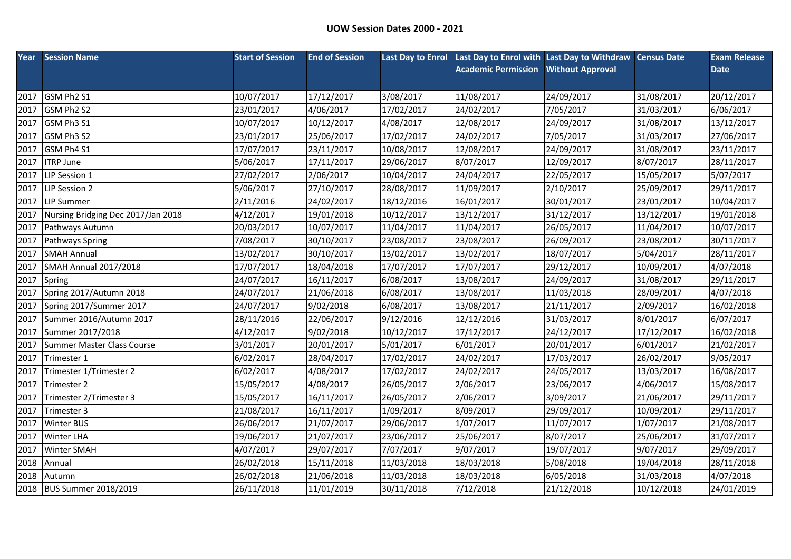| Year | <b>Session Name</b>                | <b>Start of Session</b> | <b>End of Session</b> |            | Last Day to Enrol Last Day to Enrol with Last Day to Withdraw Census Date |                         |            | <b>Exam Release</b> |
|------|------------------------------------|-------------------------|-----------------------|------------|---------------------------------------------------------------------------|-------------------------|------------|---------------------|
|      |                                    |                         |                       |            | <b>Academic Permission</b>                                                | <b>Without Approval</b> |            | <b>Date</b>         |
|      |                                    |                         |                       |            |                                                                           |                         |            |                     |
| 2017 | GSM Ph2 S1                         | 10/07/2017              | 17/12/2017            | 3/08/2017  | 11/08/2017                                                                | 24/09/2017              | 31/08/2017 | 20/12/2017          |
| 2017 | GSM Ph2 S2                         | 23/01/2017              | 4/06/2017             | 17/02/2017 | 24/02/2017                                                                | 7/05/2017               | 31/03/2017 | 6/06/2017           |
| 2017 | GSM Ph3 S1                         | 10/07/2017              | 10/12/2017            | 4/08/2017  | 12/08/2017                                                                | 24/09/2017              | 31/08/2017 | 13/12/2017          |
| 2017 | GSM Ph3 S2                         | 23/01/2017              | 25/06/2017            | 17/02/2017 | 24/02/2017                                                                | 7/05/2017               | 31/03/2017 | 27/06/2017          |
| 2017 | GSM Ph4 S1                         | 17/07/2017              | 23/11/2017            | 10/08/2017 | 12/08/2017                                                                | 24/09/2017              | 31/08/2017 | 23/11/2017          |
| 2017 | <b>ITRP June</b>                   | 5/06/2017               | 17/11/2017            | 29/06/2017 | 8/07/2017                                                                 | 12/09/2017              | 8/07/2017  | 28/11/2017          |
| 2017 | LIP Session 1                      | 27/02/2017              | 2/06/2017             | 10/04/2017 | 24/04/2017                                                                | 22/05/2017              | 15/05/2017 | 5/07/2017           |
| 2017 | LIP Session 2                      | 5/06/2017               | 27/10/2017            | 28/08/2017 | 11/09/2017                                                                | 2/10/2017               | 25/09/2017 | 29/11/2017          |
| 2017 | <b>LIP Summer</b>                  | 2/11/2016               | 24/02/2017            | 18/12/2016 | 16/01/2017                                                                | 30/01/2017              | 23/01/2017 | 10/04/2017          |
| 2017 | Nursing Bridging Dec 2017/Jan 2018 | 4/12/2017               | 19/01/2018            | 10/12/2017 | 13/12/2017                                                                | 31/12/2017              | 13/12/2017 | 19/01/2018          |
| 2017 | Pathways Autumn                    | 20/03/2017              | 10/07/2017            | 11/04/2017 | 11/04/2017                                                                | 26/05/2017              | 11/04/2017 | 10/07/2017          |
| 2017 | Pathways Spring                    | 7/08/2017               | 30/10/2017            | 23/08/2017 | 23/08/2017                                                                | 26/09/2017              | 23/08/2017 | 30/11/2017          |
| 2017 | <b>SMAH Annual</b>                 | 13/02/2017              | 30/10/2017            | 13/02/2017 | 13/02/2017                                                                | 18/07/2017              | 5/04/2017  | 28/11/2017          |
| 2017 | <b>SMAH Annual 2017/2018</b>       | 17/07/2017              | 18/04/2018            | 17/07/2017 | 17/07/2017                                                                | 29/12/2017              | 10/09/2017 | 4/07/2018           |
| 2017 | Spring                             | 24/07/2017              | 16/11/2017            | 6/08/2017  | 13/08/2017                                                                | 24/09/2017              | 31/08/2017 | 29/11/2017          |
| 2017 | Spring 2017/Autumn 2018            | 24/07/2017              | 21/06/2018            | 6/08/2017  | 13/08/2017                                                                | 11/03/2018              | 28/09/2017 | 4/07/2018           |
| 2017 | Spring 2017/Summer 2017            | 24/07/2017              | 9/02/2018             | 6/08/2017  | 13/08/2017                                                                | 21/11/2017              | 2/09/2017  | 16/02/2018          |
| 2017 | Summer 2016/Autumn 2017            | 28/11/2016              | 22/06/2017            | 9/12/2016  | 12/12/2016                                                                | 31/03/2017              | 8/01/2017  | 6/07/2017           |
| 2017 | Summer 2017/2018                   | 4/12/2017               | 9/02/2018             | 10/12/2017 | 17/12/2017                                                                | 24/12/2017              | 17/12/2017 | 16/02/2018          |
| 2017 | Summer Master Class Course         | 3/01/2017               | 20/01/2017            | 5/01/2017  | 6/01/2017                                                                 | 20/01/2017              | 6/01/2017  | 21/02/2017          |
| 2017 | Trimester 1                        | 6/02/2017               | 28/04/2017            | 17/02/2017 | 24/02/2017                                                                | 17/03/2017              | 26/02/2017 | 9/05/2017           |
| 2017 | Trimester 1/Trimester 2            | 6/02/2017               | 4/08/2017             | 17/02/2017 | 24/02/2017                                                                | 24/05/2017              | 13/03/2017 | 16/08/2017          |
| 2017 | Trimester 2                        | 15/05/2017              | 4/08/2017             | 26/05/2017 | 2/06/2017                                                                 | 23/06/2017              | 4/06/2017  | 15/08/2017          |
| 2017 | Trimester 2/Trimester 3            | 15/05/2017              | 16/11/2017            | 26/05/2017 | 2/06/2017                                                                 | 3/09/2017               | 21/06/2017 | 29/11/2017          |
| 2017 | Trimester 3                        | 21/08/2017              | 16/11/2017            | 1/09/2017  | 8/09/2017                                                                 | 29/09/2017              | 10/09/2017 | 29/11/2017          |
| 2017 | <b>Winter BUS</b>                  | 26/06/2017              | 21/07/2017            | 29/06/2017 | 1/07/2017                                                                 | 11/07/2017              | 1/07/2017  | 21/08/2017          |
| 2017 | <b>Winter LHA</b>                  | 19/06/2017              | 21/07/2017            | 23/06/2017 | 25/06/2017                                                                | 8/07/2017               | 25/06/2017 | 31/07/2017          |
| 2017 | Winter SMAH                        | 4/07/2017               | 29/07/2017            | 7/07/2017  | 9/07/2017                                                                 | 19/07/2017              | 9/07/2017  | 29/09/2017          |
| 2018 | Annual                             | 26/02/2018              | 15/11/2018            | 11/03/2018 | 18/03/2018                                                                | 5/08/2018               | 19/04/2018 | 28/11/2018          |
| 2018 | Autumn                             | 26/02/2018              | 21/06/2018            | 11/03/2018 | 18/03/2018                                                                | 6/05/2018               | 31/03/2018 | 4/07/2018           |
|      | 2018 BUS Summer 2018/2019          | 26/11/2018              | 11/01/2019            | 30/11/2018 | 7/12/2018                                                                 | 21/12/2018              | 10/12/2018 | 24/01/2019          |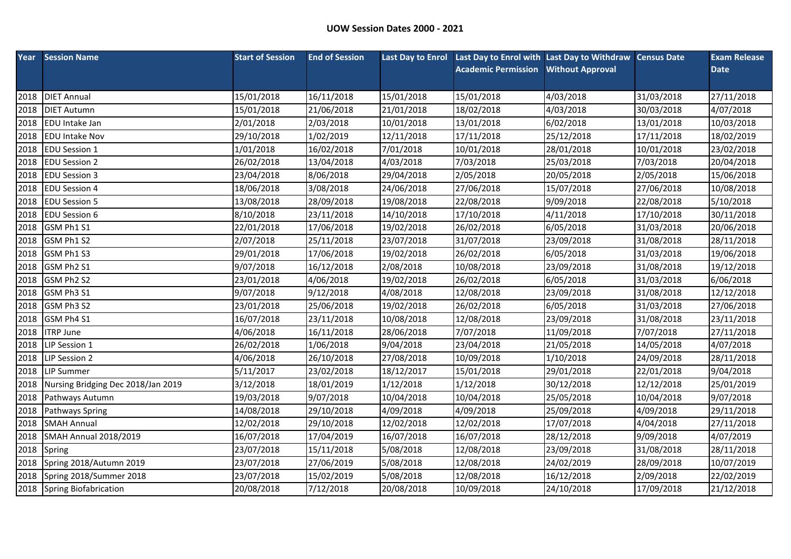| Year | <b>Session Name</b>                | <b>Start of Session</b> | <b>End of Session</b> |            | Last Day to Enrol Last Day to Enrol with Last Day to Withdraw Census Date |                         |            | <b>Exam Release</b> |
|------|------------------------------------|-------------------------|-----------------------|------------|---------------------------------------------------------------------------|-------------------------|------------|---------------------|
|      |                                    |                         |                       |            | <b>Academic Permission</b>                                                | <b>Without Approval</b> |            | <b>Date</b>         |
|      |                                    |                         |                       |            |                                                                           |                         |            |                     |
| 2018 | <b>DIET Annual</b>                 | 15/01/2018              | 16/11/2018            | 15/01/2018 | 15/01/2018                                                                | 4/03/2018               | 31/03/2018 | 27/11/2018          |
| 2018 | <b>DIET Autumn</b>                 | 15/01/2018              | 21/06/2018            | 21/01/2018 | 18/02/2018                                                                | 4/03/2018               | 30/03/2018 | 4/07/2018           |
| 2018 | <b>EDU</b> Intake Jan              | 2/01/2018               | 2/03/2018             | 10/01/2018 | 13/01/2018                                                                | 6/02/2018               | 13/01/2018 | 10/03/2018          |
| 2018 | <b>EDU Intake Nov</b>              | 29/10/2018              | 1/02/2019             | 12/11/2018 | 17/11/2018                                                                | 25/12/2018              | 17/11/2018 | 18/02/2019          |
| 2018 | <b>EDU Session 1</b>               | 1/01/2018               | 16/02/2018            | 7/01/2018  | 10/01/2018                                                                | 28/01/2018              | 10/01/2018 | 23/02/2018          |
| 2018 | <b>EDU Session 2</b>               | 26/02/2018              | 13/04/2018            | 4/03/2018  | 7/03/2018                                                                 | 25/03/2018              | 7/03/2018  | 20/04/2018          |
| 2018 | <b>EDU Session 3</b>               | 23/04/2018              | 8/06/2018             | 29/04/2018 | 2/05/2018                                                                 | 20/05/2018              | 2/05/2018  | 15/06/2018          |
| 2018 | <b>EDU Session 4</b>               | 18/06/2018              | 3/08/2018             | 24/06/2018 | 27/06/2018                                                                | 15/07/2018              | 27/06/2018 | 10/08/2018          |
| 2018 | <b>EDU Session 5</b>               | 13/08/2018              | 28/09/2018            | 19/08/2018 | 22/08/2018                                                                | 9/09/2018               | 22/08/2018 | 5/10/2018           |
| 2018 | <b>EDU Session 6</b>               | 8/10/2018               | 23/11/2018            | 14/10/2018 | 17/10/2018                                                                | 4/11/2018               | 17/10/2018 | 30/11/2018          |
| 2018 | GSM Ph1 S1                         | 22/01/2018              | 17/06/2018            | 19/02/2018 | 26/02/2018                                                                | 6/05/2018               | 31/03/2018 | 20/06/2018          |
| 2018 | GSM Ph1 S2                         | 2/07/2018               | 25/11/2018            | 23/07/2018 | 31/07/2018                                                                | 23/09/2018              | 31/08/2018 | 28/11/2018          |
| 2018 | GSM Ph1 S3                         | 29/01/2018              | 17/06/2018            | 19/02/2018 | 26/02/2018                                                                | 6/05/2018               | 31/03/2018 | 19/06/2018          |
| 2018 | GSM Ph2 S1                         | 9/07/2018               | 16/12/2018            | 2/08/2018  | 10/08/2018                                                                | 23/09/2018              | 31/08/2018 | 19/12/2018          |
| 2018 | GSM Ph2 S2                         | 23/01/2018              | 4/06/2018             | 19/02/2018 | 26/02/2018                                                                | 6/05/2018               | 31/03/2018 | 6/06/2018           |
| 2018 | GSM Ph3 S1                         | 9/07/2018               | 9/12/2018             | 4/08/2018  | 12/08/2018                                                                | 23/09/2018              | 31/08/2018 | 12/12/2018          |
| 2018 | GSM Ph3 S2                         | 23/01/2018              | 25/06/2018            | 19/02/2018 | 26/02/2018                                                                | 6/05/2018               | 31/03/2018 | 27/06/2018          |
| 2018 | GSM Ph4 S1                         | 16/07/2018              | 23/11/2018            | 10/08/2018 | 12/08/2018                                                                | 23/09/2018              | 31/08/2018 | 23/11/2018          |
| 2018 | <b>ITRP June</b>                   | 4/06/2018               | 16/11/2018            | 28/06/2018 | 7/07/2018                                                                 | 11/09/2018              | 7/07/2018  | 27/11/2018          |
| 2018 | LIP Session 1                      | 26/02/2018              | 1/06/2018             | 9/04/2018  | 23/04/2018                                                                | 21/05/2018              | 14/05/2018 | 4/07/2018           |
| 2018 | LIP Session 2                      | 4/06/2018               | 26/10/2018            | 27/08/2018 | 10/09/2018                                                                | 1/10/2018               | 24/09/2018 | 28/11/2018          |
| 2018 | <b>LIP Summer</b>                  | 5/11/2017               | 23/02/2018            | 18/12/2017 | 15/01/2018                                                                | 29/01/2018              | 22/01/2018 | 9/04/2018           |
| 2018 | Nursing Bridging Dec 2018/Jan 2019 | 3/12/2018               | 18/01/2019            | 1/12/2018  | 1/12/2018                                                                 | 30/12/2018              | 12/12/2018 | 25/01/2019          |
| 2018 | Pathways Autumn                    | 19/03/2018              | 9/07/2018             | 10/04/2018 | 10/04/2018                                                                | 25/05/2018              | 10/04/2018 | 9/07/2018           |
| 2018 | Pathways Spring                    | 14/08/2018              | 29/10/2018            | 4/09/2018  | 4/09/2018                                                                 | 25/09/2018              | 4/09/2018  | 29/11/2018          |
| 2018 | <b>SMAH Annual</b>                 | 12/02/2018              | 29/10/2018            | 12/02/2018 | 12/02/2018                                                                | 17/07/2018              | 4/04/2018  | 27/11/2018          |
| 2018 | <b>SMAH Annual 2018/2019</b>       | 16/07/2018              | 17/04/2019            | 16/07/2018 | 16/07/2018                                                                | 28/12/2018              | 9/09/2018  | 4/07/2019           |
| 2018 | Spring                             | 23/07/2018              | 15/11/2018            | 5/08/2018  | 12/08/2018                                                                | 23/09/2018              | 31/08/2018 | 28/11/2018          |
| 2018 | Spring 2018/Autumn 2019            | 23/07/2018              | 27/06/2019            | 5/08/2018  | 12/08/2018                                                                | 24/02/2019              | 28/09/2018 | 10/07/2019          |
| 2018 | Spring 2018/Summer 2018            | 23/07/2018              | 15/02/2019            | 5/08/2018  | 12/08/2018                                                                | 16/12/2018              | 2/09/2018  | 22/02/2019          |
|      | 2018 Spring Biofabrication         | 20/08/2018              | 7/12/2018             | 20/08/2018 | 10/09/2018                                                                | 24/10/2018              | 17/09/2018 | 21/12/2018          |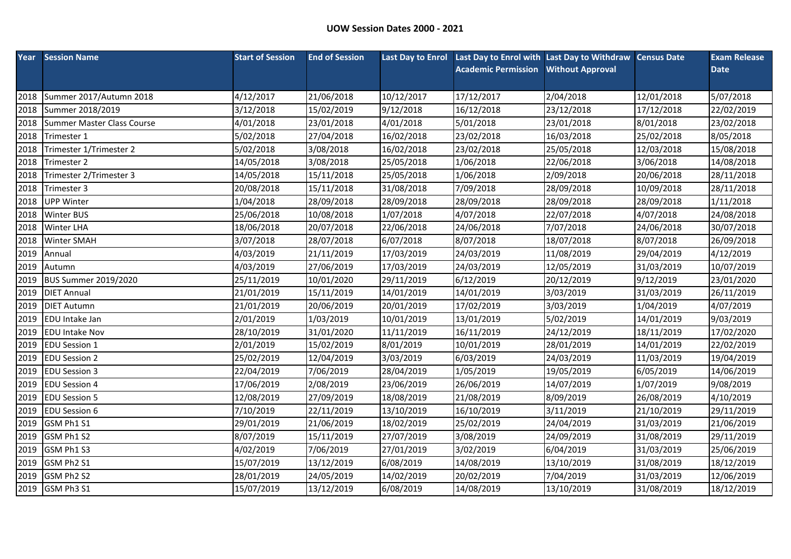|      | <b>Year</b> Session Name    | <b>Start of Session</b> | <b>End of Session</b> |            | Last Day to Enrol Last Day to Enrol with Last Day to Withdraw Census Date |                         |            | <b>Exam Release</b> |
|------|-----------------------------|-------------------------|-----------------------|------------|---------------------------------------------------------------------------|-------------------------|------------|---------------------|
|      |                             |                         |                       |            | <b>Academic Permission</b>                                                | <b>Without Approval</b> |            | <b>Date</b>         |
|      |                             |                         |                       |            |                                                                           |                         |            |                     |
| 2018 | Summer 2017/Autumn 2018     | 4/12/2017               | 21/06/2018            | 10/12/2017 | 17/12/2017                                                                | 2/04/2018               | 12/01/2018 | 5/07/2018           |
| 2018 | Summer 2018/2019            | 3/12/2018               | 15/02/2019            | 9/12/2018  | 16/12/2018                                                                | 23/12/2018              | 17/12/2018 | 22/02/2019          |
| 2018 | Summer Master Class Course  | 4/01/2018               | 23/01/2018            | 4/01/2018  | 5/01/2018                                                                 | 23/01/2018              | 8/01/2018  | 23/02/2018          |
| 2018 | Trimester 1                 | 5/02/2018               | 27/04/2018            | 16/02/2018 | 23/02/2018                                                                | 16/03/2018              | 25/02/2018 | 8/05/2018           |
| 2018 | Trimester 1/Trimester 2     | 5/02/2018               | 3/08/2018             | 16/02/2018 | 23/02/2018                                                                | 25/05/2018              | 12/03/2018 | 15/08/2018          |
| 2018 | Trimester 2                 | 14/05/2018              | 3/08/2018             | 25/05/2018 | 1/06/2018                                                                 | 22/06/2018              | 3/06/2018  | 14/08/2018          |
| 2018 | Trimester 2/Trimester 3     | 14/05/2018              | 15/11/2018            | 25/05/2018 | 1/06/2018                                                                 | 2/09/2018               | 20/06/2018 | 28/11/2018          |
| 2018 | Trimester 3                 | 20/08/2018              | 15/11/2018            | 31/08/2018 | 7/09/2018                                                                 | 28/09/2018              | 10/09/2018 | 28/11/2018          |
| 2018 | <b>UPP Winter</b>           | 1/04/2018               | 28/09/2018            | 28/09/2018 | 28/09/2018                                                                | 28/09/2018              | 28/09/2018 | 1/11/2018           |
| 2018 | <b>Winter BUS</b>           | 25/06/2018              | 10/08/2018            | 1/07/2018  | 4/07/2018                                                                 | 22/07/2018              | 4/07/2018  | 24/08/2018          |
| 2018 | <b>Winter LHA</b>           | 18/06/2018              | 20/07/2018            | 22/06/2018 | 24/06/2018                                                                | 7/07/2018               | 24/06/2018 | 30/07/2018          |
| 2018 | <b>Winter SMAH</b>          | 3/07/2018               | 28/07/2018            | 6/07/2018  | 8/07/2018                                                                 | 18/07/2018              | 8/07/2018  | 26/09/2018          |
| 2019 | Annual                      | 4/03/2019               | 21/11/2019            | 17/03/2019 | 24/03/2019                                                                | 11/08/2019              | 29/04/2019 | 4/12/2019           |
| 2019 | Autumn                      | 4/03/2019               | 27/06/2019            | 17/03/2019 | 24/03/2019                                                                | 12/05/2019              | 31/03/2019 | 10/07/2019          |
| 2019 | <b>BUS Summer 2019/2020</b> | 25/11/2019              | 10/01/2020            | 29/11/2019 | 6/12/2019                                                                 | 20/12/2019              | 9/12/2019  | 23/01/2020          |
| 2019 | <b>DIET Annual</b>          | 21/01/2019              | 15/11/2019            | 14/01/2019 | 14/01/2019                                                                | 3/03/2019               | 31/03/2019 | 26/11/2019          |
| 2019 | <b>DIET Autumn</b>          | 21/01/2019              | 20/06/2019            | 20/01/2019 | 17/02/2019                                                                | 3/03/2019               | 1/04/2019  | 4/07/2019           |
| 2019 | <b>EDU</b> Intake Jan       | 2/01/2019               | 1/03/2019             | 10/01/2019 | 13/01/2019                                                                | 5/02/2019               | 14/01/2019 | 9/03/2019           |
| 2019 | <b>EDU Intake Nov</b>       | 28/10/2019              | 31/01/2020            | 11/11/2019 | 16/11/2019                                                                | 24/12/2019              | 18/11/2019 | 17/02/2020          |
| 2019 | <b>EDU Session 1</b>        | 2/01/2019               | 15/02/2019            | 8/01/2019  | 10/01/2019                                                                | 28/01/2019              | 14/01/2019 | 22/02/2019          |
| 2019 | <b>EDU Session 2</b>        | 25/02/2019              | 12/04/2019            | 3/03/2019  | 6/03/2019                                                                 | 24/03/2019              | 11/03/2019 | 19/04/2019          |
| 2019 | <b>EDU Session 3</b>        | 22/04/2019              | 7/06/2019             | 28/04/2019 | 1/05/2019                                                                 | 19/05/2019              | 6/05/2019  | 14/06/2019          |
| 2019 | <b>EDU Session 4</b>        | 17/06/2019              | 2/08/2019             | 23/06/2019 | 26/06/2019                                                                | 14/07/2019              | 1/07/2019  | 9/08/2019           |
| 2019 | <b>EDU Session 5</b>        | 12/08/2019              | 27/09/2019            | 18/08/2019 | 21/08/2019                                                                | 8/09/2019               | 26/08/2019 | 4/10/2019           |
| 2019 | <b>EDU Session 6</b>        | 7/10/2019               | 22/11/2019            | 13/10/2019 | 16/10/2019                                                                | 3/11/2019               | 21/10/2019 | 29/11/2019          |
| 2019 | GSM Ph1 S1                  | 29/01/2019              | 21/06/2019            | 18/02/2019 | 25/02/2019                                                                | 24/04/2019              | 31/03/2019 | 21/06/2019          |
| 2019 | GSM Ph1 S2                  | 8/07/2019               | 15/11/2019            | 27/07/2019 | 3/08/2019                                                                 | 24/09/2019              | 31/08/2019 | 29/11/2019          |
| 2019 | GSM Ph1 S3                  | 4/02/2019               | 7/06/2019             | 27/01/2019 | 3/02/2019                                                                 | 6/04/2019               | 31/03/2019 | 25/06/2019          |
| 2019 | GSM Ph2 S1                  | 15/07/2019              | 13/12/2019            | 6/08/2019  | 14/08/2019                                                                | 13/10/2019              | 31/08/2019 | 18/12/2019          |
| 2019 | GSM Ph2 S2                  | 28/01/2019              | 24/05/2019            | 14/02/2019 | 20/02/2019                                                                | 7/04/2019               | 31/03/2019 | 12/06/2019          |
|      | 2019 GSM Ph3 S1             | 15/07/2019              | 13/12/2019            | 6/08/2019  | 14/08/2019                                                                | 13/10/2019              | 31/08/2019 | 18/12/2019          |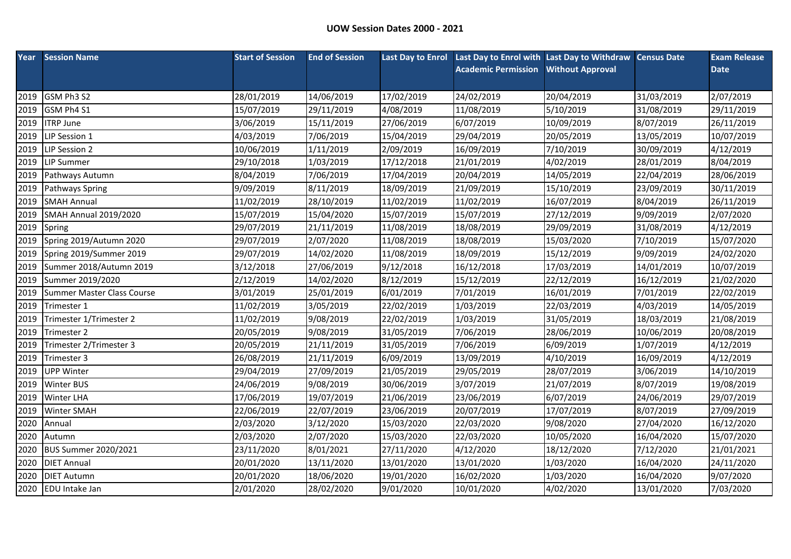|      | <b>Year</b> Session Name     | <b>Start of Session</b> | <b>End of Session</b> |            | Last Day to Enrol Last Day to Enrol with Last Day to Withdraw Census Date |                         |            | <b>Exam Release</b> |
|------|------------------------------|-------------------------|-----------------------|------------|---------------------------------------------------------------------------|-------------------------|------------|---------------------|
|      |                              |                         |                       |            | <b>Academic Permission</b>                                                | <b>Without Approval</b> |            | <b>Date</b>         |
|      |                              |                         |                       |            |                                                                           |                         |            |                     |
| 2019 | GSM Ph3 S2                   | 28/01/2019              | 14/06/2019            | 17/02/2019 | 24/02/2019                                                                | 20/04/2019              | 31/03/2019 | 2/07/2019           |
| 2019 | GSM Ph4 S1                   | 15/07/2019              | 29/11/2019            | 4/08/2019  | 11/08/2019                                                                | 5/10/2019               | 31/08/2019 | 29/11/2019          |
| 2019 | <b>ITRP June</b>             | 3/06/2019               | 15/11/2019            | 27/06/2019 | 6/07/2019                                                                 | 10/09/2019              | 8/07/2019  | 26/11/2019          |
| 2019 | LIP Session 1                | 4/03/2019               | 7/06/2019             | 15/04/2019 | 29/04/2019                                                                | 20/05/2019              | 13/05/2019 | 10/07/2019          |
| 2019 | LIP Session 2                | 10/06/2019              | 1/11/2019             | 2/09/2019  | 16/09/2019                                                                | 7/10/2019               | 30/09/2019 | 4/12/2019           |
| 2019 | <b>LIP Summer</b>            | 29/10/2018              | 1/03/2019             | 17/12/2018 | 21/01/2019                                                                | 4/02/2019               | 28/01/2019 | 8/04/2019           |
| 2019 | Pathways Autumn              | 8/04/2019               | 7/06/2019             | 17/04/2019 | 20/04/2019                                                                | 14/05/2019              | 22/04/2019 | 28/06/2019          |
| 2019 | <b>Pathways Spring</b>       | 9/09/2019               | 8/11/2019             | 18/09/2019 | 21/09/2019                                                                | 15/10/2019              | 23/09/2019 | 30/11/2019          |
| 2019 | <b>SMAH Annual</b>           | 11/02/2019              | 28/10/2019            | 11/02/2019 | 11/02/2019                                                                | 16/07/2019              | 8/04/2019  | 26/11/2019          |
| 2019 | <b>SMAH Annual 2019/2020</b> | 15/07/2019              | 15/04/2020            | 15/07/2019 | 15/07/2019                                                                | 27/12/2019              | 9/09/2019  | 2/07/2020           |
| 2019 | Spring                       | 29/07/2019              | 21/11/2019            | 11/08/2019 | 18/08/2019                                                                | 29/09/2019              | 31/08/2019 | 4/12/2019           |
| 2019 | Spring 2019/Autumn 2020      | 29/07/2019              | 2/07/2020             | 11/08/2019 | 18/08/2019                                                                | 15/03/2020              | 7/10/2019  | 15/07/2020          |
| 2019 | Spring 2019/Summer 2019      | 29/07/2019              | 14/02/2020            | 11/08/2019 | 18/09/2019                                                                | 15/12/2019              | 9/09/2019  | 24/02/2020          |
| 2019 | Summer 2018/Autumn 2019      | 3/12/2018               | 27/06/2019            | 9/12/2018  | 16/12/2018                                                                | 17/03/2019              | 14/01/2019 | 10/07/2019          |
| 2019 | Summer 2019/2020             | 2/12/2019               | 14/02/2020            | 8/12/2019  | 15/12/2019                                                                | 22/12/2019              | 16/12/2019 | 21/02/2020          |
| 2019 | Summer Master Class Course   | 3/01/2019               | 25/01/2019            | 6/01/2019  | 7/01/2019                                                                 | 16/01/2019              | 7/01/2019  | 22/02/2019          |
| 2019 | Trimester 1                  | 11/02/2019              | 3/05/2019             | 22/02/2019 | 1/03/2019                                                                 | 22/03/2019              | 4/03/2019  | 14/05/2019          |
| 2019 | Trimester 1/Trimester 2      | 11/02/2019              | 9/08/2019             | 22/02/2019 | 1/03/2019                                                                 | 31/05/2019              | 18/03/2019 | 21/08/2019          |
| 2019 | Trimester 2                  | 20/05/2019              | 9/08/2019             | 31/05/2019 | 7/06/2019                                                                 | 28/06/2019              | 10/06/2019 | 20/08/2019          |
| 2019 | Trimester 2/Trimester 3      | 20/05/2019              | 21/11/2019            | 31/05/2019 | 7/06/2019                                                                 | 6/09/2019               | 1/07/2019  | 4/12/2019           |
| 2019 | Trimester 3                  | 26/08/2019              | 21/11/2019            | 6/09/2019  | 13/09/2019                                                                | 4/10/2019               | 16/09/2019 | 4/12/2019           |
| 2019 | <b>UPP Winter</b>            | 29/04/2019              | 27/09/2019            | 21/05/2019 | 29/05/2019                                                                | 28/07/2019              | 3/06/2019  | 14/10/2019          |
| 2019 | <b>Winter BUS</b>            | 24/06/2019              | 9/08/2019             | 30/06/2019 | 3/07/2019                                                                 | 21/07/2019              | 8/07/2019  | 19/08/2019          |
| 2019 | <b>Winter LHA</b>            | 17/06/2019              | 19/07/2019            | 21/06/2019 | 23/06/2019                                                                | 6/07/2019               | 24/06/2019 | 29/07/2019          |
| 2019 | <b>Winter SMAH</b>           | 22/06/2019              | 22/07/2019            | 23/06/2019 | 20/07/2019                                                                | 17/07/2019              | 8/07/2019  | 27/09/2019          |
| 2020 | Annual                       | 2/03/2020               | 3/12/2020             | 15/03/2020 | 22/03/2020                                                                | 9/08/2020               | 27/04/2020 | 16/12/2020          |
| 2020 | Autumn                       | 2/03/2020               | 2/07/2020             | 15/03/2020 | 22/03/2020                                                                | 10/05/2020              | 16/04/2020 | 15/07/2020          |
| 2020 | <b>BUS Summer 2020/2021</b>  | 23/11/2020              | 8/01/2021             | 27/11/2020 | 4/12/2020                                                                 | 18/12/2020              | 7/12/2020  | 21/01/2021          |
| 2020 | <b>DIET Annual</b>           | 20/01/2020              | 13/11/2020            | 13/01/2020 | 13/01/2020                                                                | 1/03/2020               | 16/04/2020 | 24/11/2020          |
| 2020 | <b>DIET Autumn</b>           | 20/01/2020              | 18/06/2020            | 19/01/2020 | 16/02/2020                                                                | 1/03/2020               | 16/04/2020 | 9/07/2020           |
|      | 2020 EDU Intake Jan          | 2/01/2020               | 28/02/2020            | 9/01/2020  | 10/01/2020                                                                | 4/02/2020               | 13/01/2020 | 7/03/2020           |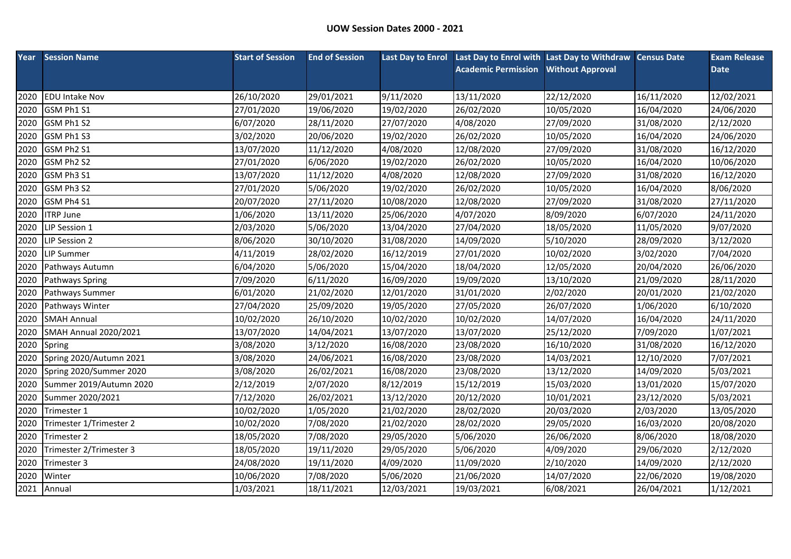| Year | <b>Session Name</b>          | <b>Start of Session</b> | <b>End of Session</b> |            | Last Day to Enrol Last Day to Enrol with Last Day to Withdraw Census Date |                         |            | <b>Exam Release</b> |
|------|------------------------------|-------------------------|-----------------------|------------|---------------------------------------------------------------------------|-------------------------|------------|---------------------|
|      |                              |                         |                       |            | <b>Academic Permission</b>                                                | <b>Without Approval</b> |            | <b>Date</b>         |
|      |                              |                         |                       |            |                                                                           |                         |            |                     |
| 2020 | <b>EDU Intake Nov</b>        | 26/10/2020              | 29/01/2021            | 9/11/2020  | 13/11/2020                                                                | 22/12/2020              | 16/11/2020 | 12/02/2021          |
| 2020 | GSM Ph1 S1                   | 27/01/2020              | 19/06/2020            | 19/02/2020 | 26/02/2020                                                                | 10/05/2020              | 16/04/2020 | 24/06/2020          |
| 2020 | GSM Ph1 S2                   | 6/07/2020               | 28/11/2020            | 27/07/2020 | 4/08/2020                                                                 | 27/09/2020              | 31/08/2020 | 2/12/2020           |
| 2020 | GSM Ph1 S3                   | 3/02/2020               | 20/06/2020            | 19/02/2020 | 26/02/2020                                                                | 10/05/2020              | 16/04/2020 | 24/06/2020          |
| 2020 | GSM Ph2 S1                   | 13/07/2020              | 11/12/2020            | 4/08/2020  | 12/08/2020                                                                | 27/09/2020              | 31/08/2020 | 16/12/2020          |
| 2020 | GSM Ph2 S2                   | 27/01/2020              | 6/06/2020             | 19/02/2020 | 26/02/2020                                                                | 10/05/2020              | 16/04/2020 | 10/06/2020          |
| 2020 | GSM Ph3 S1                   | 13/07/2020              | 11/12/2020            | 4/08/2020  | 12/08/2020                                                                | 27/09/2020              | 31/08/2020 | 16/12/2020          |
| 2020 | GSM Ph3 S2                   | 27/01/2020              | 5/06/2020             | 19/02/2020 | 26/02/2020                                                                | 10/05/2020              | 16/04/2020 | 8/06/2020           |
| 2020 | GSM Ph4 S1                   | 20/07/2020              | 27/11/2020            | 10/08/2020 | 12/08/2020                                                                | 27/09/2020              | 31/08/2020 | 27/11/2020          |
| 2020 | <b>ITRP June</b>             | 1/06/2020               | 13/11/2020            | 25/06/2020 | 4/07/2020                                                                 | 8/09/2020               | 6/07/2020  | 24/11/2020          |
| 2020 | LIP Session 1                | 2/03/2020               | 5/06/2020             | 13/04/2020 | 27/04/2020                                                                | 18/05/2020              | 11/05/2020 | 9/07/2020           |
| 2020 | LIP Session 2                | 8/06/2020               | 30/10/2020            | 31/08/2020 | 14/09/2020                                                                | 5/10/2020               | 28/09/2020 | 3/12/2020           |
| 2020 | <b>LIP Summer</b>            | 4/11/2019               | 28/02/2020            | 16/12/2019 | 27/01/2020                                                                | 10/02/2020              | 3/02/2020  | 7/04/2020           |
| 2020 | Pathways Autumn              | 6/04/2020               | 5/06/2020             | 15/04/2020 | 18/04/2020                                                                | 12/05/2020              | 20/04/2020 | 26/06/2020          |
| 2020 | Pathways Spring              | 7/09/2020               | 6/11/2020             | 16/09/2020 | 19/09/2020                                                                | 13/10/2020              | 21/09/2020 | 28/11/2020          |
| 2020 | Pathways Summer              | 6/01/2020               | 21/02/2020            | 12/01/2020 | 31/01/2020                                                                | 2/02/2020               | 20/01/2020 | 21/02/2020          |
| 2020 | Pathways Winter              | 27/04/2020              | 25/09/2020            | 19/05/2020 | 27/05/2020                                                                | 26/07/2020              | 1/06/2020  | 6/10/2020           |
| 2020 | <b>SMAH Annual</b>           | 10/02/2020              | 26/10/2020            | 10/02/2020 | 10/02/2020                                                                | 14/07/2020              | 16/04/2020 | 24/11/2020          |
| 2020 | <b>SMAH Annual 2020/2021</b> | 13/07/2020              | 14/04/2021            | 13/07/2020 | 13/07/2020                                                                | 25/12/2020              | 7/09/2020  | 1/07/2021           |
| 2020 | Spring                       | 3/08/2020               | 3/12/2020             | 16/08/2020 | 23/08/2020                                                                | 16/10/2020              | 31/08/2020 | 16/12/2020          |
| 2020 | Spring 2020/Autumn 2021      | 3/08/2020               | 24/06/2021            | 16/08/2020 | 23/08/2020                                                                | 14/03/2021              | 12/10/2020 | 7/07/2021           |
| 2020 | Spring 2020/Summer 2020      | 3/08/2020               | 26/02/2021            | 16/08/2020 | 23/08/2020                                                                | 13/12/2020              | 14/09/2020 | 5/03/2021           |
| 2020 | Summer 2019/Autumn 2020      | 2/12/2019               | 2/07/2020             | 8/12/2019  | 15/12/2019                                                                | 15/03/2020              | 13/01/2020 | 15/07/2020          |
| 2020 | Summer 2020/2021             | 7/12/2020               | 26/02/2021            | 13/12/2020 | 20/12/2020                                                                | 10/01/2021              | 23/12/2020 | 5/03/2021           |
| 2020 | Trimester 1                  | 10/02/2020              | 1/05/2020             | 21/02/2020 | 28/02/2020                                                                | 20/03/2020              | 2/03/2020  | 13/05/2020          |
| 2020 | Trimester 1/Trimester 2      | 10/02/2020              | 7/08/2020             | 21/02/2020 | 28/02/2020                                                                | 29/05/2020              | 16/03/2020 | 20/08/2020          |
| 2020 | Trimester 2                  | 18/05/2020              | 7/08/2020             | 29/05/2020 | 5/06/2020                                                                 | 26/06/2020              | 8/06/2020  | 18/08/2020          |
| 2020 | Trimester 2/Trimester 3      | 18/05/2020              | 19/11/2020            | 29/05/2020 | 5/06/2020                                                                 | 4/09/2020               | 29/06/2020 | 2/12/2020           |
| 2020 | Trimester 3                  | 24/08/2020              | 19/11/2020            | 4/09/2020  | 11/09/2020                                                                | 2/10/2020               | 14/09/2020 | 2/12/2020           |
| 2020 | Winter                       | 10/06/2020              | 7/08/2020             | 5/06/2020  | 21/06/2020                                                                | 14/07/2020              | 22/06/2020 | 19/08/2020          |
| 2021 | Annual                       | 1/03/2021               | 18/11/2021            | 12/03/2021 | 19/03/2021                                                                | 6/08/2021               | 26/04/2021 | 1/12/2021           |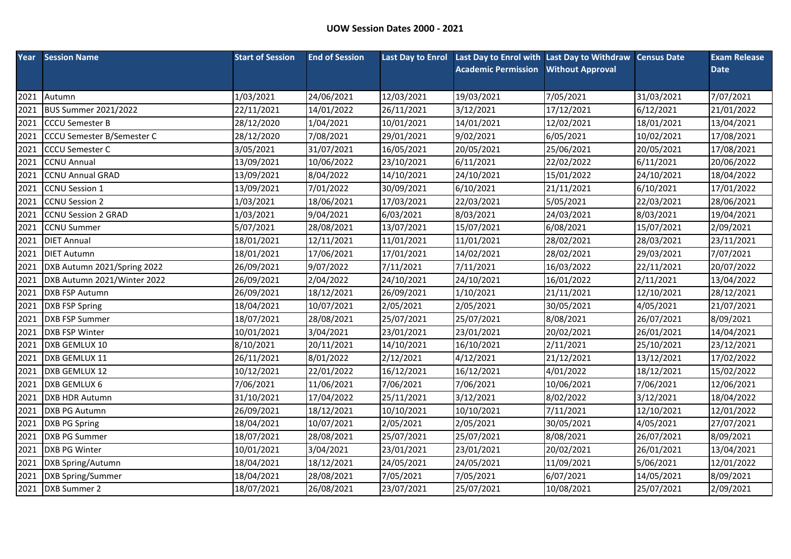|      | <b>Year</b> Session Name          | <b>Start of Session</b> | <b>End of Session</b> |            | Last Day to Enrol Last Day to Enrol with Last Day to Withdraw Census Date |                         |            | <b>Exam Release</b> |
|------|-----------------------------------|-------------------------|-----------------------|------------|---------------------------------------------------------------------------|-------------------------|------------|---------------------|
|      |                                   |                         |                       |            | <b>Academic Permission</b>                                                | <b>Without Approval</b> |            | <b>Date</b>         |
|      |                                   |                         |                       |            |                                                                           |                         |            |                     |
| 2021 | Autumn                            | 1/03/2021               | 24/06/2021            | 12/03/2021 | 19/03/2021                                                                | 7/05/2021               | 31/03/2021 | 7/07/2021           |
| 2021 | <b>BUS Summer 2021/2022</b>       | 22/11/2021              | 14/01/2022            | 26/11/2021 | 3/12/2021                                                                 | 17/12/2021              | 6/12/2021  | 21/01/2022          |
| 2021 | <b>CCCU Semester B</b>            | 28/12/2020              | 1/04/2021             | 10/01/2021 | 14/01/2021                                                                | 12/02/2021              | 18/01/2021 | 13/04/2021          |
| 2021 | <b>CCCU Semester B/Semester C</b> | 28/12/2020              | 7/08/2021             | 29/01/2021 | 9/02/2021                                                                 | 6/05/2021               | 10/02/2021 | 17/08/2021          |
| 2021 | <b>CCCU Semester C</b>            | 3/05/2021               | 31/07/2021            | 16/05/2021 | 20/05/2021                                                                | 25/06/2021              | 20/05/2021 | 17/08/2021          |
| 2021 | <b>CCNU Annual</b>                | 13/09/2021              | 10/06/2022            | 23/10/2021 | 6/11/2021                                                                 | 22/02/2022              | 6/11/2021  | 20/06/2022          |
| 2021 | <b>CCNU Annual GRAD</b>           | 13/09/2021              | 8/04/2022             | 14/10/2021 | 24/10/2021                                                                | 15/01/2022              | 24/10/2021 | 18/04/2022          |
| 2021 | <b>CCNU Session 1</b>             | 13/09/2021              | 7/01/2022             | 30/09/2021 | 6/10/2021                                                                 | 21/11/2021              | 6/10/2021  | 17/01/2022          |
| 2021 | <b>CCNU Session 2</b>             | 1/03/2021               | 18/06/2021            | 17/03/2021 | 22/03/2021                                                                | 5/05/2021               | 22/03/2021 | 28/06/2021          |
| 2021 | <b>CCNU Session 2 GRAD</b>        | 1/03/2021               | 9/04/2021             | 6/03/2021  | 8/03/2021                                                                 | 24/03/2021              | 8/03/2021  | 19/04/2021          |
| 2021 | <b>CCNU Summer</b>                | 5/07/2021               | 28/08/2021            | 13/07/2021 | 15/07/2021                                                                | 6/08/2021               | 15/07/2021 | 2/09/2021           |
| 2021 | <b>DIET Annual</b>                | 18/01/2021              | 12/11/2021            | 11/01/2021 | 11/01/2021                                                                | 28/02/2021              | 28/03/2021 | 23/11/2021          |
| 2021 | <b>DIET Autumn</b>                | 18/01/2021              | 17/06/2021            | 17/01/2021 | 14/02/2021                                                                | 28/02/2021              | 29/03/2021 | 7/07/2021           |
| 2021 | DXB Autumn 2021/Spring 2022       | 26/09/2021              | 9/07/2022             | 7/11/2021  | 7/11/2021                                                                 | 16/03/2022              | 22/11/2021 | 20/07/2022          |
| 2021 | DXB Autumn 2021/Winter 2022       | 26/09/2021              | 2/04/2022             | 24/10/2021 | 24/10/2021                                                                | 16/01/2022              | 2/11/2021  | 13/04/2022          |
| 2021 | <b>DXB FSP Autumn</b>             | 26/09/2021              | 18/12/2021            | 26/09/2021 | 1/10/2021                                                                 | 21/11/2021              | 12/10/2021 | 28/12/2021          |
| 2021 | <b>DXB FSP Spring</b>             | 18/04/2021              | 10/07/2021            | 2/05/2021  | 2/05/2021                                                                 | 30/05/2021              | 4/05/2021  | 21/07/2021          |
| 2021 | <b>DXB FSP Summer</b>             | 18/07/2021              | 28/08/2021            | 25/07/2021 | 25/07/2021                                                                | 8/08/2021               | 26/07/2021 | 8/09/2021           |
| 2021 | DXB FSP Winter                    | 10/01/2021              | 3/04/2021             | 23/01/2021 | 23/01/2021                                                                | 20/02/2021              | 26/01/2021 | 14/04/2021          |
| 2021 | DXB GEMLUX 10                     | 8/10/2021               | 20/11/2021            | 14/10/2021 | 16/10/2021                                                                | 2/11/2021               | 25/10/2021 | 23/12/2021          |
| 2021 | DXB GEMLUX 11                     | 26/11/2021              | 8/01/2022             | 2/12/2021  | 4/12/2021                                                                 | 21/12/2021              | 13/12/2021 | 17/02/2022          |
| 2021 | DXB GEMLUX 12                     | 10/12/2021              | 22/01/2022            | 16/12/2021 | 16/12/2021                                                                | 4/01/2022               | 18/12/2021 | 15/02/2022          |
| 2021 | DXB GEMLUX 6                      | 7/06/2021               | 11/06/2021            | 7/06/2021  | 7/06/2021                                                                 | 10/06/2021              | 7/06/2021  | 12/06/2021          |
| 2021 | DXB HDR Autumn                    | 31/10/2021              | 17/04/2022            | 25/11/2021 | 3/12/2021                                                                 | 8/02/2022               | 3/12/2021  | 18/04/2022          |
| 2021 | DXB PG Autumn                     | 26/09/2021              | 18/12/2021            | 10/10/2021 | 10/10/2021                                                                | 7/11/2021               | 12/10/2021 | 12/01/2022          |
| 2021 | <b>DXB PG Spring</b>              | 18/04/2021              | 10/07/2021            | 2/05/2021  | 2/05/2021                                                                 | 30/05/2021              | 4/05/2021  | 27/07/2021          |
| 2021 | <b>DXB PG Summer</b>              | 18/07/2021              | 28/08/2021            | 25/07/2021 | 25/07/2021                                                                | 8/08/2021               | 26/07/2021 | 8/09/2021           |
| 2021 | DXB PG Winter                     | 10/01/2021              | 3/04/2021             | 23/01/2021 | 23/01/2021                                                                | 20/02/2021              | 26/01/2021 | 13/04/2021          |
| 2021 | DXB Spring/Autumn                 | 18/04/2021              | 18/12/2021            | 24/05/2021 | 24/05/2021                                                                | 11/09/2021              | 5/06/2021  | 12/01/2022          |
| 2021 | DXB Spring/Summer                 | 18/04/2021              | 28/08/2021            | 7/05/2021  | 7/05/2021                                                                 | 6/07/2021               | 14/05/2021 | 8/09/2021           |
|      | 2021 DXB Summer 2                 | 18/07/2021              | 26/08/2021            | 23/07/2021 | 25/07/2021                                                                | 10/08/2021              | 25/07/2021 | 2/09/2021           |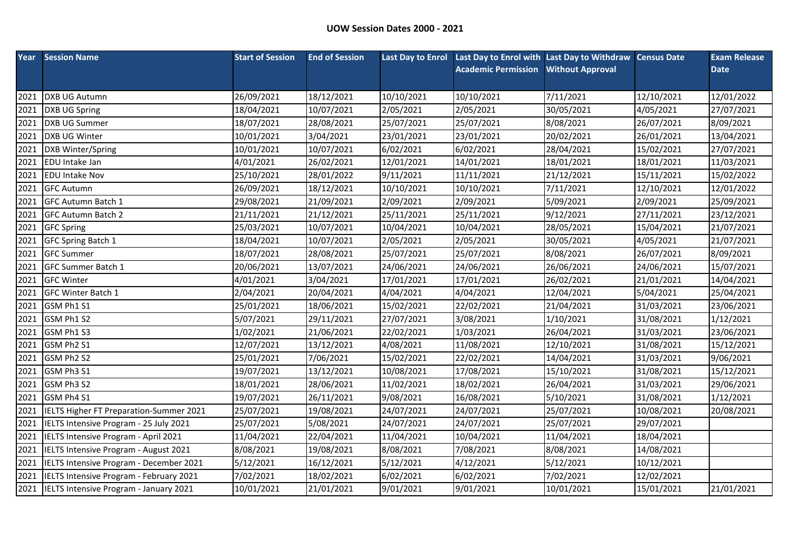| Year | <b>Session Name</b>                     | <b>Start of Session</b> | <b>End of Session</b> |            | Last Day to Enrol Last Day to Enrol with Last Day to Withdraw Census Date |                         |            | <b>Exam Release</b> |
|------|-----------------------------------------|-------------------------|-----------------------|------------|---------------------------------------------------------------------------|-------------------------|------------|---------------------|
|      |                                         |                         |                       |            | <b>Academic Permission</b>                                                | <b>Without Approval</b> |            | <b>Date</b>         |
|      |                                         |                         |                       |            |                                                                           |                         |            |                     |
| 2021 | <b>DXB UG Autumn</b>                    | 26/09/2021              | 18/12/2021            | 10/10/2021 | 10/10/2021                                                                | 7/11/2021               | 12/10/2021 | 12/01/2022          |
| 2021 | DXB UG Spring                           | 18/04/2021              | 10/07/2021            | 2/05/2021  | 2/05/2021                                                                 | 30/05/2021              | 4/05/2021  | 27/07/2021          |
| 2021 | <b>DXB UG Summer</b>                    | 18/07/2021              | 28/08/2021            | 25/07/2021 | 25/07/2021                                                                | 8/08/2021               | 26/07/2021 | 8/09/2021           |
| 2021 | DXB UG Winter                           | 10/01/2021              | 3/04/2021             | 23/01/2021 | 23/01/2021                                                                | 20/02/2021              | 26/01/2021 | 13/04/2021          |
| 2021 | DXB Winter/Spring                       | 10/01/2021              | 10/07/2021            | 6/02/2021  | 6/02/2021                                                                 | 28/04/2021              | 15/02/2021 | 27/07/2021          |
| 2021 | EDU Intake Jan                          | 4/01/2021               | 26/02/2021            | 12/01/2021 | 14/01/2021                                                                | 18/01/2021              | 18/01/2021 | 11/03/2021          |
| 2021 | <b>EDU Intake Nov</b>                   | 25/10/2021              | 28/01/2022            | 9/11/2021  | 11/11/2021                                                                | 21/12/2021              | 15/11/2021 | 15/02/2022          |
| 2021 | <b>GFC Autumn</b>                       | 26/09/2021              | 18/12/2021            | 10/10/2021 | 10/10/2021                                                                | 7/11/2021               | 12/10/2021 | 12/01/2022          |
| 2021 | <b>GFC Autumn Batch 1</b>               | 29/08/2021              | 21/09/2021            | 2/09/2021  | 2/09/2021                                                                 | 5/09/2021               | 2/09/2021  | 25/09/2021          |
| 2021 | <b>GFC Autumn Batch 2</b>               | 21/11/2021              | 21/12/2021            | 25/11/2021 | 25/11/2021                                                                | 9/12/2021               | 27/11/2021 | 23/12/2021          |
| 2021 | <b>GFC Spring</b>                       | 25/03/2021              | 10/07/2021            | 10/04/2021 | 10/04/2021                                                                | 28/05/2021              | 15/04/2021 | 21/07/2021          |
| 2021 | GFC Spring Batch 1                      | 18/04/2021              | 10/07/2021            | 2/05/2021  | 2/05/2021                                                                 | 30/05/2021              | 4/05/2021  | 21/07/2021          |
| 2021 | <b>GFC Summer</b>                       | 18/07/2021              | 28/08/2021            | 25/07/2021 | 25/07/2021                                                                | 8/08/2021               | 26/07/2021 | 8/09/2021           |
| 2021 | GFC Summer Batch 1                      | 20/06/2021              | 13/07/2021            | 24/06/2021 | 24/06/2021                                                                | 26/06/2021              | 24/06/2021 | 15/07/2021          |
| 2021 | <b>GFC Winter</b>                       | 4/01/2021               | 3/04/2021             | 17/01/2021 | 17/01/2021                                                                | 26/02/2021              | 21/01/2021 | 14/04/2021          |
| 2021 | <b>GFC Winter Batch 1</b>               | 2/04/2021               | 20/04/2021            | 4/04/2021  | 4/04/2021                                                                 | 12/04/2021              | 5/04/2021  | 25/04/2021          |
| 2021 | GSM Ph1 S1                              | 25/01/2021              | 18/06/2021            | 15/02/2021 | 22/02/2021                                                                | 21/04/2021              | 31/03/2021 | 23/06/2021          |
| 2021 | GSM Ph1 S2                              | 5/07/2021               | 29/11/2021            | 27/07/2021 | 3/08/2021                                                                 | 1/10/2021               | 31/08/2021 | 1/12/2021           |
| 2021 | GSM Ph1 S3                              | 1/02/2021               | 21/06/2021            | 22/02/2021 | 1/03/2021                                                                 | 26/04/2021              | 31/03/2021 | 23/06/2021          |
| 2021 | GSM Ph2 S1                              | 12/07/2021              | 13/12/2021            | 4/08/2021  | 11/08/2021                                                                | 12/10/2021              | 31/08/2021 | 15/12/2021          |
| 2021 | GSM Ph2 S2                              | 25/01/2021              | 7/06/2021             | 15/02/2021 | 22/02/2021                                                                | 14/04/2021              | 31/03/2021 | 9/06/2021           |
| 2021 | GSM Ph3 S1                              | 19/07/2021              | 13/12/2021            | 10/08/2021 | 17/08/2021                                                                | 15/10/2021              | 31/08/2021 | 15/12/2021          |
| 2021 | GSM Ph3 S2                              | 18/01/2021              | 28/06/2021            | 11/02/2021 | 18/02/2021                                                                | 26/04/2021              | 31/03/2021 | 29/06/2021          |
| 2021 | GSM Ph4 S1                              | 19/07/2021              | 26/11/2021            | 9/08/2021  | 16/08/2021                                                                | 5/10/2021               | 31/08/2021 | 1/12/2021           |
| 2021 | IELTS Higher FT Preparation-Summer 2021 | 25/07/2021              | 19/08/2021            | 24/07/2021 | 24/07/2021                                                                | 25/07/2021              | 10/08/2021 | 20/08/2021          |
| 2021 | IELTS Intensive Program - 25 July 2021  | 25/07/2021              | 5/08/2021             | 24/07/2021 | 24/07/2021                                                                | 25/07/2021              | 29/07/2021 |                     |
| 2021 | IELTS Intensive Program - April 2021    | 11/04/2021              | 22/04/2021            | 11/04/2021 | 10/04/2021                                                                | 11/04/2021              | 18/04/2021 |                     |
| 2021 | IELTS Intensive Program - August 2021   | 8/08/2021               | 19/08/2021            | 8/08/2021  | 7/08/2021                                                                 | 8/08/2021               | 14/08/2021 |                     |
| 2021 | IELTS Intensive Program - December 2021 | 5/12/2021               | 16/12/2021            | 5/12/2021  | 4/12/2021                                                                 | 5/12/2021               | 10/12/2021 |                     |
| 2021 | IELTS Intensive Program - February 2021 | 7/02/2021               | 18/02/2021            | 6/02/2021  | 6/02/2021                                                                 | 7/02/2021               | 12/02/2021 |                     |
| 2021 | IELTS Intensive Program - January 2021  | 10/01/2021              | 21/01/2021            | 9/01/2021  | 9/01/2021                                                                 | 10/01/2021              | 15/01/2021 | 21/01/2021          |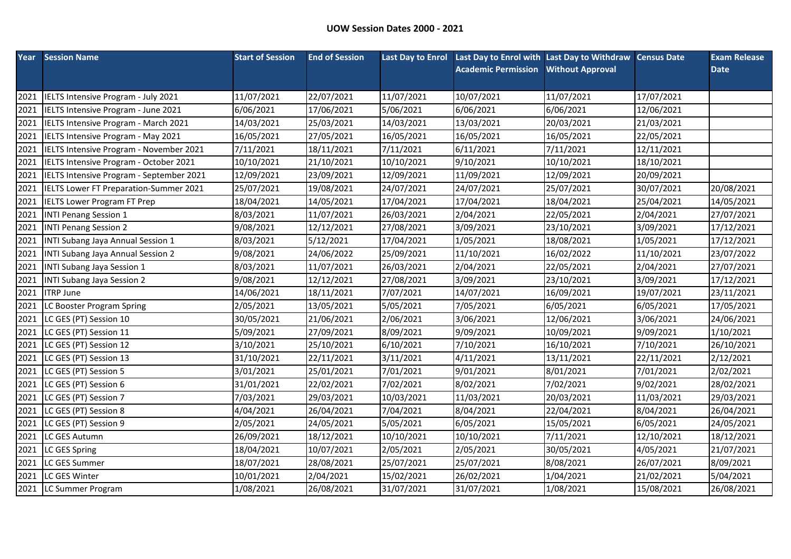|      | <b>Year</b> Session Name                 | <b>Start of Session</b> | <b>End of Session</b> | <b>Last Day to Enrol</b> | Last Day to Enrol with Last Day to Withdraw Census Date |                         |            | <b>Exam Release</b> |
|------|------------------------------------------|-------------------------|-----------------------|--------------------------|---------------------------------------------------------|-------------------------|------------|---------------------|
|      |                                          |                         |                       |                          | <b>Academic Permission</b>                              | <b>Without Approval</b> |            | <b>Date</b>         |
|      |                                          |                         |                       |                          |                                                         |                         |            |                     |
| 2021 | IELTS Intensive Program - July 2021      | 11/07/2021              | 22/07/2021            | 11/07/2021               | 10/07/2021                                              | 11/07/2021              | 17/07/2021 |                     |
| 2021 | IELTS Intensive Program - June 2021      | 6/06/2021               | 17/06/2021            | 5/06/2021                | 6/06/2021                                               | 6/06/2021               | 12/06/2021 |                     |
| 2021 | IELTS Intensive Program - March 2021     | 14/03/2021              | 25/03/2021            | 14/03/2021               | 13/03/2021                                              | 20/03/2021              | 21/03/2021 |                     |
| 2021 | IELTS Intensive Program - May 2021       | 16/05/2021              | 27/05/2021            | 16/05/2021               | 16/05/2021                                              | 16/05/2021              | 22/05/2021 |                     |
| 2021 | IELTS Intensive Program - November 2021  | 7/11/2021               | 18/11/2021            | 7/11/2021                | 6/11/2021                                               | 7/11/2021               | 12/11/2021 |                     |
| 2021 | IELTS Intensive Program - October 2021   | 10/10/2021              | 21/10/2021            | 10/10/2021               | 9/10/2021                                               | 10/10/2021              | 18/10/2021 |                     |
| 2021 | IELTS Intensive Program - September 2021 | 12/09/2021              | 23/09/2021            | 12/09/2021               | 11/09/2021                                              | 12/09/2021              | 20/09/2021 |                     |
| 2021 | IELTS Lower FT Preparation-Summer 2021   | 25/07/2021              | 19/08/2021            | 24/07/2021               | 24/07/2021                                              | 25/07/2021              | 30/07/2021 | 20/08/2021          |
| 2021 | <b>IELTS Lower Program FT Prep</b>       | 18/04/2021              | 14/05/2021            | 17/04/2021               | 17/04/2021                                              | 18/04/2021              | 25/04/2021 | 14/05/2021          |
| 2021 | <b>INTI Penang Session 1</b>             | 8/03/2021               | 11/07/2021            | 26/03/2021               | 2/04/2021                                               | 22/05/2021              | 2/04/2021  | 27/07/2021          |
| 2021 | <b>INTI Penang Session 2</b>             | 9/08/2021               | 12/12/2021            | 27/08/2021               | 3/09/2021                                               | 23/10/2021              | 3/09/2021  | 17/12/2021          |
| 2021 | INTI Subang Jaya Annual Session 1        | 8/03/2021               | 5/12/2021             | 17/04/2021               | 1/05/2021                                               | 18/08/2021              | 1/05/2021  | 17/12/2021          |
| 2021 | INTI Subang Jaya Annual Session 2        | 9/08/2021               | 24/06/2022            | 25/09/2021               | 11/10/2021                                              | 16/02/2022              | 11/10/2021 | 23/07/2022          |
| 2021 | INTI Subang Jaya Session 1               | 8/03/2021               | 11/07/2021            | 26/03/2021               | 2/04/2021                                               | 22/05/2021              | 2/04/2021  | 27/07/2021          |
| 2021 | <b>INTI Subang Jaya Session 2</b>        | 9/08/2021               | 12/12/2021            | 27/08/2021               | 3/09/2021                                               | 23/10/2021              | 3/09/2021  | 17/12/2021          |
| 2021 | <b>ITRP June</b>                         | 14/06/2021              | 18/11/2021            | 7/07/2021                | 14/07/2021                                              | 16/09/2021              | 19/07/2021 | 23/11/2021          |
| 2021 | LC Booster Program Spring                | 2/05/2021               | 13/05/2021            | 5/05/2021                | 7/05/2021                                               | 6/05/2021               | 6/05/2021  | 17/05/2021          |
| 2021 | LC GES (PT) Session 10                   | 30/05/2021              | 21/06/2021            | 2/06/2021                | 3/06/2021                                               | 12/06/2021              | 3/06/2021  | 24/06/2021          |
| 2021 | LC GES (PT) Session 11                   | 5/09/2021               | 27/09/2021            | 8/09/2021                | 9/09/2021                                               | 10/09/2021              | 9/09/2021  | 1/10/2021           |
| 2021 | LC GES (PT) Session 12                   | 3/10/2021               | 25/10/2021            | 6/10/2021                | 7/10/2021                                               | 16/10/2021              | 7/10/2021  | 26/10/2021          |
| 2021 | LC GES (PT) Session 13                   | 31/10/2021              | 22/11/2021            | 3/11/2021                | 4/11/2021                                               | 13/11/2021              | 22/11/2021 | 2/12/2021           |
| 2021 | LC GES (PT) Session 5                    | 3/01/2021               | 25/01/2021            | 7/01/2021                | 9/01/2021                                               | 8/01/2021               | 7/01/2021  | 2/02/2021           |
| 2021 | LC GES (PT) Session 6                    | 31/01/2021              | 22/02/2021            | 7/02/2021                | 8/02/2021                                               | 7/02/2021               | 9/02/2021  | 28/02/2021          |
| 2021 | LC GES (PT) Session 7                    | 7/03/2021               | 29/03/2021            | 10/03/2021               | 11/03/2021                                              | 20/03/2021              | 11/03/2021 | 29/03/2021          |
| 2021 | LC GES (PT) Session 8                    | 4/04/2021               | 26/04/2021            | 7/04/2021                | 8/04/2021                                               | 22/04/2021              | 8/04/2021  | 26/04/2021          |
| 2021 | LC GES (PT) Session 9                    | 2/05/2021               | 24/05/2021            | 5/05/2021                | 6/05/2021                                               | 15/05/2021              | 6/05/2021  | 24/05/2021          |
| 2021 | LC GES Autumn                            | 26/09/2021              | 18/12/2021            | 10/10/2021               | 10/10/2021                                              | 7/11/2021               | 12/10/2021 | 18/12/2021          |
| 2021 | LC GES Spring                            | 18/04/2021              | 10/07/2021            | 2/05/2021                | 2/05/2021                                               | 30/05/2021              | 4/05/2021  | 21/07/2021          |
| 2021 | LC GES Summer                            | 18/07/2021              | 28/08/2021            | 25/07/2021               | 25/07/2021                                              | 8/08/2021               | 26/07/2021 | 8/09/2021           |
| 2021 | LC GES Winter                            | 10/01/2021              | 2/04/2021             | 15/02/2021               | 26/02/2021                                              | 1/04/2021               | 21/02/2021 | 5/04/2021           |
|      | 2021 LC Summer Program                   | 1/08/2021               | 26/08/2021            | 31/07/2021               | 31/07/2021                                              | 1/08/2021               | 15/08/2021 | 26/08/2021          |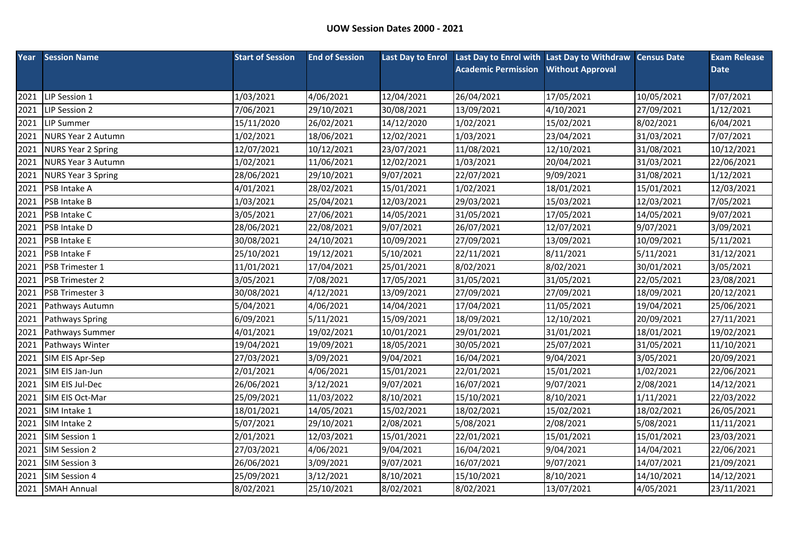| Year | <b>Session Name</b>       | <b>Start of Session</b> | <b>End of Session</b> |            | Last Day to Enrol Last Day to Enrol with Last Day to Withdraw Census Date |                         |            | <b>Exam Release</b> |
|------|---------------------------|-------------------------|-----------------------|------------|---------------------------------------------------------------------------|-------------------------|------------|---------------------|
|      |                           |                         |                       |            | <b>Academic Permission</b>                                                | <b>Without Approval</b> |            | <b>Date</b>         |
|      |                           |                         |                       |            |                                                                           |                         |            |                     |
| 2021 | LIP Session 1             | 1/03/2021               | 4/06/2021             | 12/04/2021 | 26/04/2021                                                                | 17/05/2021              | 10/05/2021 | 7/07/2021           |
| 2021 | LIP Session 2             | 7/06/2021               | 29/10/2021            | 30/08/2021 | 13/09/2021                                                                | 4/10/2021               | 27/09/2021 | 1/12/2021           |
| 2021 | <b>LIP Summer</b>         | 15/11/2020              | 26/02/2021            | 14/12/2020 | 1/02/2021                                                                 | 15/02/2021              | 8/02/2021  | 6/04/2021           |
| 2021 | <b>NURS Year 2 Autumn</b> | 1/02/2021               | 18/06/2021            | 12/02/2021 | 1/03/2021                                                                 | 23/04/2021              | 31/03/2021 | 7/07/2021           |
| 2021 | <b>NURS Year 2 Spring</b> | 12/07/2021              | 10/12/2021            | 23/07/2021 | 11/08/2021                                                                | 12/10/2021              | 31/08/2021 | 10/12/2021          |
| 2021 | <b>NURS Year 3 Autumn</b> | 1/02/2021               | 11/06/2021            | 12/02/2021 | 1/03/2021                                                                 | 20/04/2021              | 31/03/2021 | 22/06/2021          |
| 2021 | <b>NURS Year 3 Spring</b> | 28/06/2021              | 29/10/2021            | 9/07/2021  | 22/07/2021                                                                | 9/09/2021               | 31/08/2021 | 1/12/2021           |
| 2021 | PSB Intake A              | 4/01/2021               | 28/02/2021            | 15/01/2021 | 1/02/2021                                                                 | 18/01/2021              | 15/01/2021 | 12/03/2021          |
| 2021 | PSB Intake B              | 1/03/2021               | 25/04/2021            | 12/03/2021 | 29/03/2021                                                                | 15/03/2021              | 12/03/2021 | 7/05/2021           |
| 2021 | PSB Intake C              | 3/05/2021               | 27/06/2021            | 14/05/2021 | 31/05/2021                                                                | 17/05/2021              | 14/05/2021 | 9/07/2021           |
| 2021 | PSB Intake D              | 28/06/2021              | 22/08/2021            | 9/07/2021  | 26/07/2021                                                                | 12/07/2021              | 9/07/2021  | 3/09/2021           |
| 2021 | PSB Intake E              | 30/08/2021              | 24/10/2021            | 10/09/2021 | 27/09/2021                                                                | 13/09/2021              | 10/09/2021 | 5/11/2021           |
| 2021 | PSB Intake F              | 25/10/2021              | 19/12/2021            | 5/10/2021  | 22/11/2021                                                                | 8/11/2021               | 5/11/2021  | 31/12/2021          |
| 2021 | PSB Trimester 1           | 11/01/2021              | 17/04/2021            | 25/01/2021 | 8/02/2021                                                                 | 8/02/2021               | 30/01/2021 | 3/05/2021           |
| 2021 | PSB Trimester 2           | 3/05/2021               | 7/08/2021             | 17/05/2021 | 31/05/2021                                                                | 31/05/2021              | 22/05/2021 | 23/08/2021          |
| 2021 | PSB Trimester 3           | 30/08/2021              | 4/12/2021             | 13/09/2021 | 27/09/2021                                                                | 27/09/2021              | 18/09/2021 | 20/12/2021          |
| 2021 | Pathways Autumn           | 5/04/2021               | 4/06/2021             | 14/04/2021 | 17/04/2021                                                                | 11/05/2021              | 19/04/2021 | 25/06/2021          |
| 2021 | Pathways Spring           | 6/09/2021               | 5/11/2021             | 15/09/2021 | 18/09/2021                                                                | 12/10/2021              | 20/09/2021 | 27/11/2021          |
| 2021 | Pathways Summer           | 4/01/2021               | 19/02/2021            | 10/01/2021 | 29/01/2021                                                                | 31/01/2021              | 18/01/2021 | 19/02/2021          |
| 2021 | Pathways Winter           | 19/04/2021              | 19/09/2021            | 18/05/2021 | 30/05/2021                                                                | 25/07/2021              | 31/05/2021 | 11/10/2021          |
| 2021 | SIM EIS Apr-Sep           | 27/03/2021              | 3/09/2021             | 9/04/2021  | 16/04/2021                                                                | 9/04/2021               | 3/05/2021  | 20/09/2021          |
| 2021 | SIM EIS Jan-Jun           | 2/01/2021               | 4/06/2021             | 15/01/2021 | 22/01/2021                                                                | 15/01/2021              | 1/02/2021  | 22/06/2021          |
| 2021 | SIM EIS Jul-Dec           | 26/06/2021              | 3/12/2021             | 9/07/2021  | 16/07/2021                                                                | 9/07/2021               | 2/08/2021  | 14/12/2021          |
| 2021 | SIM EIS Oct-Mar           | 25/09/2021              | 11/03/2022            | 8/10/2021  | 15/10/2021                                                                | 8/10/2021               | 1/11/2021  | 22/03/2022          |
| 2021 | SIM Intake 1              | 18/01/2021              | 14/05/2021            | 15/02/2021 | 18/02/2021                                                                | 15/02/2021              | 18/02/2021 | 26/05/2021          |
| 2021 | SIM Intake 2              | 5/07/2021               | 29/10/2021            | 2/08/2021  | 5/08/2021                                                                 | 2/08/2021               | 5/08/2021  | 11/11/2021          |
| 2021 | SIM Session 1             | 2/01/2021               | 12/03/2021            | 15/01/2021 | 22/01/2021                                                                | 15/01/2021              | 15/01/2021 | 23/03/2021          |
| 2021 | SIM Session 2             | 27/03/2021              | 4/06/2021             | 9/04/2021  | 16/04/2021                                                                | 9/04/2021               | 14/04/2021 | 22/06/2021          |
| 2021 | SIM Session 3             | 26/06/2021              | 3/09/2021             | 9/07/2021  | 16/07/2021                                                                | 9/07/2021               | 14/07/2021 | 21/09/2021          |
| 2021 | SIM Session 4             | 25/09/2021              | 3/12/2021             | 8/10/2021  | 15/10/2021                                                                | 8/10/2021               | 14/10/2021 | 14/12/2021          |
|      | 2021 SMAH Annual          | 8/02/2021               | 25/10/2021            | 8/02/2021  | 8/02/2021                                                                 | 13/07/2021              | 4/05/2021  | 23/11/2021          |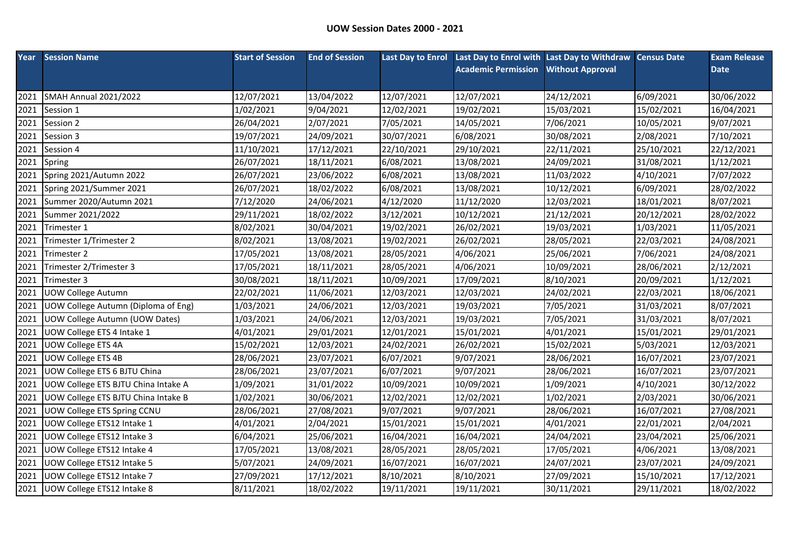| Year | <b>Session Name</b>                        | <b>Start of Session</b> | <b>End of Session</b> |            | Last Day to Enrol Last Day to Enrol with Last Day to Withdraw Census Date |                         |            | <b>Exam Release</b> |
|------|--------------------------------------------|-------------------------|-----------------------|------------|---------------------------------------------------------------------------|-------------------------|------------|---------------------|
|      |                                            |                         |                       |            | <b>Academic Permission</b>                                                | <b>Without Approval</b> |            | <b>Date</b>         |
|      |                                            |                         |                       |            |                                                                           |                         |            |                     |
| 2021 | <b>SMAH Annual 2021/2022</b>               | 12/07/2021              | 13/04/2022            | 12/07/2021 | 12/07/2021                                                                | 24/12/2021              | 6/09/2021  | 30/06/2022          |
| 2021 | Session 1                                  | 1/02/2021               | 9/04/2021             | 12/02/2021 | 19/02/2021                                                                | 15/03/2021              | 15/02/2021 | 16/04/2021          |
| 2021 | Session 2                                  | 26/04/2021              | 2/07/2021             | 7/05/2021  | 14/05/2021                                                                | 7/06/2021               | 10/05/2021 | 9/07/2021           |
| 2021 | Session 3                                  | 19/07/2021              | 24/09/2021            | 30/07/2021 | 6/08/2021                                                                 | 30/08/2021              | 2/08/2021  | 7/10/2021           |
| 2021 | Session 4                                  | 11/10/2021              | 17/12/2021            | 22/10/2021 | 29/10/2021                                                                | 22/11/2021              | 25/10/2021 | 22/12/2021          |
| 2021 | Spring                                     | 26/07/2021              | 18/11/2021            | 6/08/2021  | 13/08/2021                                                                | 24/09/2021              | 31/08/2021 | 1/12/2021           |
| 2021 | Spring 2021/Autumn 2022                    | 26/07/2021              | 23/06/2022            | 6/08/2021  | 13/08/2021                                                                | 11/03/2022              | 4/10/2021  | 7/07/2022           |
| 2021 | Spring 2021/Summer 2021                    | 26/07/2021              | 18/02/2022            | 6/08/2021  | 13/08/2021                                                                | 10/12/2021              | 6/09/2021  | 28/02/2022          |
| 2021 | Summer 2020/Autumn 2021                    | 7/12/2020               | 24/06/2021            | 4/12/2020  | 11/12/2020                                                                | 12/03/2021              | 18/01/2021 | 8/07/2021           |
| 2021 | Summer 2021/2022                           | 29/11/2021              | 18/02/2022            | 3/12/2021  | 10/12/2021                                                                | 21/12/2021              | 20/12/2021 | 28/02/2022          |
| 2021 | Trimester 1                                | 8/02/2021               | 30/04/2021            | 19/02/2021 | 26/02/2021                                                                | 19/03/2021              | 1/03/2021  | 11/05/2021          |
| 2021 | Trimester 1/Trimester 2                    | 8/02/2021               | 13/08/2021            | 19/02/2021 | 26/02/2021                                                                | 28/05/2021              | 22/03/2021 | 24/08/2021          |
| 2021 | Trimester 2                                | 17/05/2021              | 13/08/2021            | 28/05/2021 | 4/06/2021                                                                 | 25/06/2021              | 7/06/2021  | 24/08/2021          |
| 2021 | Trimester 2/Trimester 3                    | 17/05/2021              | 18/11/2021            | 28/05/2021 | 4/06/2021                                                                 | 10/09/2021              | 28/06/2021 | 2/12/2021           |
| 2021 | Trimester 3                                | 30/08/2021              | 18/11/2021            | 10/09/2021 | 17/09/2021                                                                | 8/10/2021               | 20/09/2021 | 1/12/2021           |
| 2021 | <b>UOW College Autumn</b>                  | 22/02/2021              | 11/06/2021            | 12/03/2021 | 12/03/2021                                                                | 24/02/2021              | 22/03/2021 | 18/06/2021          |
| 2021 | UOW College Autumn (Diploma of Eng)        | 1/03/2021               | 24/06/2021            | 12/03/2021 | 19/03/2021                                                                | 7/05/2021               | 31/03/2021 | 8/07/2021           |
| 2021 | UOW College Autumn (UOW Dates)             | 1/03/2021               | 24/06/2021            | 12/03/2021 | 19/03/2021                                                                | 7/05/2021               | 31/03/2021 | 8/07/2021           |
| 2021 | UOW College ETS 4 Intake 1                 | 4/01/2021               | 29/01/2021            | 12/01/2021 | 15/01/2021                                                                | 4/01/2021               | 15/01/2021 | 29/01/2021          |
| 2021 | UOW College ETS 4A                         | 15/02/2021              | 12/03/2021            | 24/02/2021 | 26/02/2021                                                                | 15/02/2021              | 5/03/2021  | 12/03/2021          |
| 2021 | <b>UOW College ETS 4B</b>                  | 28/06/2021              | 23/07/2021            | 6/07/2021  | 9/07/2021                                                                 | 28/06/2021              | 16/07/2021 | 23/07/2021          |
| 2021 | UOW College ETS 6 BJTU China               | 28/06/2021              | 23/07/2021            | 6/07/2021  | 9/07/2021                                                                 | 28/06/2021              | 16/07/2021 | 23/07/2021          |
| 2021 | <b>UOW College ETS BJTU China Intake A</b> | 1/09/2021               | 31/01/2022            | 10/09/2021 | 10/09/2021                                                                | 1/09/2021               | 4/10/2021  | 30/12/2022          |
| 2021 | UOW College ETS BJTU China Intake B        | 1/02/2021               | 30/06/2021            | 12/02/2021 | 12/02/2021                                                                | 1/02/2021               | 2/03/2021  | 30/06/2021          |
| 2021 | UOW College ETS Spring CCNU                | 28/06/2021              | 27/08/2021            | 9/07/2021  | 9/07/2021                                                                 | 28/06/2021              | 16/07/2021 | 27/08/2021          |
| 2021 | UOW College ETS12 Intake 1                 | 4/01/2021               | 2/04/2021             | 15/01/2021 | 15/01/2021                                                                | 4/01/2021               | 22/01/2021 | 2/04/2021           |
| 2021 | UOW College ETS12 Intake 3                 | 6/04/2021               | 25/06/2021            | 16/04/2021 | 16/04/2021                                                                | 24/04/2021              | 23/04/2021 | 25/06/2021          |
| 2021 | UOW College ETS12 Intake 4                 | 17/05/2021              | 13/08/2021            | 28/05/2021 | 28/05/2021                                                                | 17/05/2021              | 4/06/2021  | 13/08/2021          |
| 2021 | UOW College ETS12 Intake 5                 | 5/07/2021               | 24/09/2021            | 16/07/2021 | 16/07/2021                                                                | 24/07/2021              | 23/07/2021 | 24/09/2021          |
| 2021 | UOW College ETS12 Intake 7                 | 27/09/2021              | 17/12/2021            | 8/10/2021  | 8/10/2021                                                                 | 27/09/2021              | 15/10/2021 | 17/12/2021          |
| 2021 | UOW College ETS12 Intake 8                 | 8/11/2021               | 18/02/2022            | 19/11/2021 | 19/11/2021                                                                | 30/11/2021              | 29/11/2021 | 18/02/2022          |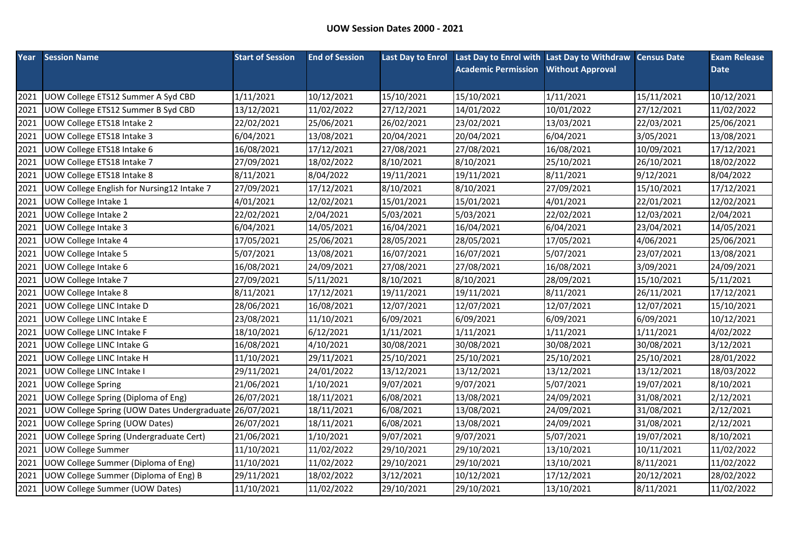| Year | <b>Session Name</b>                                    | <b>Start of Session</b> | <b>End of Session</b> |            | Last Day to Enrol Last Day to Enrol with Last Day to Withdraw Census Date |                         |            | <b>Exam Release</b> |
|------|--------------------------------------------------------|-------------------------|-----------------------|------------|---------------------------------------------------------------------------|-------------------------|------------|---------------------|
|      |                                                        |                         |                       |            | <b>Academic Permission</b>                                                | <b>Without Approval</b> |            | <b>Date</b>         |
|      |                                                        |                         |                       |            |                                                                           |                         |            |                     |
| 2021 | UOW College ETS12 Summer A Syd CBD                     | 1/11/2021               | 10/12/2021            | 15/10/2021 | 15/10/2021                                                                | 1/11/2021               | 15/11/2021 | 10/12/2021          |
| 2021 | UOW College ETS12 Summer B Syd CBD                     | 13/12/2021              | 11/02/2022            | 27/12/2021 | 14/01/2022                                                                | 10/01/2022              | 27/12/2021 | 11/02/2022          |
| 2021 | UOW College ETS18 Intake 2                             | 22/02/2021              | 25/06/2021            | 26/02/2021 | 23/02/2021                                                                | 13/03/2021              | 22/03/2021 | 25/06/2021          |
| 2021 | UOW College ETS18 Intake 3                             | 6/04/2021               | 13/08/2021            | 20/04/2021 | 20/04/2021                                                                | 6/04/2021               | 3/05/2021  | 13/08/2021          |
| 2021 | UOW College ETS18 Intake 6                             | 16/08/2021              | 17/12/2021            | 27/08/2021 | 27/08/2021                                                                | 16/08/2021              | 10/09/2021 | 17/12/2021          |
| 2021 | UOW College ETS18 Intake 7                             | 27/09/2021              | 18/02/2022            | 8/10/2021  | 8/10/2021                                                                 | 25/10/2021              | 26/10/2021 | 18/02/2022          |
| 2021 | UOW College ETS18 Intake 8                             | 8/11/2021               | 8/04/2022             | 19/11/2021 | 19/11/2021                                                                | 8/11/2021               | 9/12/2021  | 8/04/2022           |
| 2021 | UOW College English for Nursing12 Intake 7             | 27/09/2021              | 17/12/2021            | 8/10/2021  | 8/10/2021                                                                 | 27/09/2021              | 15/10/2021 | 17/12/2021          |
| 2021 | UOW College Intake 1                                   | 4/01/2021               | 12/02/2021            | 15/01/2021 | 15/01/2021                                                                | 4/01/2021               | 22/01/2021 | 12/02/2021          |
| 2021 | UOW College Intake 2                                   | 22/02/2021              | 2/04/2021             | 5/03/2021  | 5/03/2021                                                                 | 22/02/2021              | 12/03/2021 | 2/04/2021           |
| 2021 | UOW College Intake 3                                   | 6/04/2021               | 14/05/2021            | 16/04/2021 | 16/04/2021                                                                | 6/04/2021               | 23/04/2021 | 14/05/2021          |
| 2021 | UOW College Intake 4                                   | 17/05/2021              | 25/06/2021            | 28/05/2021 | 28/05/2021                                                                | 17/05/2021              | 4/06/2021  | 25/06/2021          |
| 2021 | UOW College Intake 5                                   | 5/07/2021               | 13/08/2021            | 16/07/2021 | 16/07/2021                                                                | 5/07/2021               | 23/07/2021 | 13/08/2021          |
| 2021 | UOW College Intake 6                                   | 16/08/2021              | 24/09/2021            | 27/08/2021 | 27/08/2021                                                                | 16/08/2021              | 3/09/2021  | 24/09/2021          |
| 2021 | UOW College Intake 7                                   | 27/09/2021              | 5/11/2021             | 8/10/2021  | 8/10/2021                                                                 | 28/09/2021              | 15/10/2021 | 5/11/2021           |
| 2021 | UOW College Intake 8                                   | 8/11/2021               | 17/12/2021            | 19/11/2021 | 19/11/2021                                                                | 8/11/2021               | 26/11/2021 | 17/12/2021          |
| 2021 | UOW College LINC Intake D                              | 28/06/2021              | 16/08/2021            | 12/07/2021 | 12/07/2021                                                                | 12/07/2021              | 12/07/2021 | 15/10/2021          |
| 2021 | UOW College LINC Intake E                              | 23/08/2021              | 11/10/2021            | 6/09/2021  | 6/09/2021                                                                 | 6/09/2021               | 6/09/2021  | 10/12/2021          |
| 2021 | UOW College LINC Intake F                              | 18/10/2021              | 6/12/2021             | 1/11/2021  | 1/11/2021                                                                 | 1/11/2021               | 1/11/2021  | 4/02/2022           |
| 2021 | <b>UOW College LINC Intake G</b>                       | 16/08/2021              | 4/10/2021             | 30/08/2021 | 30/08/2021                                                                | 30/08/2021              | 30/08/2021 | 3/12/2021           |
| 2021 | <b>UOW College LINC Intake H</b>                       | 11/10/2021              | 29/11/2021            | 25/10/2021 | 25/10/2021                                                                | 25/10/2021              | 25/10/2021 | 28/01/2022          |
| 2021 | UOW College LINC Intake I                              | 29/11/2021              | 24/01/2022            | 13/12/2021 | 13/12/2021                                                                | 13/12/2021              | 13/12/2021 | 18/03/2022          |
| 2021 | <b>UOW College Spring</b>                              | 21/06/2021              | 1/10/2021             | 9/07/2021  | 9/07/2021                                                                 | 5/07/2021               | 19/07/2021 | 8/10/2021           |
| 2021 | UOW College Spring (Diploma of Eng)                    | 26/07/2021              | 18/11/2021            | 6/08/2021  | 13/08/2021                                                                | 24/09/2021              | 31/08/2021 | 2/12/2021           |
| 2021 | UOW College Spring (UOW Dates Undergraduate 26/07/2021 |                         | 18/11/2021            | 6/08/2021  | 13/08/2021                                                                | 24/09/2021              | 31/08/2021 | 2/12/2021           |
| 2021 | UOW College Spring (UOW Dates)                         | 26/07/2021              | 18/11/2021            | 6/08/2021  | 13/08/2021                                                                | 24/09/2021              | 31/08/2021 | 2/12/2021           |
| 2021 | UOW College Spring (Undergraduate Cert)                | 21/06/2021              | 1/10/2021             | 9/07/2021  | 9/07/2021                                                                 | 5/07/2021               | 19/07/2021 | 8/10/2021           |
| 2021 | <b>UOW College Summer</b>                              | 11/10/2021              | 11/02/2022            | 29/10/2021 | 29/10/2021                                                                | 13/10/2021              | 10/11/2021 | 11/02/2022          |
| 2021 | UOW College Summer (Diploma of Eng)                    | 11/10/2021              | 11/02/2022            | 29/10/2021 | 29/10/2021                                                                | 13/10/2021              | 8/11/2021  | 11/02/2022          |
| 2021 | <b>UOW College Summer (Diploma of Eng) B</b>           | 29/11/2021              | 18/02/2022            | 3/12/2021  | 10/12/2021                                                                | 17/12/2021              | 20/12/2021 | 28/02/2022          |
| 2021 | UOW College Summer (UOW Dates)                         | 11/10/2021              | 11/02/2022            | 29/10/2021 | 29/10/2021                                                                | 13/10/2021              | 8/11/2021  | 11/02/2022          |